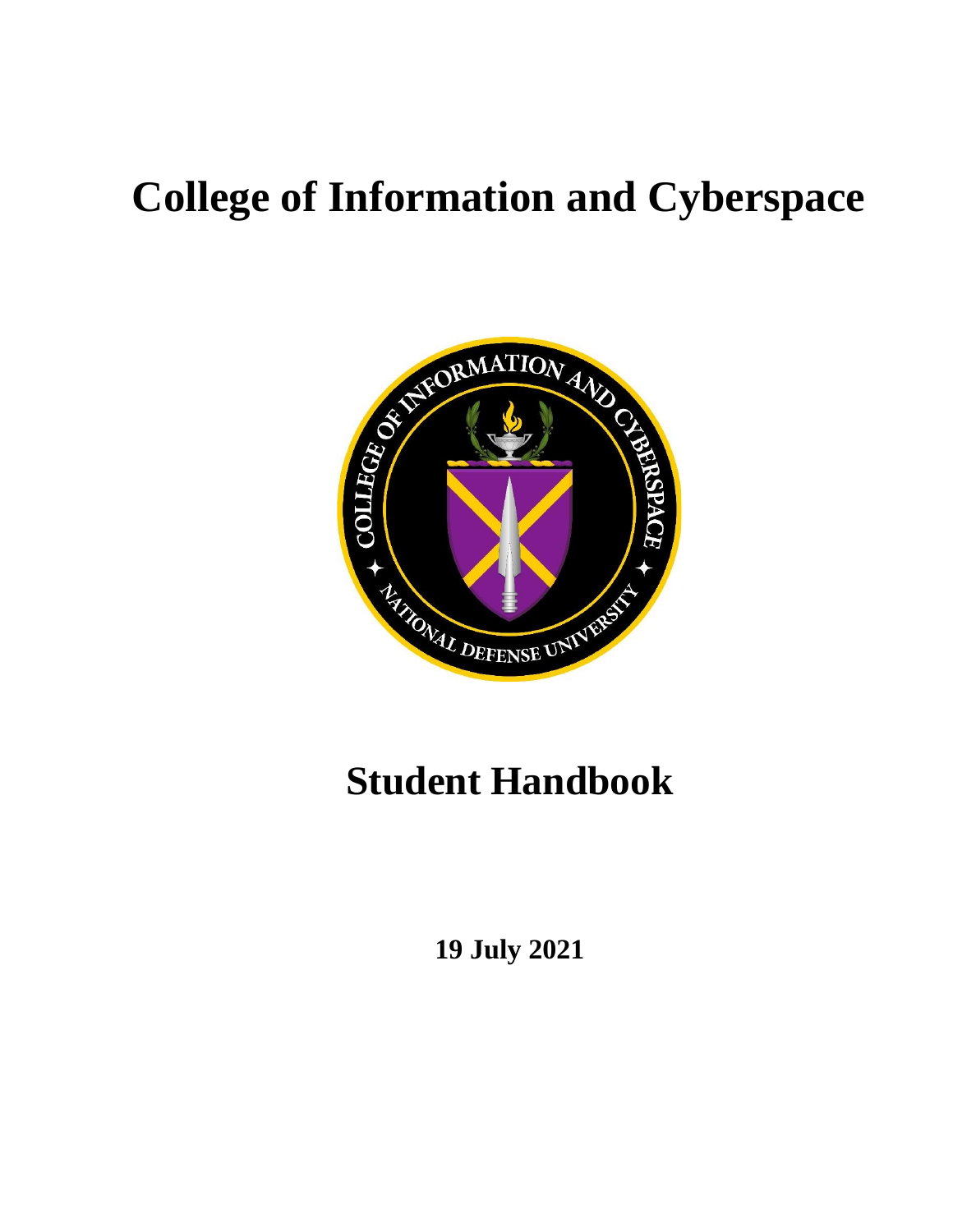# **College of Information and Cyberspace**



# **Student Handbook**

**19 July 2021**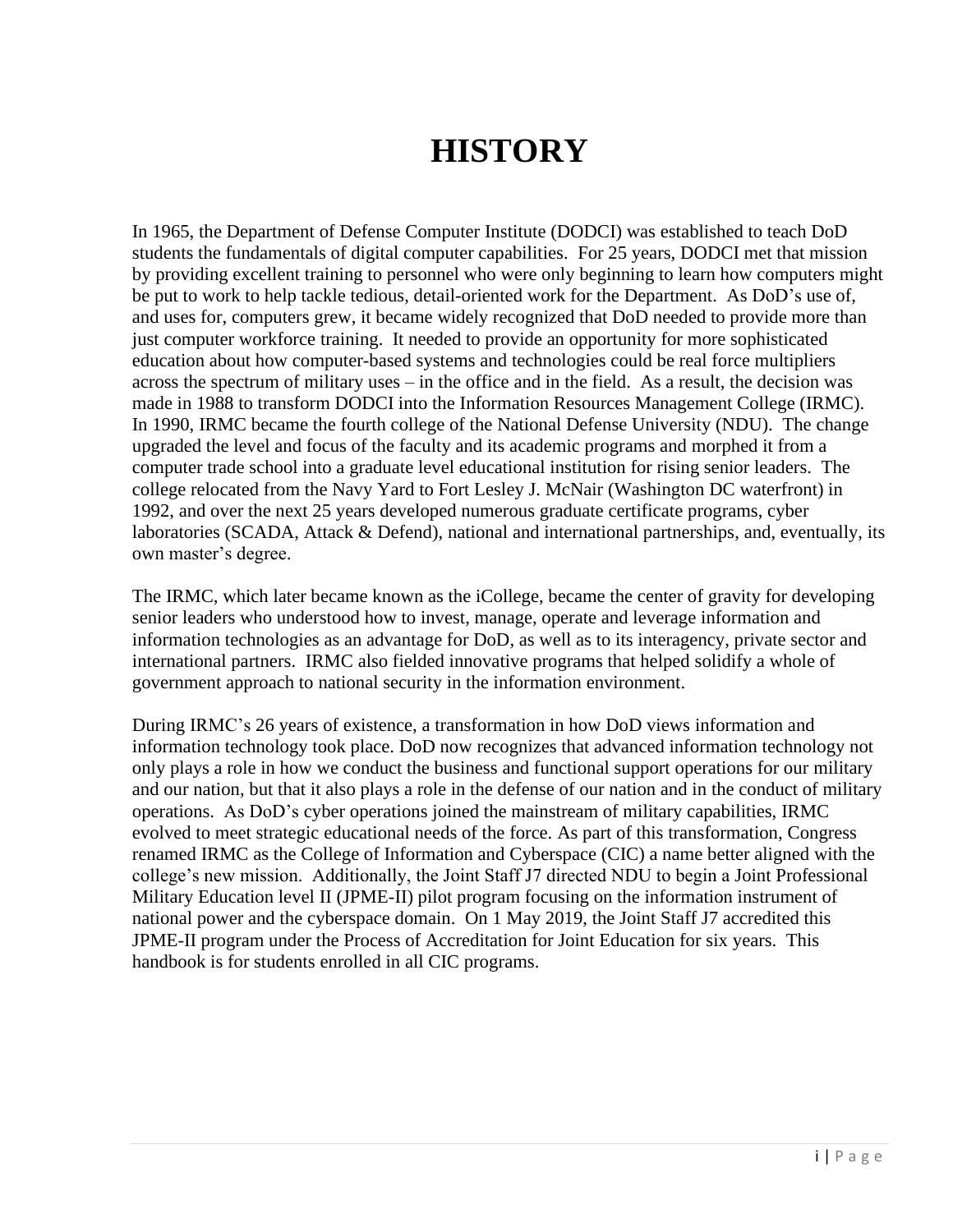## **HISTORY**

In 1965, the Department of Defense Computer Institute (DODCI) was established to teach DoD students the fundamentals of digital computer capabilities. For 25 years, DODCI met that mission by providing excellent training to personnel who were only beginning to learn how computers might be put to work to help tackle tedious, detail-oriented work for the Department. As DoD's use of, and uses for, computers grew, it became widely recognized that DoD needed to provide more than just computer workforce training. It needed to provide an opportunity for more sophisticated education about how computer-based systems and technologies could be real force multipliers across the spectrum of military uses – in the office and in the field. As a result, the decision was made in 1988 to transform DODCI into the Information Resources Management College (IRMC). In 1990, IRMC became the fourth college of the National Defense University (NDU). The change upgraded the level and focus of the faculty and its academic programs and morphed it from a computer trade school into a graduate level educational institution for rising senior leaders. The college relocated from the Navy Yard to Fort Lesley J. McNair (Washington DC waterfront) in 1992, and over the next 25 years developed numerous graduate certificate programs, cyber laboratories (SCADA, Attack & Defend), national and international partnerships, and, eventually, its own master's degree.

The IRMC, which later became known as the iCollege, became the center of gravity for developing senior leaders who understood how to invest, manage, operate and leverage information and information technologies as an advantage for DoD, as well as to its interagency, private sector and international partners. IRMC also fielded innovative programs that helped solidify a whole of government approach to national security in the information environment.

During IRMC's 26 years of existence, a transformation in how DoD views information and information technology took place. DoD now recognizes that advanced information technology not only plays a role in how we conduct the business and functional support operations for our military and our nation, but that it also plays a role in the defense of our nation and in the conduct of military operations. As DoD's cyber operations joined the mainstream of military capabilities, IRMC evolved to meet strategic educational needs of the force. As part of this transformation, Congress renamed IRMC as the College of Information and Cyberspace (CIC) a name better aligned with the college's new mission. Additionally, the Joint Staff J7 directed NDU to begin a Joint Professional Military Education level II (JPME-II) pilot program focusing on the information instrument of national power and the cyberspace domain. On 1 May 2019, the Joint Staff J7 accredited this JPME-II program under the Process of Accreditation for Joint Education for six years. This handbook is for students enrolled in all CIC programs.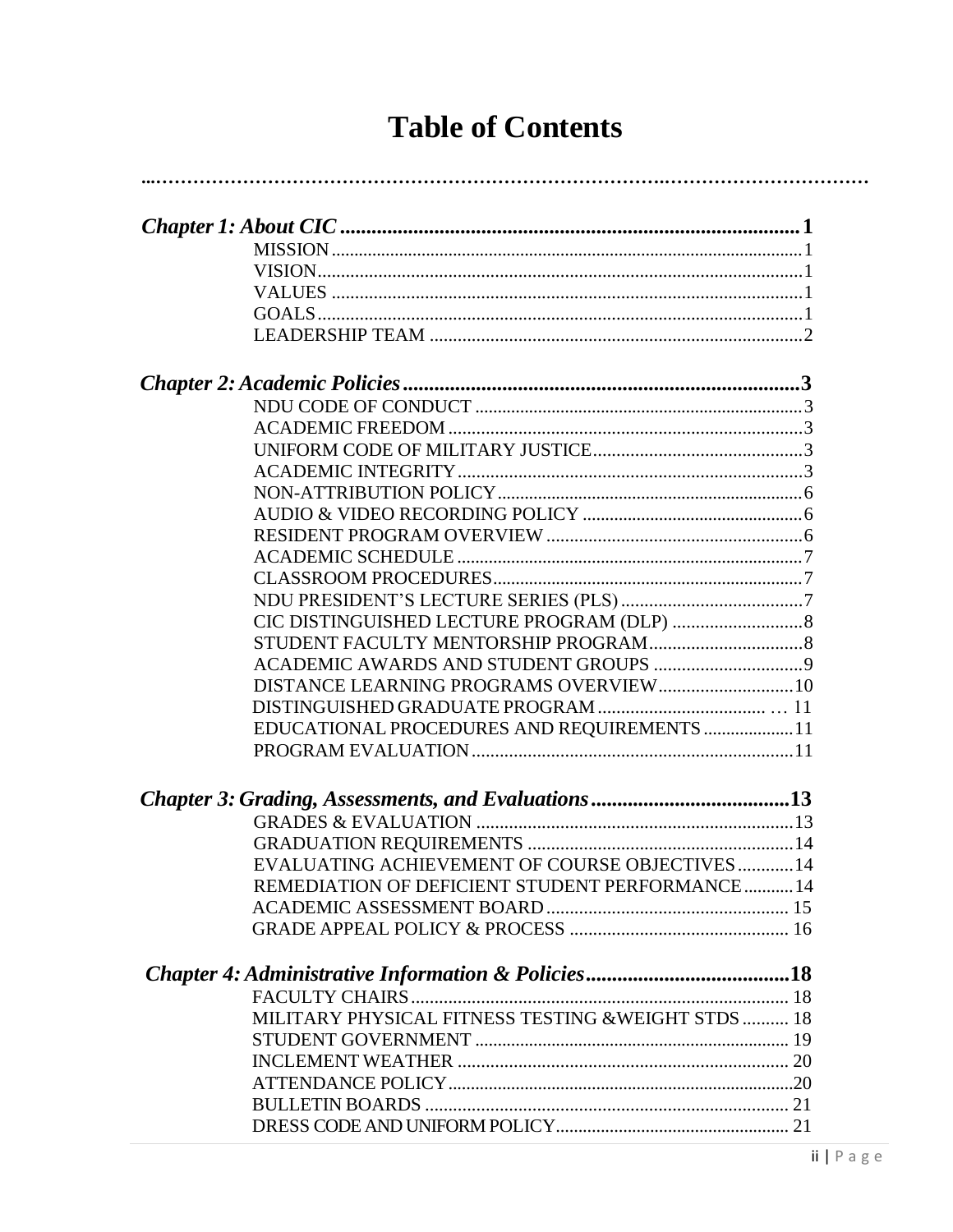| <b>Table of Contents</b> |  |
|--------------------------|--|
|--------------------------|--|

| DISTANCE LEARNING PROGRAMS OVERVIEW 10                 |  |
|--------------------------------------------------------|--|
|                                                        |  |
|                                                        |  |
| EDUCATIONAL PROCEDURES AND REQUIREMENTS  11            |  |
|                                                        |  |
|                                                        |  |
|                                                        |  |
|                                                        |  |
| <b>EVALUATING ACHIEVEMENT OF COURSE OBJECTIVES  14</b> |  |
| REMEDIATION OF DEFICIENT STUDENT PERFORMANCE 14        |  |
|                                                        |  |
|                                                        |  |
|                                                        |  |
|                                                        |  |
|                                                        |  |
| MILITARY PHYSICAL FITNESS TESTING & WEIGHT STDS  18    |  |
|                                                        |  |
|                                                        |  |
|                                                        |  |
|                                                        |  |
|                                                        |  |
|                                                        |  |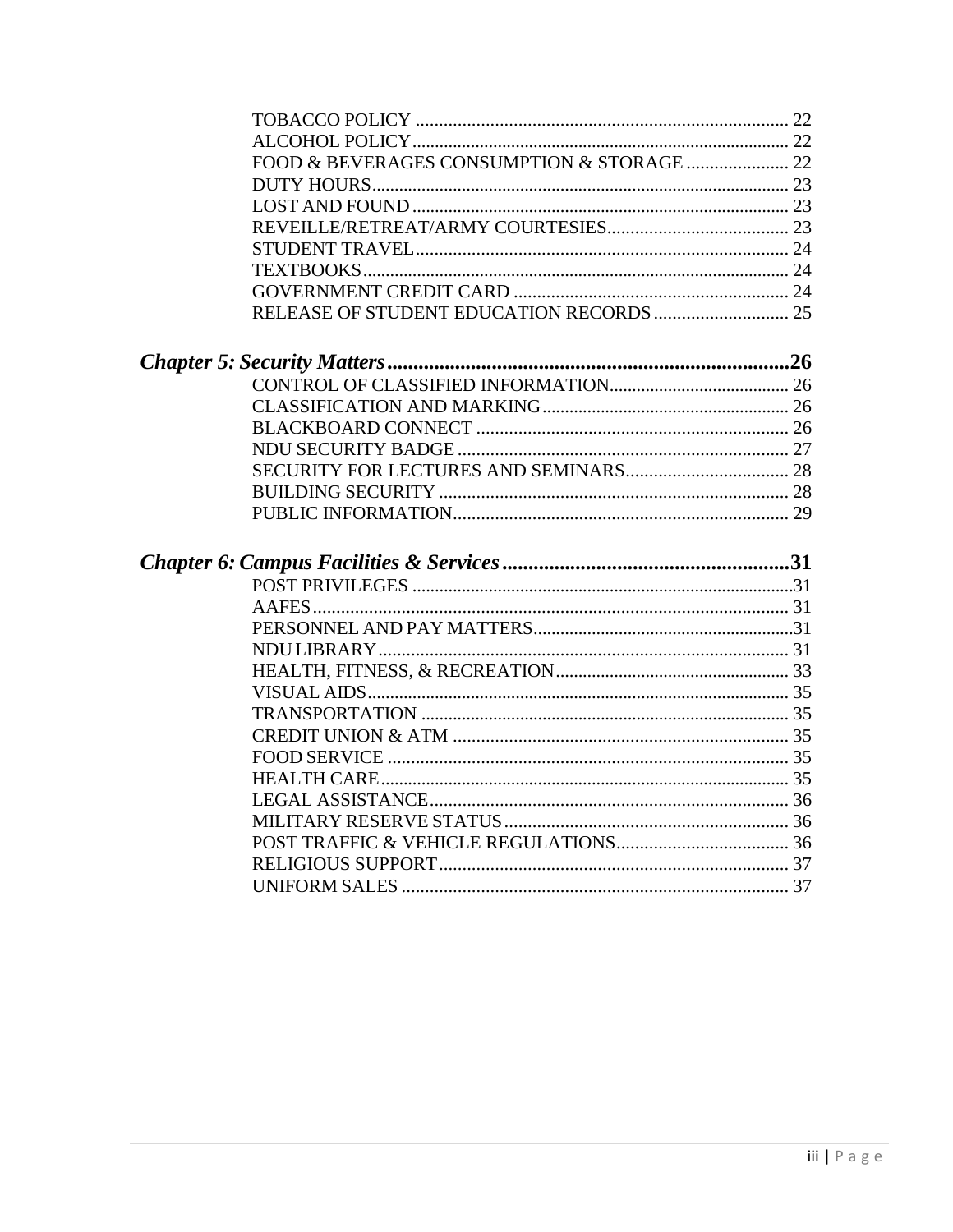<span id="page-3-0"></span>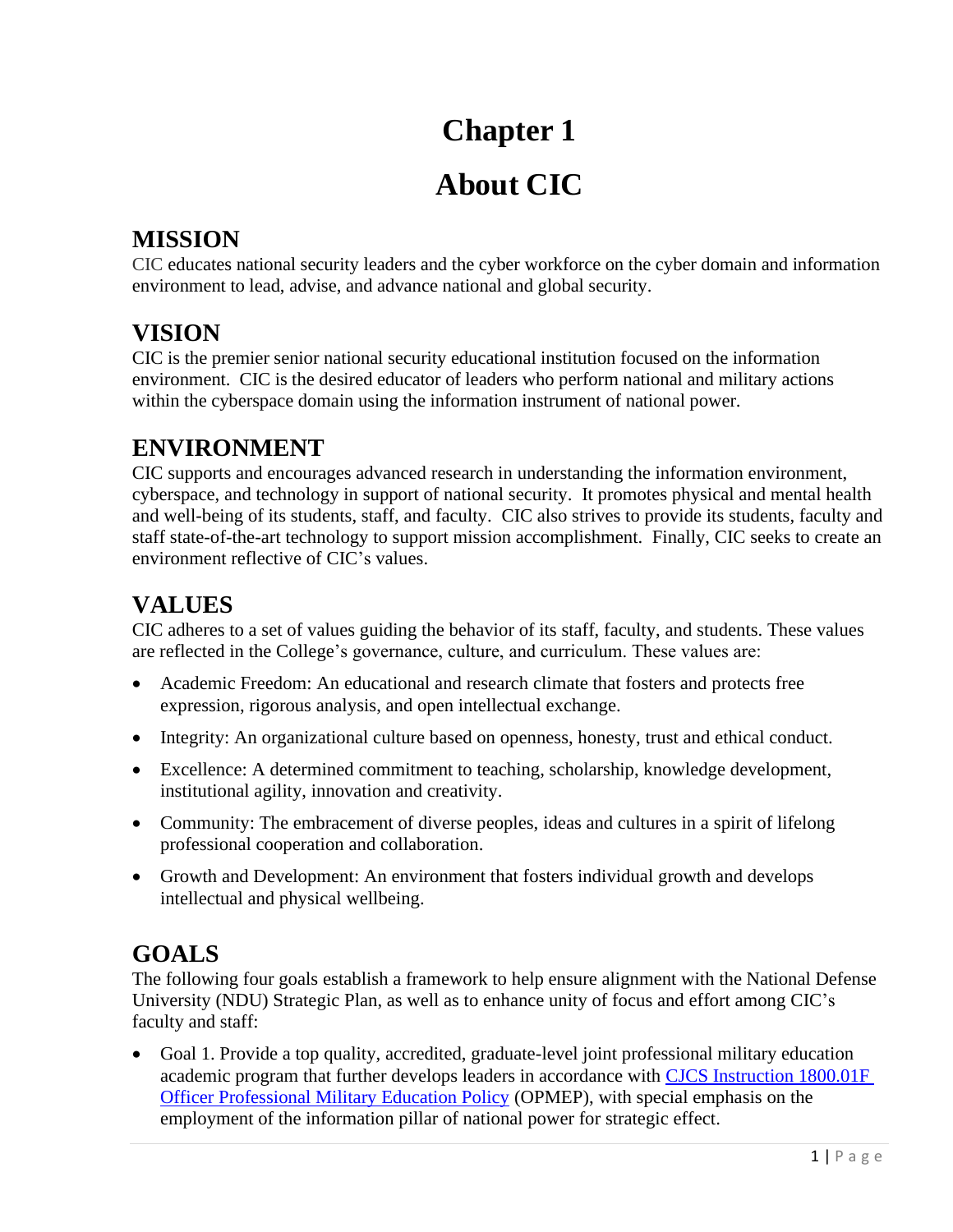## **Chapter 1**

## **About CIC**

### <span id="page-4-0"></span>**MISSION**

CIC educates national security leaders and the cyber workforce on the cyber domain and information environment to lead, advise, and advance national and global security.

### **VISION**

CIC is the premier senior national security educational institution focused on the information environment. CIC is the desired educator of leaders who perform national and military actions within the cyberspace domain using the information instrument of national power.

### **ENVIRONMENT**

CIC supports and encourages advanced research in understanding the information environment, cyberspace, and technology in support of national security. It promotes physical and mental health and well-being of its students, staff, and faculty. CIC also strives to provide its students, faculty and staff state-of-the-art technology to support mission accomplishment. Finally, CIC seeks to create an environment reflective of CIC's values.

### **VALUES**

CIC adheres to a set of values guiding the behavior of its staff, faculty, and students. These values are reflected in the College's governance, culture, and curriculum. These values are:

- Academic Freedom: An educational and research climate that fosters and protects free expression, rigorous analysis, and open intellectual exchange.
- Integrity: An organizational culture based on openness, honesty, trust and ethical conduct.
- Excellence: A determined commitment to teaching, scholarship, knowledge development, institutional agility, innovation and creativity.
- Community: The embracement of diverse peoples, ideas and cultures in a spirit of lifelong professional cooperation and collaboration.
- Growth and Development: An environment that fosters individual growth and develops intellectual and physical wellbeing.

## **GOALS**

The following four goals establish a framework to help ensure alignment with the National Defense University (NDU) Strategic Plan, as well as to enhance unity of focus and effort among CIC's faculty and staff:

• Goal 1. Provide a top quality, accredited, graduate-level joint professional military education academic program that further develops leaders in accordance with [CJCS Instruction 1800.01F](https://www.jcs.mil/Portals/36/Documents/Doctrine/education/cjcsi_1800_01f.pdf?ver=2020-05-15-102430-580) [Officer Professional Military Education Policy](https://www.jcs.mil/Portals/36/Documents/Doctrine/education/cjcsi_1800_01f.pdf?ver=2020-05-15-102430-580) (OPMEP), with special emphasis on the employment of the information pillar of national power for strategic effect.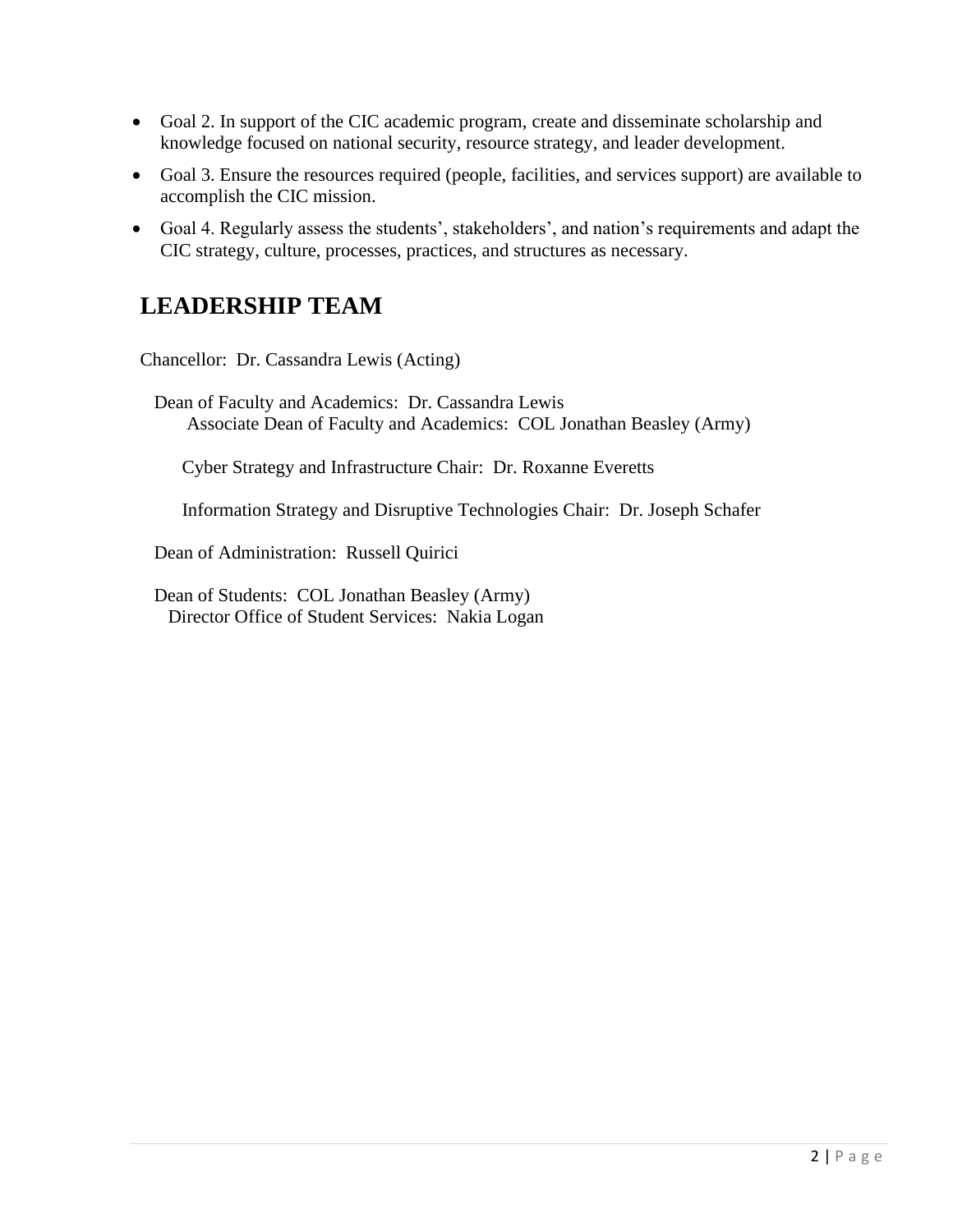- Goal 2. In support of the CIC academic program, create and disseminate scholarship and knowledge focused on national security, resource strategy, and leader development.
- Goal 3. Ensure the resources required (people, facilities, and services support) are available to accomplish the CIC mission.
- Goal 4. Regularly assess the students', stakeholders', and nation's requirements and adapt the CIC strategy, culture, processes, practices, and structures as necessary.

### **LEADERSHIP TEAM**

Chancellor: Dr. Cassandra Lewis (Acting)

 Dean of Faculty and Academics: Dr. Cassandra Lewis Associate Dean of Faculty and Academics: COL Jonathan Beasley (Army)

Cyber Strategy and Infrastructure Chair: Dr. Roxanne Everetts

Information Strategy and Disruptive Technologies Chair: Dr. Joseph Schafer

Dean of Administration: Russell Quirici

<span id="page-5-0"></span> Dean of Students: COL Jonathan Beasley (Army) Director Office of Student Services: Nakia Logan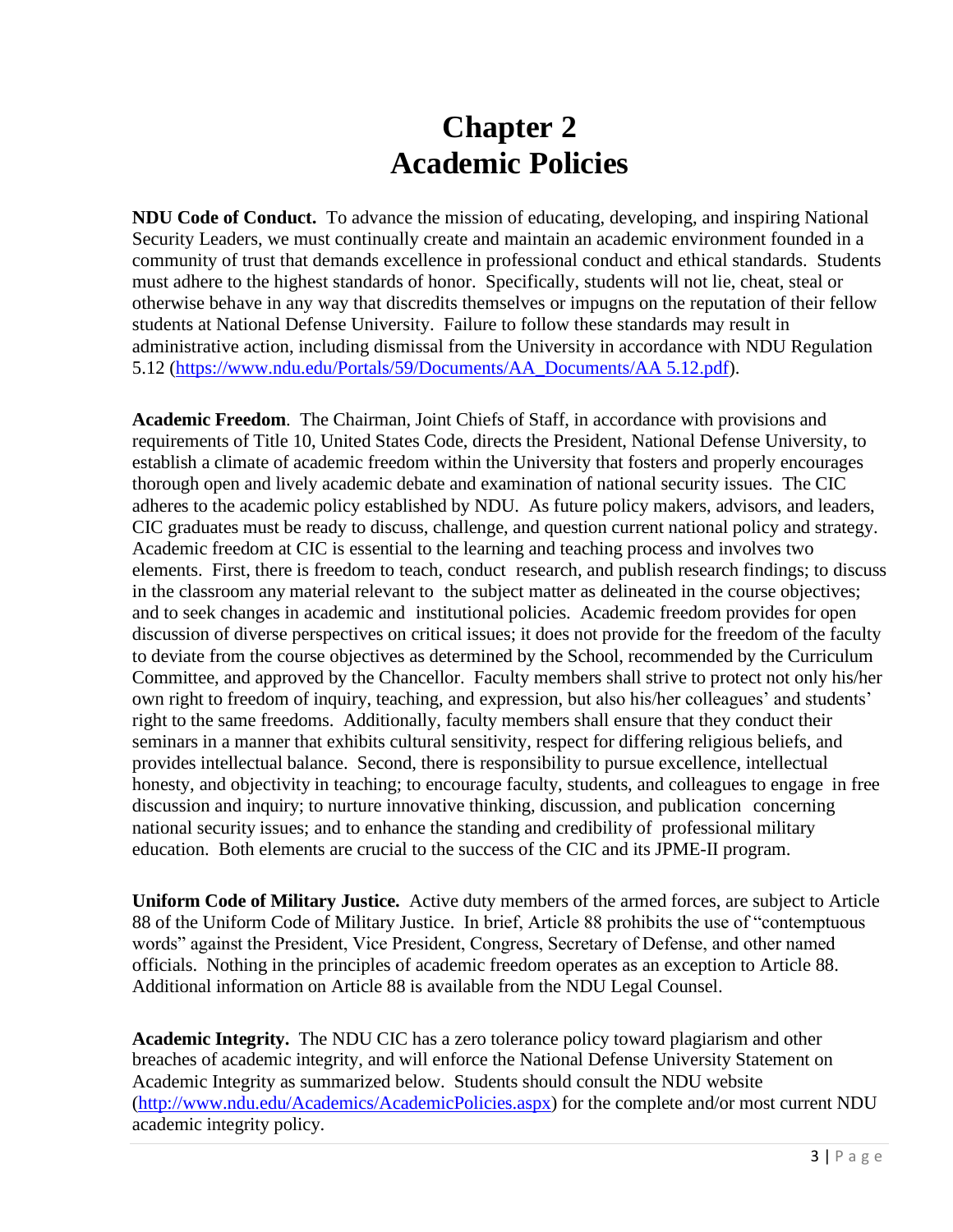## **Chapter 2 Academic Policies**

**NDU Code of Conduct.** To advance the mission of educating, developing, and inspiring National Security Leaders, we must continually create and maintain an academic environment founded in a community of trust that demands excellence in professional conduct and ethical standards. Students must adhere to the highest standards of honor. Specifically, students will not lie, cheat, steal or otherwise behave in any way that discredits themselves or impugns on the reputation of their fellow students at National Defense University. Failure to follow these standards may result in administrative action, including dismissal from the University in accordance with NDU Regulation 5.12 [\(https://www.ndu.edu/Portals/59/Documents/AA\\_Documents/AA 5.12.pdf\)](https://www.ndu.edu/Portals/59/Documents/AA_Documents/AA%205.12.pdf).

**Academic Freedom**. The Chairman, Joint Chiefs of Staff, in accordance with provisions and requirements of Title 10, United States Code, directs the President, National Defense University, to establish a climate of academic freedom within the University that fosters and properly encourages thorough open and lively academic debate and examination of national security issues. The CIC adheres to the academic policy established by NDU. As future policy makers, advisors, and leaders, CIC graduates must be ready to discuss, challenge, and question current national policy and strategy. Academic freedom at CIC is essential to the learning and teaching process and involves two elements. First, there is freedom to teach, conduct research, and publish research findings; to discuss in the classroom any material relevant to the subject matter as delineated in the course objectives; and to seek changes in academic and institutional policies. Academic freedom provides for open discussion of diverse perspectives on critical issues; it does not provide for the freedom of the faculty to deviate from the course objectives as determined by the School, recommended by the Curriculum Committee, and approved by the Chancellor. Faculty members shall strive to protect not only his/her own right to freedom of inquiry, teaching, and expression, but also his/her colleagues' and students' right to the same freedoms. Additionally, faculty members shall ensure that they conduct their seminars in a manner that exhibits cultural sensitivity, respect for differing religious beliefs, and provides intellectual balance. Second, there is responsibility to pursue excellence, intellectual honesty, and objectivity in teaching; to encourage faculty, students, and colleagues to engage in free discussion and inquiry; to nurture innovative thinking, discussion, and publication concerning national security issues; and to enhance the standing and credibility of professional military education. Both elements are crucial to the success of the CIC and its JPME-II program.

**Uniform Code of Military Justice.** Active duty members of the armed forces, are subject to Article 88 of the Uniform Code of Military Justice. In brief, Article 88 prohibits the use of "contemptuous words" against the President, Vice President, Congress, Secretary of Defense, and other named officials. Nothing in the principles of academic freedom operates as an exception to Article 88. Additional information on Article 88 is available from the NDU Legal Counsel.

**Academic Integrity.** The NDU CIC has a zero tolerance policy toward plagiarism and other breaches of academic integrity, and will enforce the National Defense University Statement on Academic Integrity as summarized below. Students should consult the NDU website [\(http://www.ndu.edu/Academics/AcademicPolicies.aspx\)](http://www.ndu.edu/Academics/AcademicPolicies.aspx) for the complete and/or most current NDU academic integrity policy.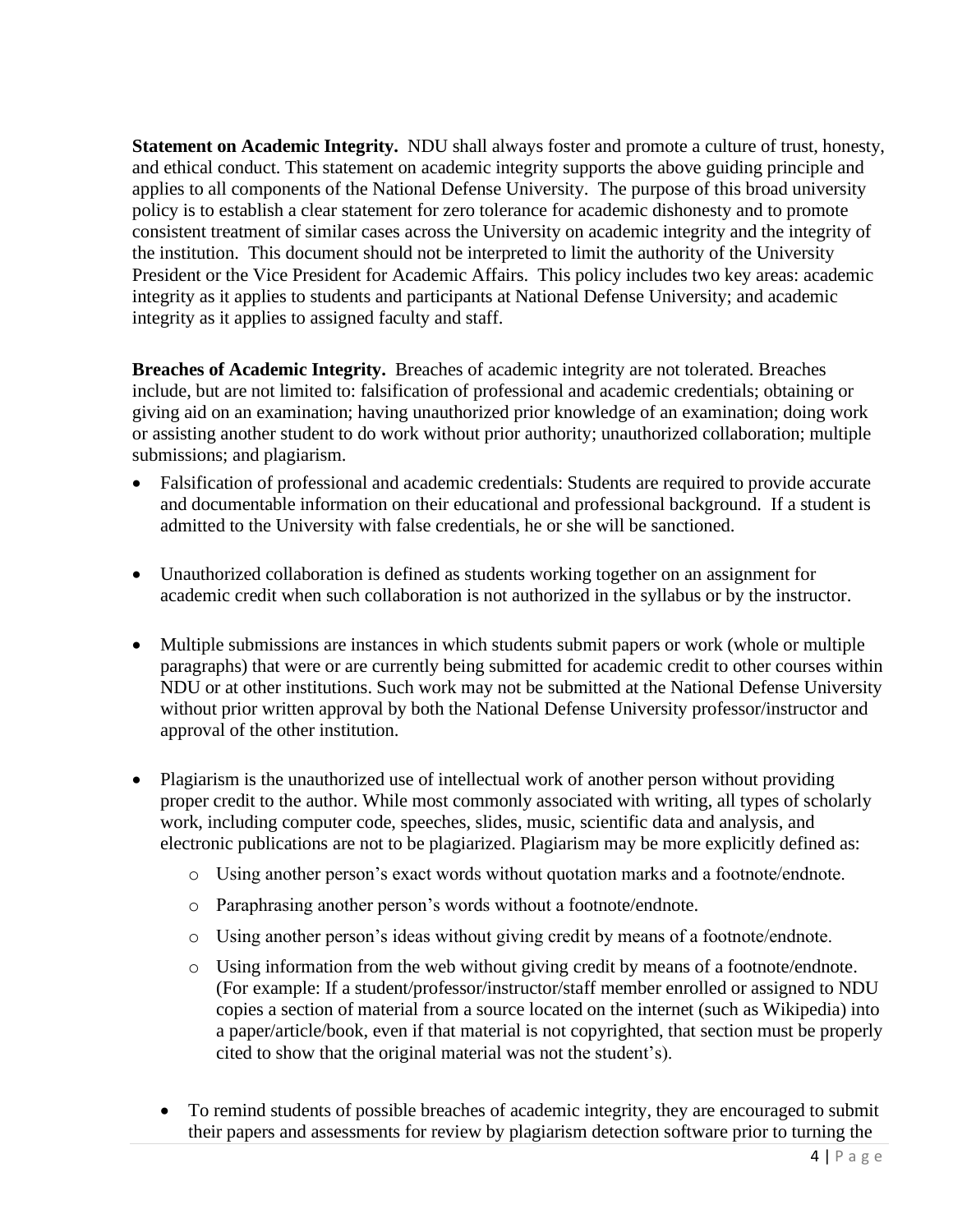**Statement on Academic Integrity.** NDU shall always foster and promote a culture of trust, honesty, and ethical conduct. This statement on academic integrity supports the above guiding principle and applies to all components of the National Defense University. The purpose of this broad university policy is to establish a clear statement for zero tolerance for academic dishonesty and to promote consistent treatment of similar cases across the University on academic integrity and the integrity of the institution. This document should not be interpreted to limit the authority of the University President or the Vice President for Academic Affairs. This policy includes two key areas: academic integrity as it applies to students and participants at National Defense University; and academic integrity as it applies to assigned faculty and staff.

**Breaches of Academic Integrity.** Breaches of academic integrity are not tolerated. Breaches include, but are not limited to: falsification of professional and academic credentials; obtaining or giving aid on an examination; having unauthorized prior knowledge of an examination; doing work or assisting another student to do work without prior authority; unauthorized collaboration; multiple submissions; and plagiarism.

- Falsification of professional and academic credentials: Students are required to provide accurate and documentable information on their educational and professional background. If a student is admitted to the University with false credentials, he or she will be sanctioned.
- Unauthorized collaboration is defined as students working together on an assignment for academic credit when such collaboration is not authorized in the syllabus or by the instructor.
- Multiple submissions are instances in which students submit papers or work (whole or multiple paragraphs) that were or are currently being submitted for academic credit to other courses within NDU or at other institutions. Such work may not be submitted at the National Defense University without prior written approval by both the National Defense University professor/instructor and approval of the other institution.
- Plagiarism is the unauthorized use of intellectual work of another person without providing proper credit to the author. While most commonly associated with writing, all types of scholarly work, including computer code, speeches, slides, music, scientific data and analysis, and electronic publications are not to be plagiarized. Plagiarism may be more explicitly defined as:
	- o Using another person's exact words without quotation marks and a footnote/endnote.
	- o Paraphrasing another person's words without a footnote/endnote.
	- o Using another person's ideas without giving credit by means of a footnote/endnote.
	- o Using information from the web without giving credit by means of a footnote/endnote. (For example: If a student/professor/instructor/staff member enrolled or assigned to NDU copies a section of material from a source located on the internet (such as Wikipedia) into a paper/article/book, even if that material is not copyrighted, that section must be properly cited to show that the original material was not the student's).
	- To remind students of possible breaches of academic integrity, they are encouraged to submit their papers and assessments for review by plagiarism detection software prior to turning the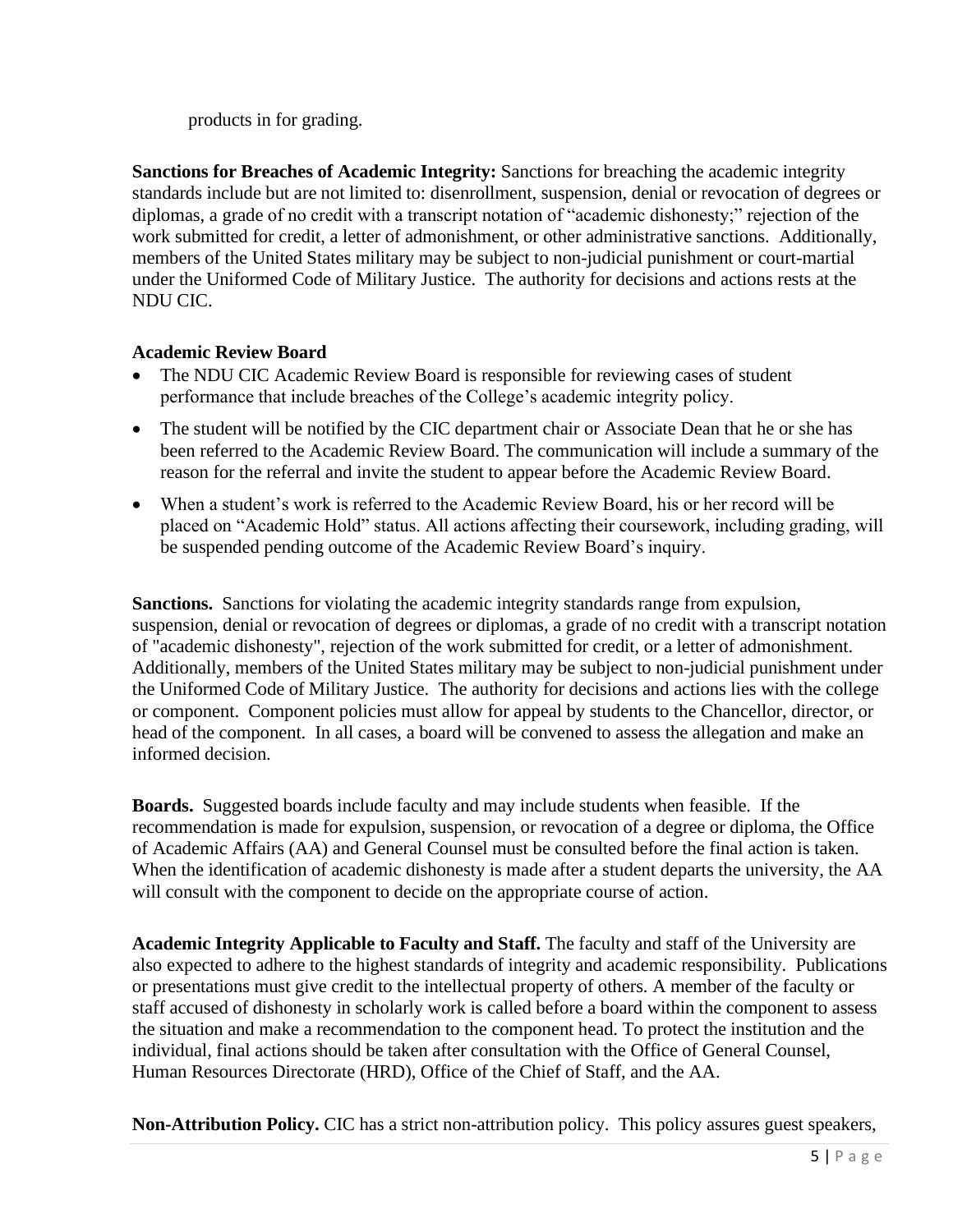products in for grading.

**Sanctions for Breaches of Academic Integrity:** Sanctions for breaching the academic integrity standards include but are not limited to: disenrollment, suspension, denial or revocation of degrees or diplomas, a grade of no credit with a transcript notation of "academic dishonesty;" rejection of the work submitted for credit, a letter of admonishment, or other administrative sanctions. Additionally, members of the United States military may be subject to non-judicial punishment or court-martial under the Uniformed Code of Military Justice. The authority for decisions and actions rests at the NDU CIC.

### **Academic Review Board**

- The NDU CIC Academic Review Board is responsible for reviewing cases of student performance that include breaches of the College's academic integrity policy.
- The student will be notified by the CIC department chair or Associate Dean that he or she has been referred to the Academic Review Board. The communication will include a summary of the reason for the referral and invite the student to appear before the Academic Review Board.
- When a student's work is referred to the Academic Review Board, his or her record will be placed on "Academic Hold" status. All actions affecting their coursework, including grading, will be suspended pending outcome of the Academic Review Board's inquiry.

**Sanctions.** Sanctions for violating the academic integrity standards range from expulsion, suspension, denial or revocation of degrees or diplomas, a grade of no credit with a transcript notation of "academic dishonesty", rejection of the work submitted for credit, or a letter of admonishment. Additionally, members of the United States military may be subject to non-judicial punishment under the Uniformed Code of Military Justice. The authority for decisions and actions lies with the college or component. Component policies must allow for appeal by students to the Chancellor, director, or head of the component. In all cases, a board will be convened to assess the allegation and make an informed decision.

**Boards.** Suggested boards include faculty and may include students when feasible. If the recommendation is made for expulsion, suspension, or revocation of a degree or diploma, the Office of Academic Affairs (AA) and General Counsel must be consulted before the final action is taken. When the identification of academic dishonesty is made after a student departs the university, the AA will consult with the component to decide on the appropriate course of action.

**Academic Integrity Applicable to Faculty and Staff.** The faculty and staff of the University are also expected to adhere to the highest standards of integrity and academic responsibility. Publications or presentations must give credit to the intellectual property of others. A member of the faculty or staff accused of dishonesty in scholarly work is called before a board within the component to assess the situation and make a recommendation to the component head. To protect the institution and the individual, final actions should be taken after consultation with the Office of General Counsel, Human Resources Directorate (HRD), Office of the Chief of Staff, and the AA.

**Non-Attribution Policy.** CIC has a strict non-attribution policy. This policy assures guest speakers,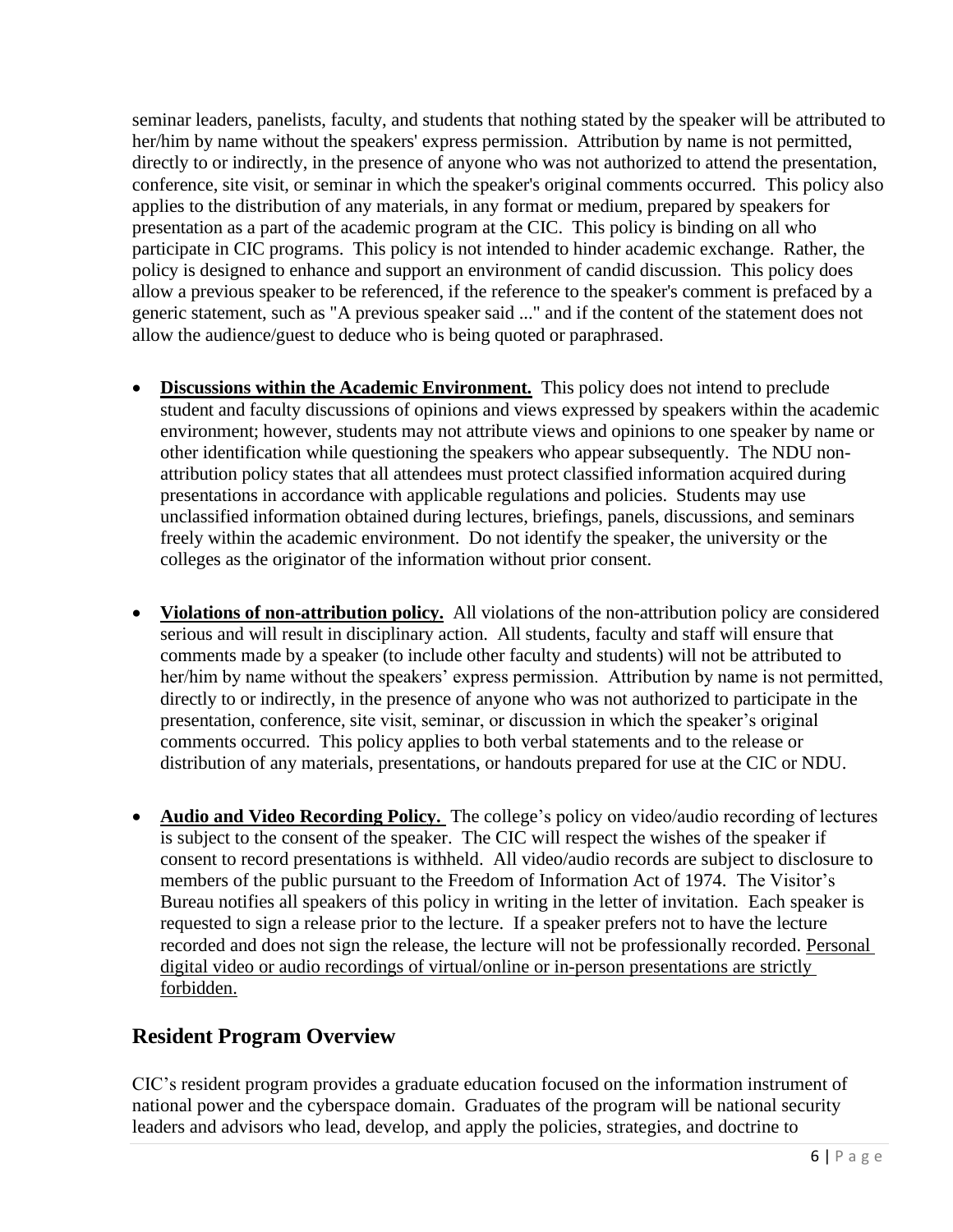seminar leaders, panelists, faculty, and students that nothing stated by the speaker will be attributed to her/him by name without the speakers' express permission. Attribution by name is not permitted, directly to or indirectly, in the presence of anyone who was not authorized to attend the presentation, conference, site visit, or seminar in which the speaker's original comments occurred. This policy also applies to the distribution of any materials, in any format or medium, prepared by speakers for presentation as a part of the academic program at the CIC. This policy is binding on all who participate in CIC programs. This policy is not intended to hinder academic exchange. Rather, the policy is designed to enhance and support an environment of candid discussion. This policy does allow a previous speaker to be referenced, if the reference to the speaker's comment is prefaced by a generic statement, such as "A previous speaker said ..." and if the content of the statement does not allow the audience/guest to deduce who is being quoted or paraphrased.

- **Discussions within the Academic Environment.** This policy does not intend to preclude student and faculty discussions of opinions and views expressed by speakers within the academic environment; however, students may not attribute views and opinions to one speaker by name or other identification while questioning the speakers who appear subsequently. The NDU nonattribution policy states that all attendees must protect classified information acquired during presentations in accordance with applicable regulations and policies. Students may use unclassified information obtained during lectures, briefings, panels, discussions, and seminars freely within the academic environment. Do not identify the speaker, the university or the colleges as the originator of the information without prior consent.
- **Violations of non-attribution policy.** All violations of the non-attribution policy are considered serious and will result in disciplinary action. All students, faculty and staff will ensure that comments made by a speaker (to include other faculty and students) will not be attributed to her/him by name without the speakers' express permission. Attribution by name is not permitted, directly to or indirectly, in the presence of anyone who was not authorized to participate in the presentation, conference, site visit, seminar, or discussion in which the speaker's original comments occurred. This policy applies to both verbal statements and to the release or distribution of any materials, presentations, or handouts prepared for use at the CIC or NDU.
- **Audio and Video Recording Policy.** The college's policy on video/audio recording of lectures is subject to the consent of the speaker. The CIC will respect the wishes of the speaker if consent to record presentations is withheld. All video/audio records are subject to disclosure to members of the public pursuant to the Freedom of Information Act of 1974. The Visitor's Bureau notifies all speakers of this policy in writing in the letter of invitation. Each speaker is requested to sign a release prior to the lecture. If a speaker prefers not to have the lecture recorded and does not sign the release, the lecture will not be professionally recorded. Personal digital video or audio recordings of virtual/online or in-person presentations are strictly forbidden.

### **Resident Program Overview**

CIC's resident program provides a graduate education focused on the information instrument of national power and the cyberspace domain. Graduates of the program will be national security leaders and advisors who lead, develop, and apply the policies, strategies, and doctrine to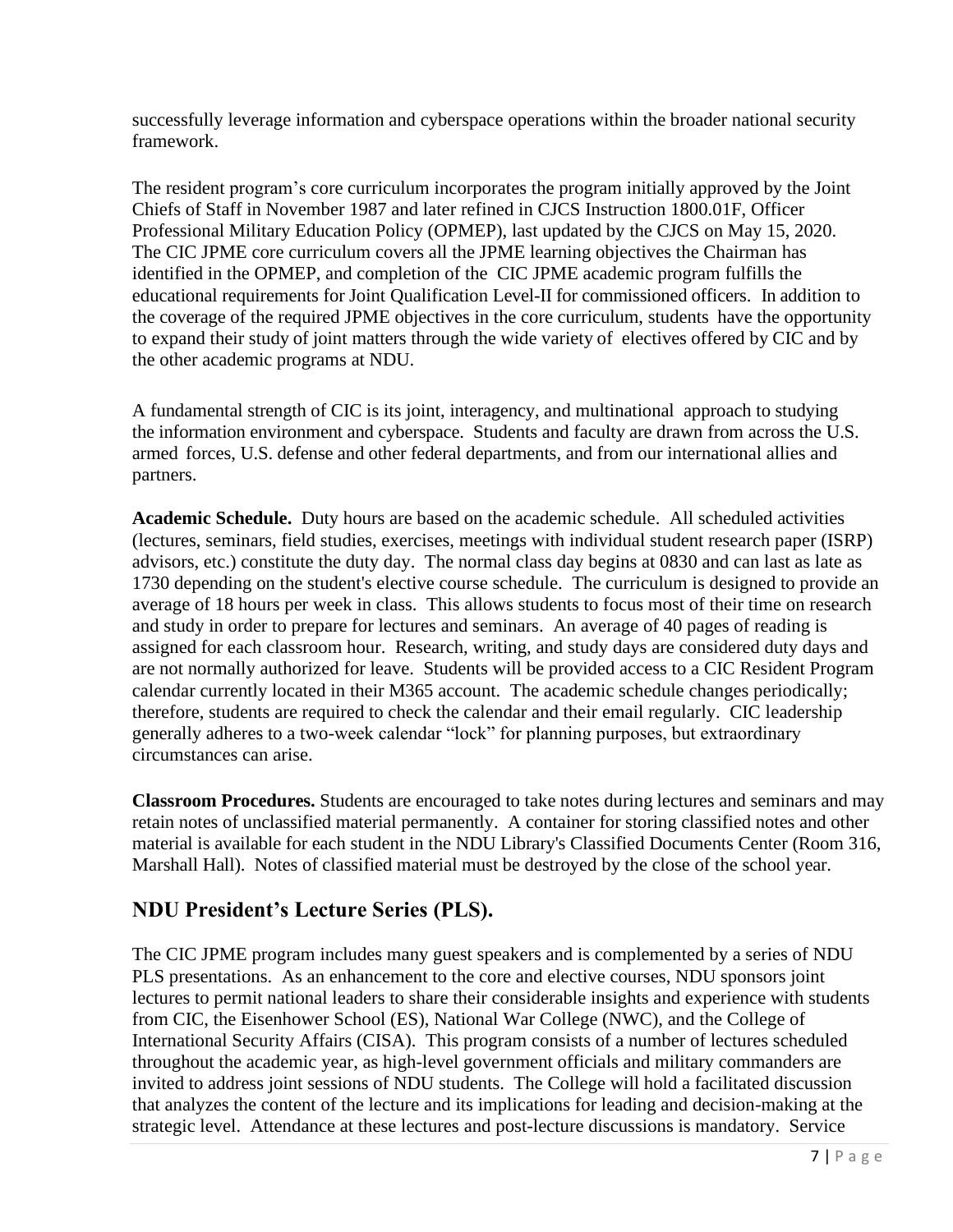successfully leverage information and cyberspace operations within the broader national security framework.

The resident program's core curriculum incorporates the program initially approved by the Joint Chiefs of Staff in November 1987 and later refined in CJCS Instruction 1800.01F, Officer Professional Military Education Policy (OPMEP), last updated by the CJCS on May 15, 2020. The CIC JPME core curriculum covers all the JPME learning objectives the Chairman has identified in the OPMEP, and completion of the CIC JPME academic program fulfills the educational requirements for Joint Qualification Level-II for commissioned officers. In addition to the coverage of the required JPME objectives in the core curriculum, students have the opportunity to expand their study of joint matters through the wide variety of electives offered by CIC and by the other academic programs at NDU.

<span id="page-10-2"></span>A fundamental strength of CIC is its joint, interagency, and multinational approach to studying the information environment and cyberspace. Students and faculty are drawn from across the U.S. armed forces, U.S. defense and other federal departments, and from our international allies and partners.

**Academic Schedule.** Duty hours are based on the academic schedule. All scheduled activities (lectures, seminars, field studies, exercises, meetings with individual student research paper (ISRP) advisors, etc.) constitute the duty day. The normal class day begins at 0830 and can last as late as 1730 depending on the student's elective course schedule. The curriculum is designed to provide an average of 18 hours per week in class. This allows students to focus most of their time on research and study in order to prepare for lectures and seminars. An average of 40 pages of reading is assigned for each classroom hour. Research, writing, and study days are considered duty days and are not normally authorized for leave. Students will be provided access to a CIC Resident Program calendar currently located in their M365 account. The academic schedule changes periodically; therefore, students are required to check the calendar and their email regularly. CIC leadership generally adheres to a two-week calendar "lock" for planning purposes, but extraordinary circumstances can arise.

<span id="page-10-0"></span>**Classroom Procedures.** Students are encouraged to take notes during lectures and seminars and may retain notes of unclassified material permanently. A container for storing classified notes and other material is available for each student in the NDU Library's Classified Documents Center (Room 316, Marshall Hall). Notes of classified material must be destroyed by the close of the school year.

### <span id="page-10-1"></span>**NDU President's Lecture Series (PLS).**

The CIC JPME program includes many guest speakers and is complemented by a series of NDU PLS presentations. As an enhancement to the core and elective courses, NDU sponsors joint lectures to permit national leaders to share their considerable insights and experience with students from CIC, the Eisenhower School (ES), National War College (NWC), and the College of International Security Affairs (CISA). This program consists of a number of lectures scheduled throughout the academic year, as high-level government officials and military commanders are invited to address joint sessions of NDU students. The College will hold a facilitated discussion that analyzes the content of the lecture and its implications for leading and decision-making at the strategic level. Attendance at these lectures and post-lecture discussions is mandatory. Service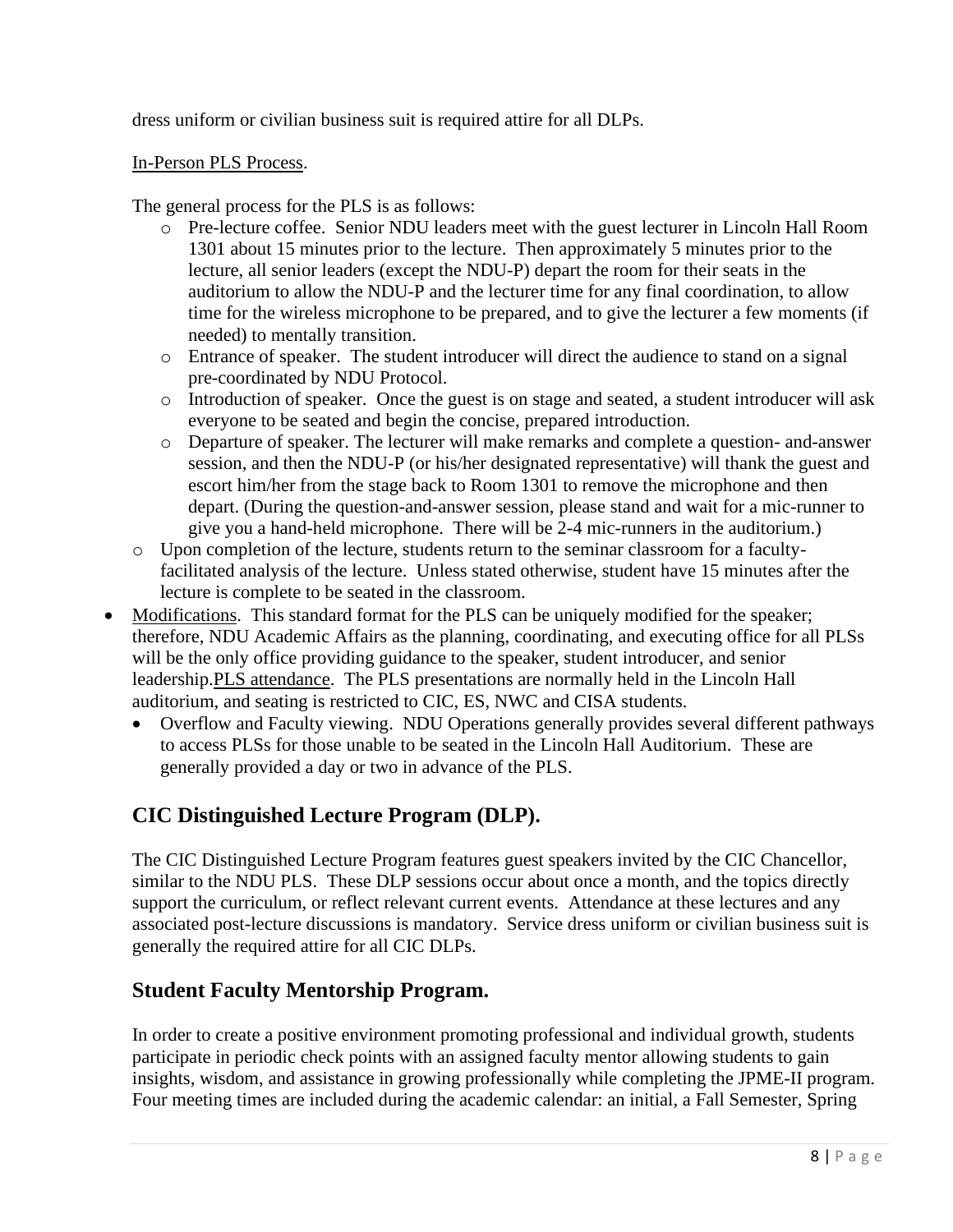dress uniform or civilian business suit is required attire for all DLPs.

In-Person PLS Process.

The general process for the PLS is as follows:

- o Pre-lecture coffee. Senior NDU leaders meet with the guest lecturer in Lincoln Hall Room 1301 about 15 minutes prior to the lecture. Then approximately 5 minutes prior to the lecture, all senior leaders (except the NDU-P) depart the room for their seats in the auditorium to allow the NDU-P and the lecturer time for any final coordination, to allow time for the wireless microphone to be prepared, and to give the lecturer a few moments (if needed) to mentally transition.
- o Entrance of speaker. The student introducer will direct the audience to stand on a signal pre-coordinated by NDU Protocol.
- o Introduction of speaker. Once the guest is on stage and seated, a student introducer will ask everyone to be seated and begin the concise, prepared introduction.
- o Departure of speaker. The lecturer will make remarks and complete a question- and-answer session, and then the NDU-P (or his/her designated representative) will thank the guest and escort him/her from the stage back to Room 1301 to remove the microphone and then depart. (During the question-and-answer session, please stand and wait for a mic-runner to give you a hand-held microphone. There will be 2-4 mic-runners in the auditorium.)
- o Upon completion of the lecture, students return to the seminar classroom for a facultyfacilitated analysis of the lecture. Unless stated otherwise, student have 15 minutes after the lecture is complete to be seated in the classroom.
- Modifications. This standard format for the PLS can be uniquely modified for the speaker; therefore, NDU Academic Affairs as the planning, coordinating, and executing office for all PLSs will be the only office providing guidance to the speaker, student introducer, and senior leadership.PLS attendance. The PLS presentations are normally held in the Lincoln Hall auditorium, and seating is restricted to CIC, ES, NWC and CISA students.
	- Overflow and Faculty viewing. NDU Operations generally provides several different pathways to access PLSs for those unable to be seated in the Lincoln Hall Auditorium. These are generally provided a day or two in advance of the PLS.

### **CIC Distinguished Lecture Program (DLP).**

The CIC Distinguished Lecture Program features guest speakers invited by the CIC Chancellor, similar to the NDU PLS. These DLP sessions occur about once a month, and the topics directly support the curriculum, or reflect relevant current events. Attendance at these lectures and any associated post-lecture discussions is mandatory. Service dress uniform or civilian business suit is generally the required attire for all CIC DLPs.

### **Student Faculty Mentorship Program.**

In order to create a positive environment promoting professional and individual growth, students participate in periodic check points with an assigned faculty mentor allowing students to gain insights, wisdom, and assistance in growing professionally while completing the JPME-II program. Four meeting times are included during the academic calendar: an initial, a Fall Semester, Spring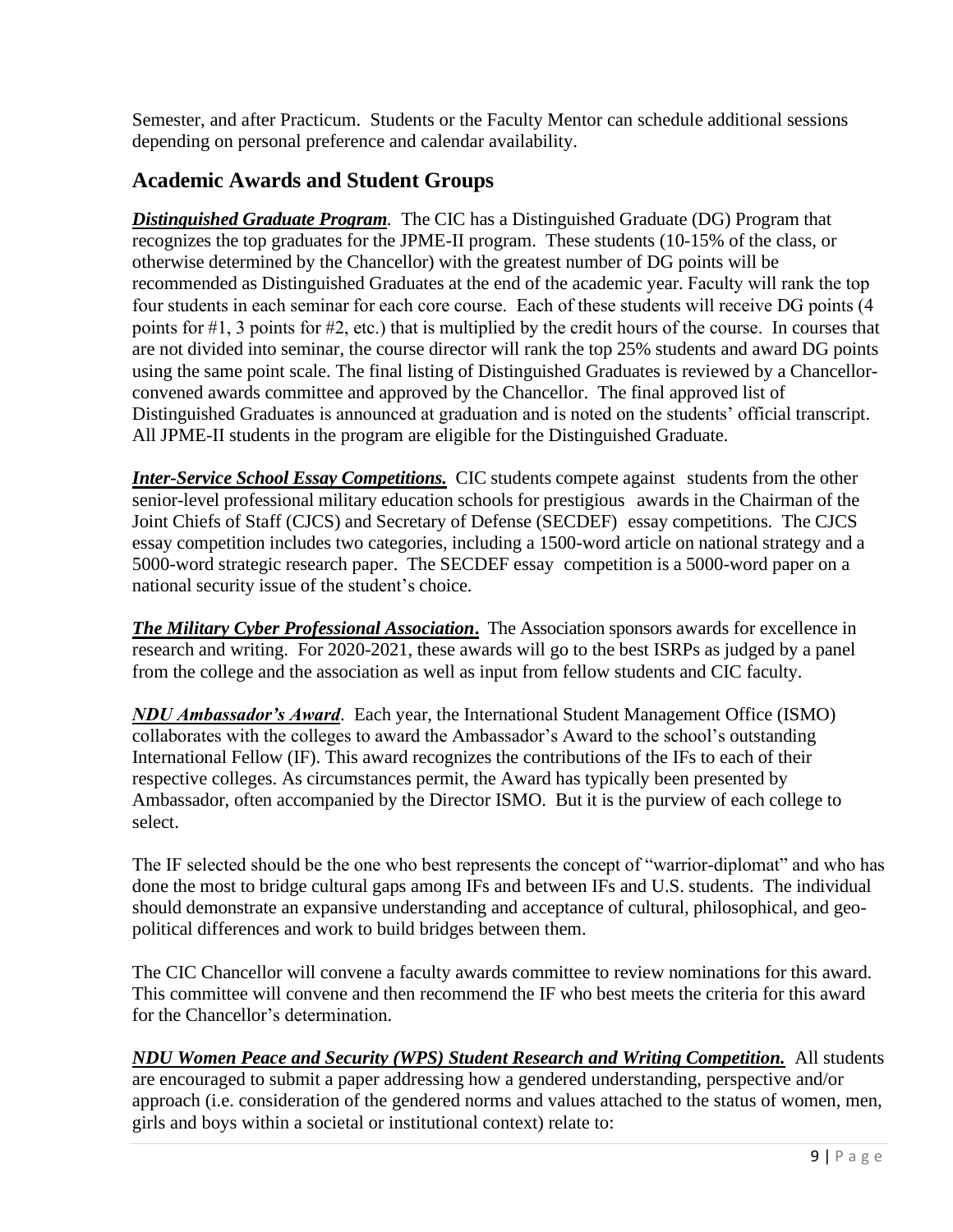Semester, and after Practicum. Students or the Faculty Mentor can schedule additional sessions depending on personal preference and calendar availability.

### **Academic Awards and Student Groups**

*Distinguished Graduate Program.* The CIC has a Distinguished Graduate (DG) Program that recognizes the top graduates for the JPME-II program. These students (10-15% of the class, or otherwise determined by the Chancellor) with the greatest number of DG points will be recommended as Distinguished Graduates at the end of the academic year. Faculty will rank the top four students in each seminar for each core course. Each of these students will receive DG points (4 points for #1, 3 points for #2, etc.) that is multiplied by the credit hours of the course. In courses that are not divided into seminar, the course director will rank the top 25% students and award DG points using the same point scale. The final listing of Distinguished Graduates is reviewed by a Chancellorconvened awards committee and approved by the Chancellor. The final approved list of Distinguished Graduates is announced at graduation and is noted on the students' official transcript. All JPME-II students in the program are eligible for the Distinguished Graduate.

*Inter-Service School Essay Competitions.* CIC students compete against students from the other senior-level professional military education schools for prestigious awards in the Chairman of the Joint Chiefs of Staff (CJCS) and Secretary of Defense (SECDEF) essay competitions. The CJCS essay competition includes two categories, including a 1500-word article on national strategy and a 5000-word strategic research paper. The SECDEF essay competition is a 5000-word paper on a national security issue of the student's choice.

*The Military Cyber Professional Association***.** The Association sponsors awards for excellence in research and writing. For 2020-2021, these awards will go to the best ISRPs as judged by a panel from the college and the association as well as input from fellow students and CIC faculty.

*NDU Ambassador's Award*. Each year, the International Student Management Office (ISMO) collaborates with the colleges to award the Ambassador's Award to the school's outstanding International Fellow (IF). This award recognizes the contributions of the IFs to each of their respective colleges. As circumstances permit, the Award has typically been presented by Ambassador, often accompanied by the Director ISMO. But it is the purview of each college to select.

The IF selected should be the one who best represents the concept of "warrior-diplomat" and who has done the most to bridge cultural gaps among IFs and between IFs and U.S. students. The individual should demonstrate an expansive understanding and acceptance of cultural, philosophical, and geopolitical differences and work to build bridges between them.

The CIC Chancellor will convene a faculty awards committee to review nominations for this award. This committee will convene and then recommend the IF who best meets the criteria for this award for the Chancellor's determination.

### *NDU Women Peace and Security (WPS) Student Research and Writing Competition.*All students are encouraged to submit a paper addressing how a gendered understanding, perspective and/or approach (i.e. consideration of the gendered norms and values attached to the status of women, men, girls and boys within a societal or institutional context) relate to: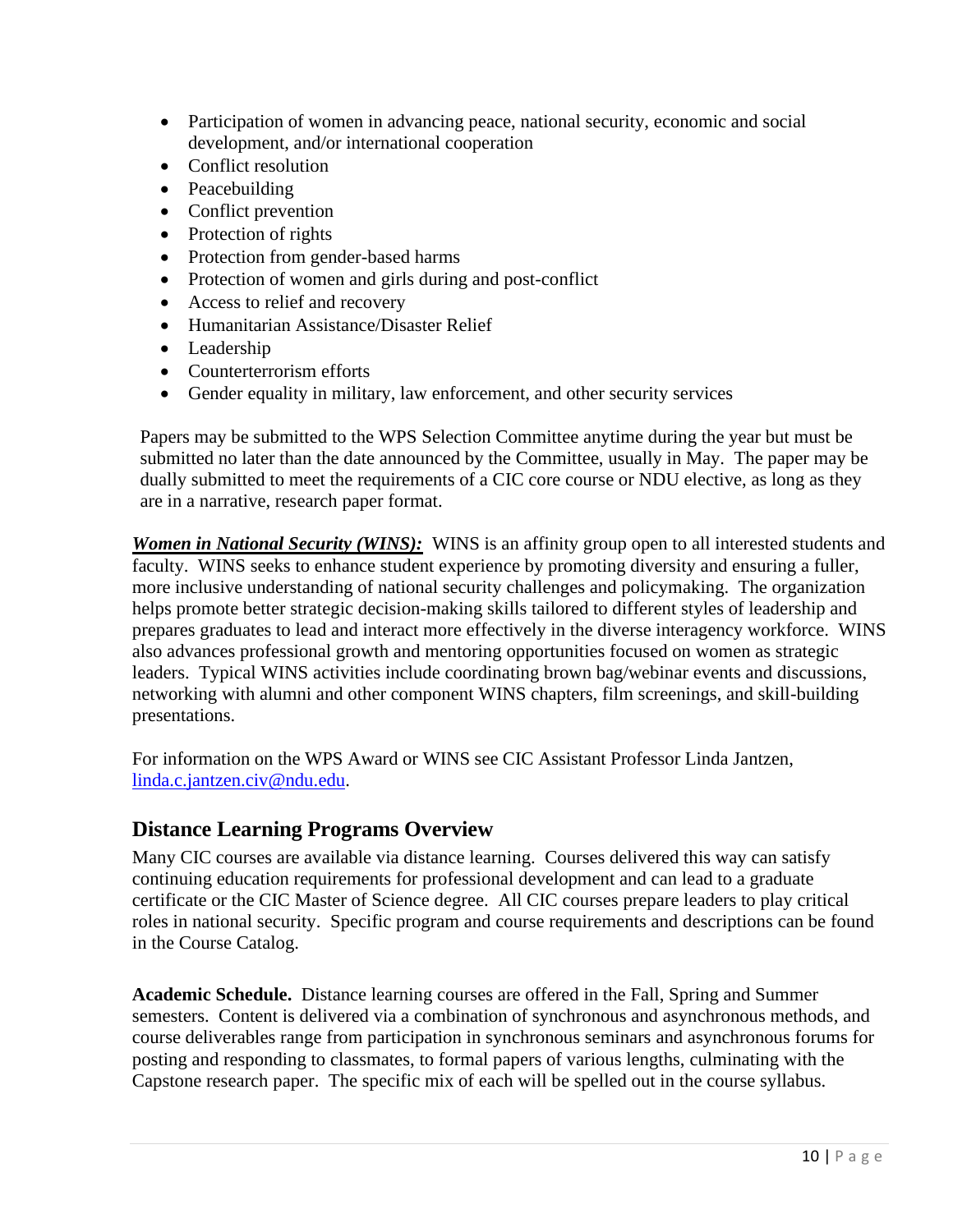- Participation of women in advancing peace, national security, economic and social development, and/or international cooperation
- Conflict resolution
- Peacebuilding
- Conflict prevention
- Protection of rights
- Protection from gender-based harms
- Protection of women and girls during and post-conflict
- Access to relief and recovery
- Humanitarian Assistance/Disaster Relief
- Leadership
- Counterterrorism efforts
- Gender equality in military, law enforcement, and other security services

Papers may be submitted to the WPS Selection Committee anytime during the year but must be submitted no later than the date announced by the Committee, usually in May. The paper may be dually submitted to meet the requirements of a CIC core course or NDU elective, as long as they are in a narrative, research paper format.

*Women in National Security (WINS):* WINS is an affinity group open to all interested students and faculty. WINS seeks to enhance student experience by promoting diversity and ensuring a fuller, more inclusive understanding of national security challenges and policymaking. The organization helps promote better strategic decision-making skills tailored to different styles of leadership and prepares graduates to lead and interact more effectively in the diverse interagency workforce. WINS also advances professional growth and mentoring opportunities focused on women as strategic leaders. Typical WINS activities include coordinating brown bag/webinar events and discussions, networking with alumni and other component WINS chapters, film screenings, and skill-building presentations.

For information on the WPS Award or WINS see CIC Assistant Professor Linda Jantzen, [linda.c.jantzen.civ@ndu.edu.](mailto:linda.c.jantzen.civ@ndu.edu)

### **Distance Learning Programs Overview**

Many CIC courses are available via distance learning. Courses delivered this way can satisfy continuing education requirements for professional development and can lead to a graduate certificate or the CIC Master of Science degree. All CIC courses prepare leaders to play critical roles in national security. Specific program and course requirements and descriptions can be found in the Course Catalog.

**Academic Schedule.** Distance learning courses are offered in the Fall, Spring and Summer semesters. Content is delivered via a combination of synchronous and asynchronous methods, and course deliverables range from participation in synchronous seminars and asynchronous forums for posting and responding to classmates, to formal papers of various lengths, culminating with the Capstone research paper. The specific mix of each will be spelled out in the course syllabus.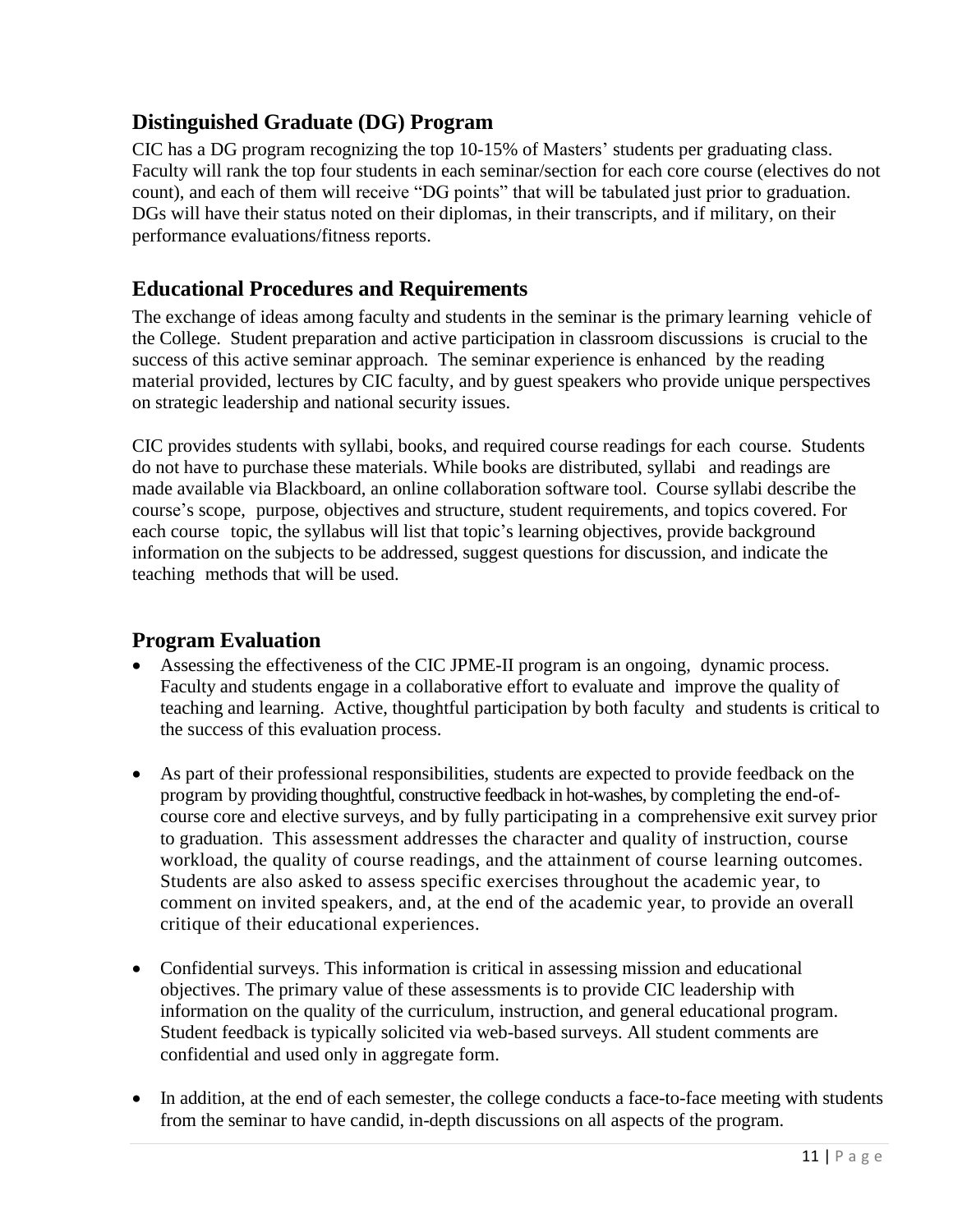### **Distinguished Graduate (DG) Program**

CIC has a DG program recognizing the top 10-15% of Masters' students per graduating class. Faculty will rank the top four students in each seminar/section for each core course (electives do not count), and each of them will receive "DG points" that will be tabulated just prior to graduation. DGs will have their status noted on their diplomas, in their transcripts, and if military, on their performance evaluations/fitness reports.

### **Educational Procedures and Requirements**

The exchange of ideas among faculty and students in the seminar is the primary learning vehicle of the College. Student preparation and active participation in classroom discussions is crucial to the success of this active seminar approach. The seminar experience is enhanced by the reading material provided, lectures by CIC faculty, and by guest speakers who provide unique perspectives on strategic leadership and national security issues.

CIC provides students with syllabi, books, and required course readings for each course. Students do not have to purchase these materials. While books are distributed, syllabi and readings are made available via Blackboard, an online collaboration software tool. Course syllabi describe the course's scope, purpose, objectives and structure, student requirements, and topics covered. For each course topic, the syllabus will list that topic's learning objectives, provide background information on the subjects to be addressed, suggest questions for discussion, and indicate the teaching methods that will be used.

### **Program Evaluation**

- Assessing the effectiveness of the CIC JPME-II program is an ongoing, dynamic process. Faculty and students engage in a collaborative effort to evaluate and improve the quality of teaching and learning. Active, thoughtful participation by both faculty and students is critical to the success of this evaluation process.
- As part of their professional responsibilities, students are expected to provide feedback on the program by providing thoughtful, constructive feedback in hot-washes, by completing the end-ofcourse core and elective surveys, and by fully participating in a comprehensive exit survey prior to graduation. This assessment addresses the character and quality of instruction, course workload, the quality of course readings, and the attainment of course learning outcomes. Students are also asked to assess specific exercises throughout the academic year, to comment on invited speakers, and, at the end of the academic year, to provide an overall critique of their educational experiences.
- Confidential surveys. This information is critical in assessing mission and educational objectives. The primary value of these assessments is to provide CIC leadership with information on the quality of the curriculum, instruction, and general educational program. Student feedback is typically solicited via web-based surveys. All student comments are confidential and used only in aggregate form.
- In addition, at the end of each semester, the college conducts a face-to-face meeting with students from the seminar to have candid, in-depth discussions on all aspects of the program.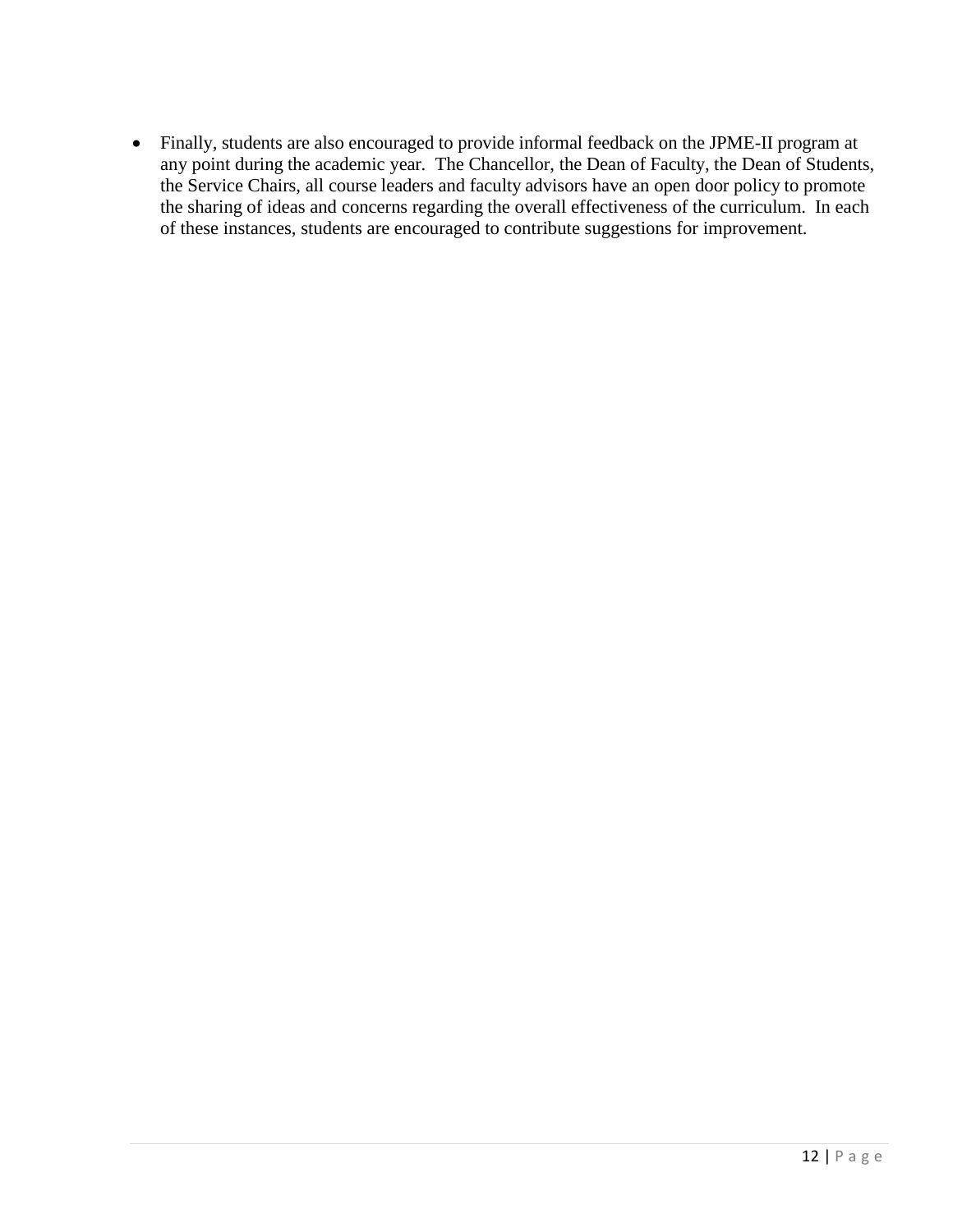• Finally, students are also encouraged to provide informal feedback on the JPME-II program at any point during the academic year. The Chancellor, the Dean of Faculty, the Dean of Students, the Service Chairs, all course leaders and faculty advisors have an open door policy to promote the sharing of ideas and concerns regarding the overall effectiveness of the curriculum. In each of these instances, students are encouraged to contribute suggestions for improvement.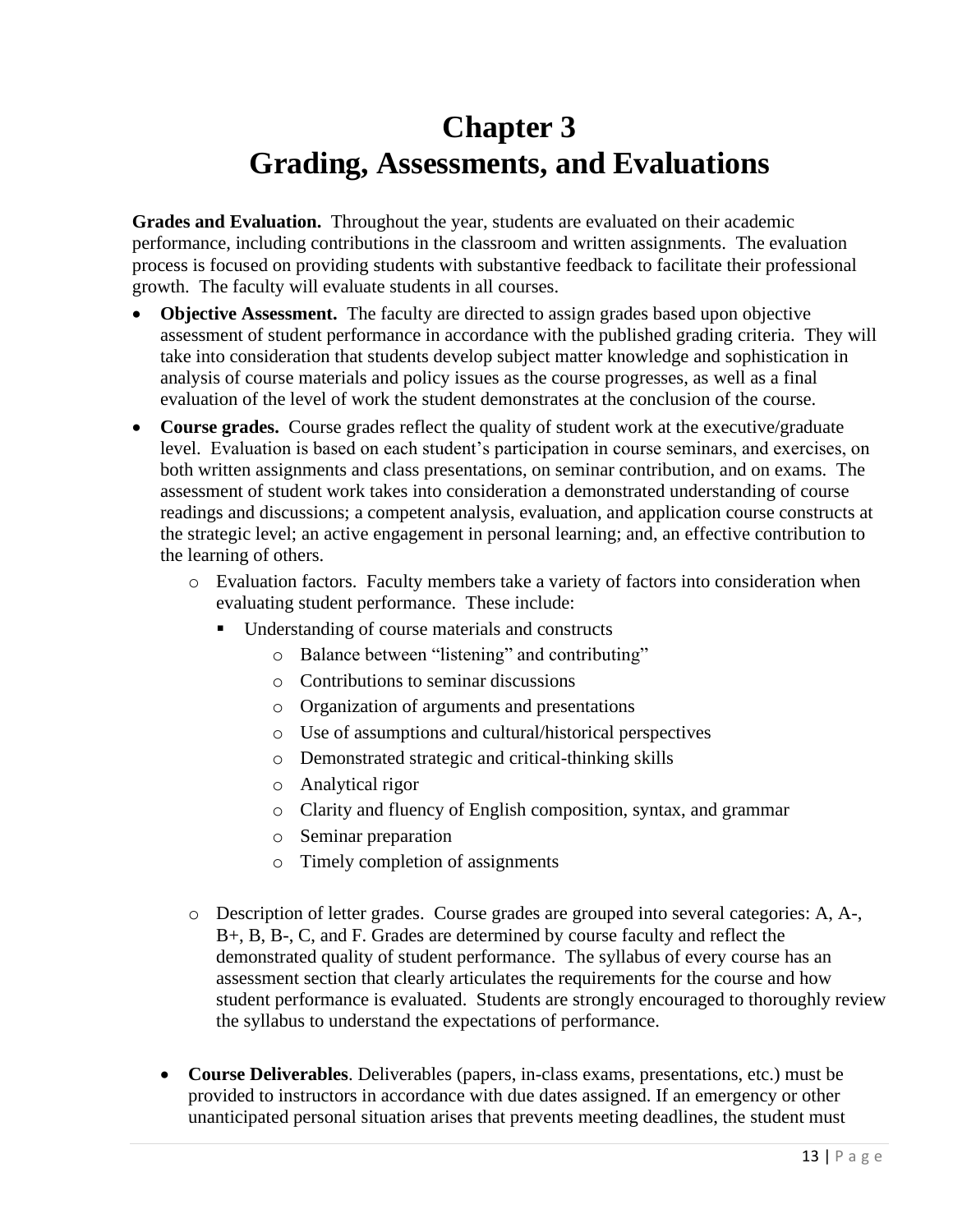## **Chapter 3 Grading, Assessments, and Evaluations**

**Grades and Evaluation.** Throughout the year, students are evaluated on their academic performance, including contributions in the classroom and written assignments. The evaluation process is focused on providing students with substantive feedback to facilitate their professional growth. The faculty will evaluate students in all courses.

- **Objective Assessment.** The faculty are directed to assign grades based upon objective assessment of student performance in accordance with the published grading criteria. They will take into consideration that students develop subject matter knowledge and sophistication in analysis of course materials and policy issues as the course progresses, as well as a final evaluation of the level of work the student demonstrates at the conclusion of the course.
- **Course grades.** Course grades reflect the quality of student work at the executive/graduate level. Evaluation is based on each student's participation in course seminars, and exercises, on both written assignments and class presentations, on seminar contribution, and on exams. The assessment of student work takes into consideration a demonstrated understanding of course readings and discussions; a competent analysis, evaluation, and application course constructs at the strategic level; an active engagement in personal learning; and, an effective contribution to the learning of others.
	- o Evaluation factors. Faculty members take a variety of factors into consideration when evaluating student performance. These include:
		- Understanding of course materials and constructs
			- o Balance between "listening" and contributing"
			- o Contributions to seminar discussions
			- o Organization of arguments and presentations
			- o Use of assumptions and cultural/historical perspectives
			- o Demonstrated strategic and critical-thinking skills
			- o Analytical rigor
			- o Clarity and fluency of English composition, syntax, and grammar
			- o Seminar preparation
			- o Timely completion of assignments
	- o Description of letter grades. Course grades are grouped into several categories: A, A-, B+, B, B-, C, and F. Grades are determined by course faculty and reflect the demonstrated quality of student performance. The syllabus of every course has an assessment section that clearly articulates the requirements for the course and how student performance is evaluated. Students are strongly encouraged to thoroughly review the syllabus to understand the expectations of performance.
	- **Course Deliverables**. Deliverables (papers, in-class exams, presentations, etc.) must be provided to instructors in accordance with due dates assigned. If an emergency or other unanticipated personal situation arises that prevents meeting deadlines, the student must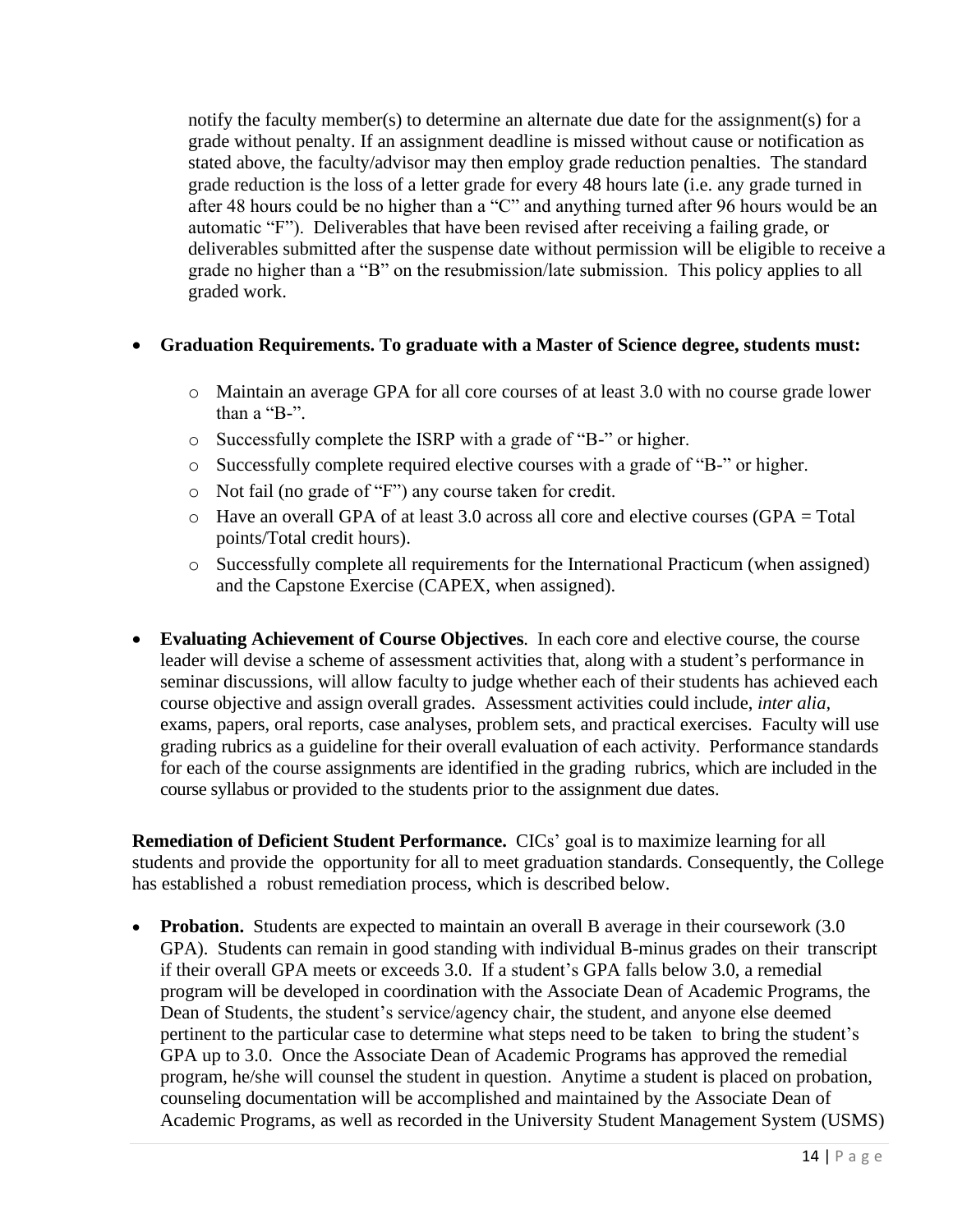notify the faculty member(s) to determine an alternate due date for the assignment(s) for a grade without penalty. If an assignment deadline is missed without cause or notification as stated above, the faculty/advisor may then employ grade reduction penalties. The standard grade reduction is the loss of a letter grade for every 48 hours late (i.e. any grade turned in after 48 hours could be no higher than a "C" and anything turned after 96 hours would be an automatic "F"). Deliverables that have been revised after receiving a failing grade, or deliverables submitted after the suspense date without permission will be eligible to receive a grade no higher than a "B" on the resubmission/late submission. This policy applies to all graded work.

#### • **Graduation Requirements. To graduate with a Master of Science degree, students must:**

- o Maintain an average GPA for all core courses of at least 3.0 with no course grade lower than a "B-".
- o Successfully complete the ISRP with a grade of "B-" or higher.
- o Successfully complete required elective courses with a grade of "B-" or higher.
- o Not fail (no grade of "F") any course taken for credit.
- $\circ$  Have an overall GPA of at least 3.0 across all core and elective courses (GPA = Total points/Total credit hours).
- o Successfully complete all requirements for the International Practicum (when assigned) and the Capstone Exercise (CAPEX, when assigned).
- <span id="page-17-0"></span>• **Evaluating Achievement of Course Objectives**. In each core and elective course, the course leader will devise a scheme of assessment activities that, along with a student's performance in seminar discussions, will allow faculty to judge whether each of their students has achieved each course objective and assign overall grades. Assessment activities could include, *inter alia,*  exams, papers, oral reports, case analyses, problem sets, and practical exercises. Faculty will use grading rubrics as a guideline for their overall evaluation of each activity. Performance standards for each of the course assignments are identified in the grading rubrics, which are included in the course syllabus or provided to the students prior to the assignment due dates.

**Remediation of Deficient Student Performance.** CICs' goal is to maximize learning for all students and provide the opportunity for all to meet graduation standards. Consequently, the College has established a robust remediation process, which is described below.

• **Probation.** Students are expected to maintain an overall B average in their coursework (3.0) GPA). Students can remain in good standing with individual B-minus grades on their transcript if their overall GPA meets or exceeds 3.0. If a student's GPA falls below 3.0, a remedial program will be developed in coordination with the Associate Dean of Academic Programs, the Dean of Students, the student's service/agency chair, the student, and anyone else deemed pertinent to the particular case to determine what steps need to be taken to bring the student's GPA up to 3.0. Once the Associate Dean of Academic Programs has approved the remedial program, he/she will counsel the student in question. Anytime a student is placed on probation, counseling documentation will be accomplished and maintained by the Associate Dean of Academic Programs, as well as recorded in the University Student Management System (USMS)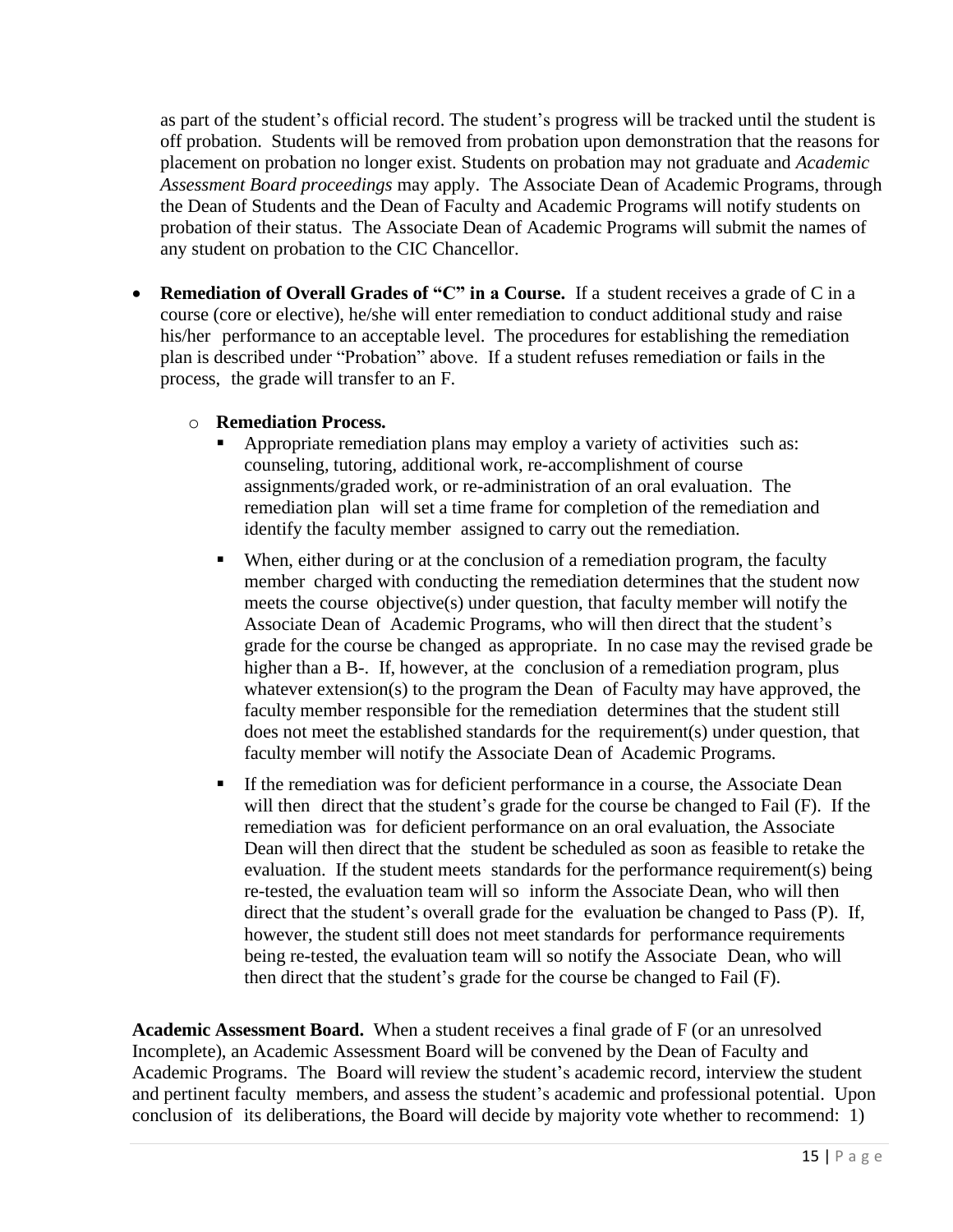as part of the student's official record. The student's progress will be tracked until the student is off probation. Students will be removed from probation upon demonstration that the reasons for placement on probation no longer exist. Students on probation may not graduate and *Academic Assessment Board proceedings* may apply. The Associate Dean of Academic Programs, through the Dean of Students and the Dean of Faculty and Academic Programs will notify students on probation of their status. The Associate Dean of Academic Programs will submit the names of any student on probation to the CIC Chancellor.

• **Remediation of Overall Grades of "C" in a Course.** If a student receives a grade of C in a course (core or elective), he/she will enter remediation to conduct additional study and raise his/her performance to an acceptable level. The procedures for establishing the remediation plan is described under "Probation" above. If a student refuses remediation or fails in the process, the grade will transfer to an F.

#### o **Remediation Process.**

- Appropriate remediation plans may employ a variety of activities such as: counseling, tutoring, additional work, re-accomplishment of course assignments/graded work, or re-administration of an oral evaluation. The remediation plan will set a time frame for completion of the remediation and identify the faculty member assigned to carry out the remediation.
- When, either during or at the conclusion of a remediation program, the faculty member charged with conducting the remediation determines that the student now meets the course objective(s) under question, that faculty member will notify the Associate Dean of Academic Programs, who will then direct that the student's grade for the course be changed as appropriate. In no case may the revised grade be higher than a B-. If, however, at the conclusion of a remediation program, plus whatever extension(s) to the program the Dean of Faculty may have approved, the faculty member responsible for the remediation determines that the student still does not meet the established standards for the requirement(s) under question, that faculty member will notify the Associate Dean of Academic Programs.
- If the remediation was for deficient performance in a course, the Associate Dean will then direct that the student's grade for the course be changed to Fail (F). If the remediation was for deficient performance on an oral evaluation, the Associate Dean will then direct that the student be scheduled as soon as feasible to retake the evaluation. If the student meets standards for the performance requirement(s) being re-tested, the evaluation team will so inform the Associate Dean, who will then direct that the student's overall grade for the evaluation be changed to Pass (P). If, however, the student still does not meet standards for performance requirements being re-tested, the evaluation team will so notify the Associate Dean, who will then direct that the student's grade for the course be changed to Fail (F).

**Academic Assessment Board.** When a student receives a final grade of F (or an unresolved Incomplete), an Academic Assessment Board will be convened by the Dean of Faculty and Academic Programs. The Board will review the student's academic record, interview the student and pertinent faculty members, and assess the student's academic and professional potential. Upon conclusion of its deliberations, the Board will decide by majority vote whether to recommend: 1)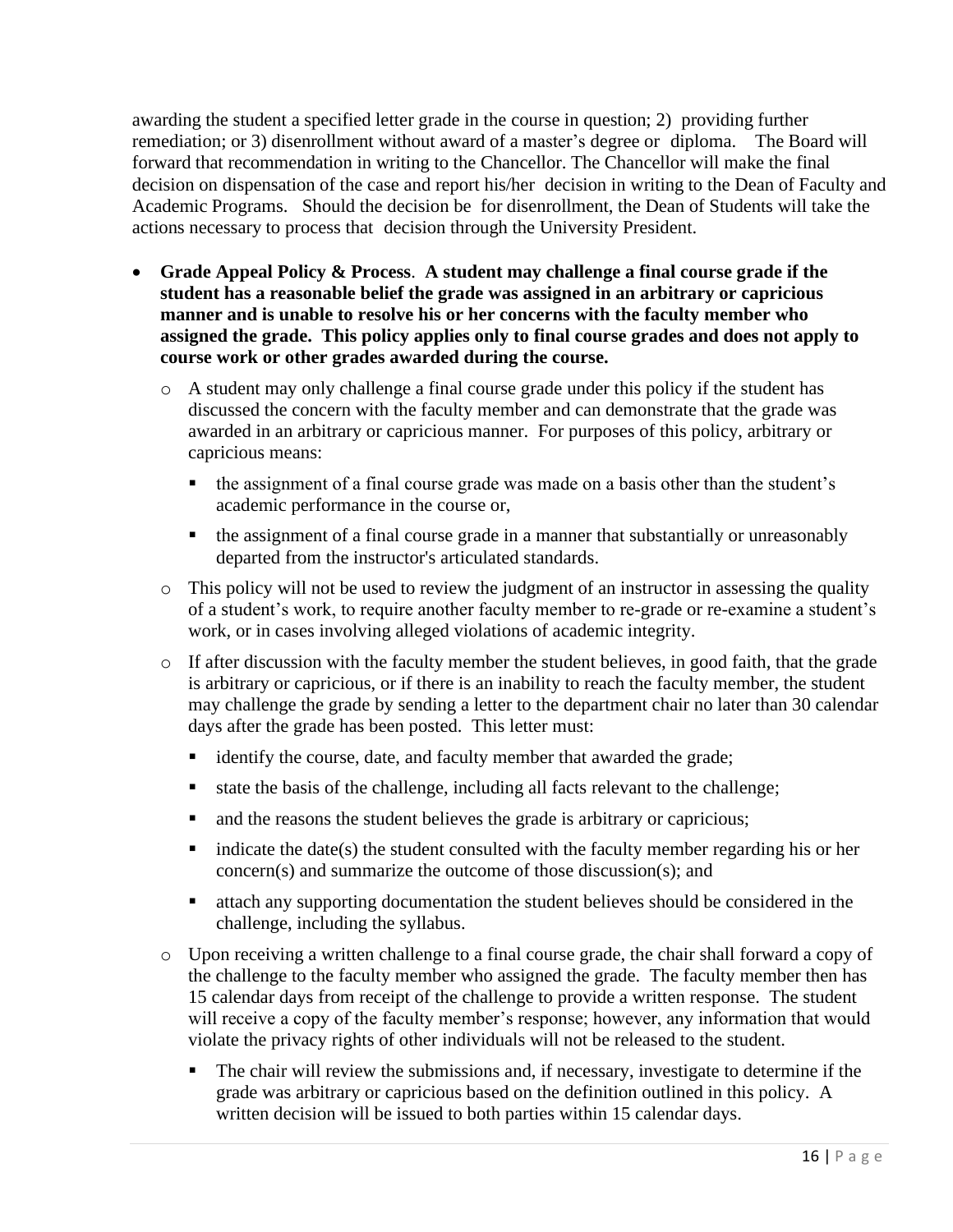awarding the student a specified letter grade in the course in question; 2) providing further remediation; or 3) disenrollment without award of a master's degree or diploma. The Board will forward that recommendation in writing to the Chancellor. The Chancellor will make the final decision on dispensation of the case and report his/her decision in writing to the Dean of Faculty and Academic Programs. Should the decision be for disenrollment, the Dean of Students will take the actions necessary to process that decision through the University President.

- <span id="page-19-0"></span>• **Grade Appeal Policy & Process**. **A student may challenge a final course grade if the student has a reasonable belief the grade was assigned in an arbitrary or capricious manner and is unable to resolve his or her concerns with the faculty member who assigned the grade. This policy applies only to final course grades and does not apply to course work or other grades awarded during the course.**
	- o A student may only challenge a final course grade under this policy if the student has discussed the concern with the faculty member and can demonstrate that the grade was awarded in an arbitrary or capricious manner. For purposes of this policy, arbitrary or capricious means:
		- the assignment of a final course grade was made on a basis other than the student's academic performance in the course or,
		- the assignment of a final course grade in a manner that substantially or unreasonably departed from the instructor's articulated standards.
	- o This policy will not be used to review the judgment of an instructor in assessing the quality of a student's work, to require another faculty member to re-grade or re-examine a student's work, or in cases involving alleged violations of academic integrity.
	- o If after discussion with the faculty member the student believes, in good faith, that the grade is arbitrary or capricious, or if there is an inability to reach the faculty member, the student may challenge the grade by sending a letter to the department chair no later than 30 calendar days after the grade has been posted. This letter must:
		- identify the course, date, and faculty member that awarded the grade;
		- state the basis of the challenge, including all facts relevant to the challenge;
		- and the reasons the student believes the grade is arbitrary or capricious;
		- indicate the date(s) the student consulted with the faculty member regarding his or her concern(s) and summarize the outcome of those discussion(s); and
		- attach any supporting documentation the student believes should be considered in the challenge, including the syllabus.
	- o Upon receiving a written challenge to a final course grade, the chair shall forward a copy of the challenge to the faculty member who assigned the grade. The faculty member then has 15 calendar days from receipt of the challenge to provide a written response. The student will receive a copy of the faculty member's response; however, any information that would violate the privacy rights of other individuals will not be released to the student.
		- The chair will review the submissions and, if necessary, investigate to determine if the grade was arbitrary or capricious based on the definition outlined in this policy. A written decision will be issued to both parties within 15 calendar days.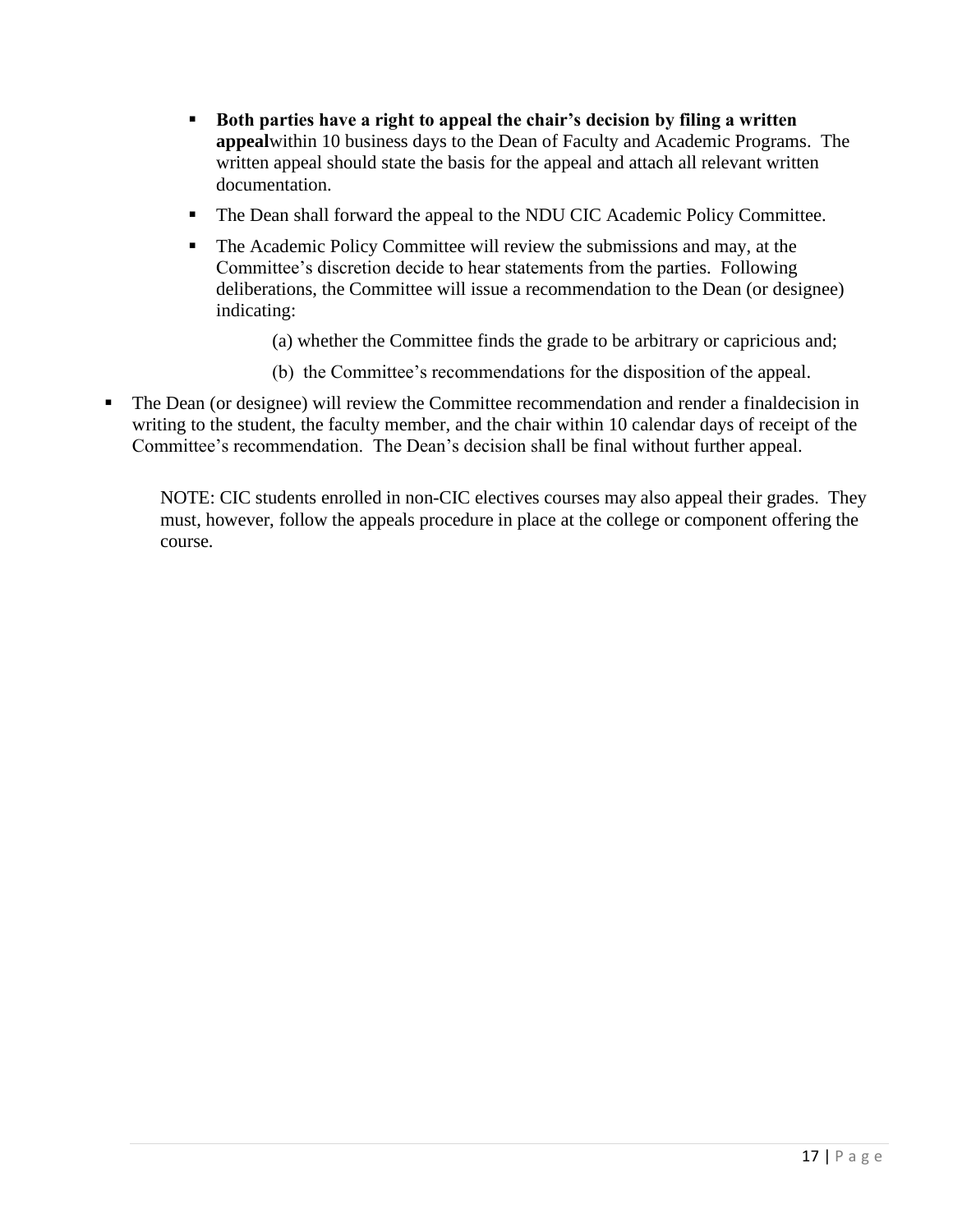- **Both parties have a right to appeal the chair's decision by filing a written appeal**within 10 business days to the Dean of Faculty and Academic Programs. The written appeal should state the basis for the appeal and attach all relevant written documentation.
- The Dean shall forward the appeal to the NDU CIC Academic Policy Committee.
- The Academic Policy Committee will review the submissions and may, at the Committee's discretion decide to hear statements from the parties. Following deliberations, the Committee will issue a recommendation to the Dean (or designee) indicating:
	- (a) whether the Committee finds the grade to be arbitrary or capricious and;
	- (b) the Committee's recommendations for the disposition of the appeal.
- The Dean (or designee) will review the Committee recommendation and render a finaldecision in writing to the student, the faculty member, and the chair within 10 calendar days of receipt of the Committee's recommendation. The Dean's decision shall be final without further appeal.

NOTE: CIC students enrolled in non-CIC electives courses may also appeal their grades. They must, however, follow the appeals procedure in place at the college or component offering the course.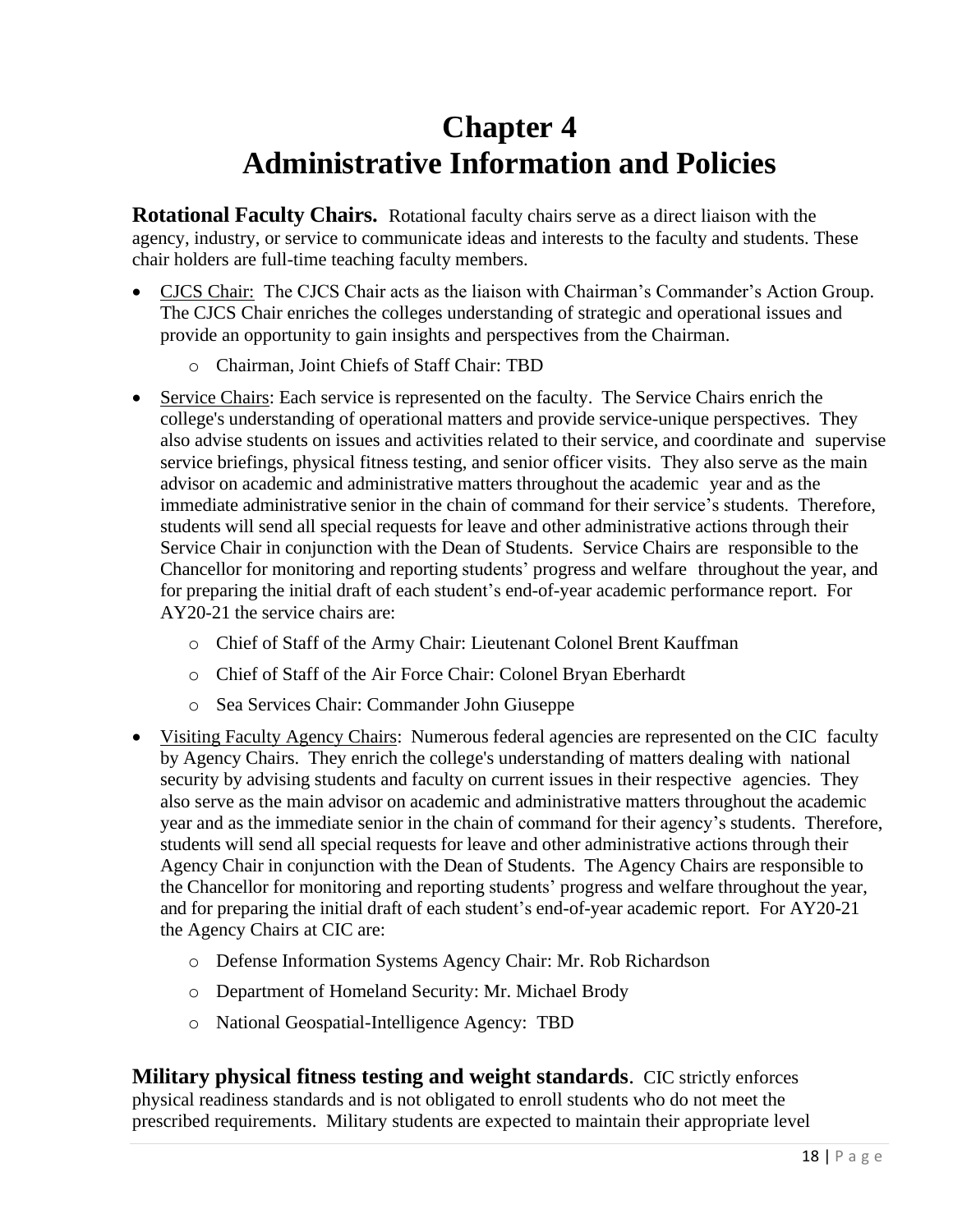## **Chapter 4 Administrative Information and Policies**

<span id="page-21-0"></span>**Rotational Faculty Chairs.** Rotational faculty chairs serve as a direct liaison with the agency, industry, or service to communicate ideas and interests to the faculty and students. These chair holders are full-time teaching faculty members.

- CJCS Chair: The CJCS Chair acts as the liaison with Chairman's Commander's Action Group. The CJCS Chair enriches the colleges understanding of strategic and operational issues and provide an opportunity to gain insights and perspectives from the Chairman.
	- o Chairman, Joint Chiefs of Staff Chair: TBD
- Service Chairs: Each service is represented on the faculty. The Service Chairs enrich the college's understanding of operational matters and provide service-unique perspectives. They also advise students on issues and activities related to their service, and coordinate and supervise service briefings, physical fitness testing, and senior officer visits. They also serve as the main advisor on academic and administrative matters throughout the academic year and as the immediate administrative senior in the chain of command for their service's students. Therefore, students will send all special requests for leave and other administrative actions through their Service Chair in conjunction with the Dean of Students. Service Chairs are responsible to the Chancellor for monitoring and reporting students' progress and welfare throughout the year, and for preparing the initial draft of each student's end-of-year academic performance report. For AY20-21 the service chairs are:
	- o Chief of Staff of the Army Chair: Lieutenant Colonel Brent Kauffman
	- o Chief of Staff of the Air Force Chair: Colonel Bryan Eberhardt
	- o Sea Services Chair: Commander John Giuseppe
- Visiting Faculty Agency Chairs: Numerous federal agencies are represented on the CIC faculty by Agency Chairs. They enrich the college's understanding of matters dealing with national security by advising students and faculty on current issues in their respective agencies. They also serve as the main advisor on academic and administrative matters throughout the academic year and as the immediate senior in the chain of command for their agency's students. Therefore, students will send all special requests for leave and other administrative actions through their Agency Chair in conjunction with the Dean of Students. The Agency Chairs are responsible to the Chancellor for monitoring and reporting students' progress and welfare throughout the year, and for preparing the initial draft of each student's end-of-year academic report. For AY20-21 the Agency Chairs at CIC are:
	- o Defense Information Systems Agency Chair: Mr. Rob Richardson
	- o Department of Homeland Security: Mr. Michael Brody
	- o National Geospatial-Intelligence Agency: TBD

**Military physical fitness testing and weight standards**. CIC strictly enforces physical readiness standards and is not obligated to enroll students who do not meet the prescribed requirements. Military students are expected to maintain their appropriate level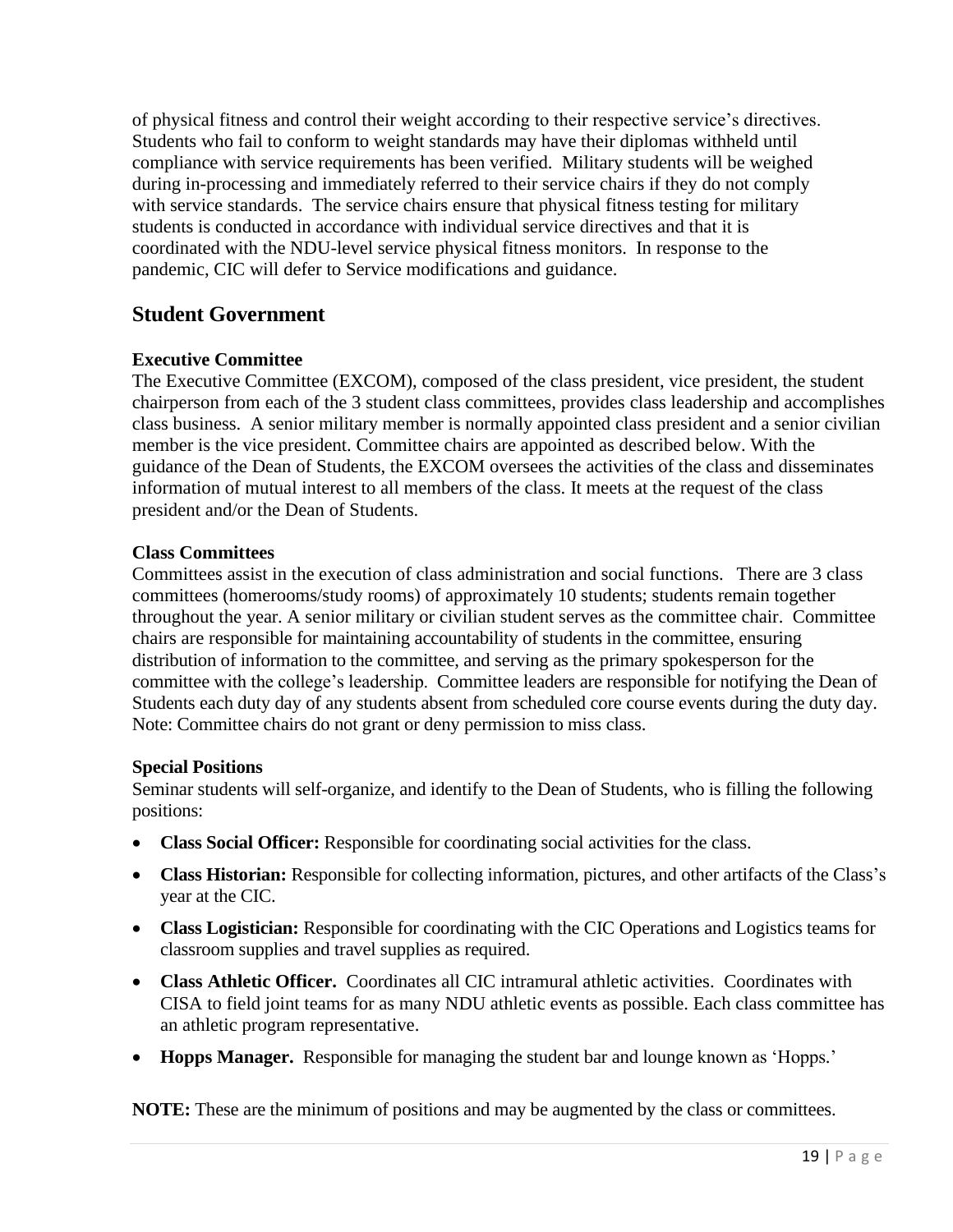of physical fitness and control their weight according to their respective service's directives. Students who fail to conform to weight standards may have their diplomas withheld until compliance with service requirements has been verified. Military students will be weighed during in-processing and immediately referred to their service chairs if they do not comply with service standards. The service chairs ensure that physical fitness testing for military students is conducted in accordance with individual service directives and that it is coordinated with the NDU-level service physical fitness monitors. In response to the pandemic, CIC will defer to Service modifications and guidance.

### **Student Government**

### **Executive Committee**

The Executive Committee (EXCOM), composed of the class president, vice president, the student chairperson from each of the 3 student class committees, provides class leadership and accomplishes class business. A senior military member is normally appointed class president and a senior civilian member is the vice president. Committee chairs are appointed as described below. With the guidance of the Dean of Students, the EXCOM oversees the activities of the class and disseminates information of mutual interest to all members of the class. It meets at the request of the class president and/or the Dean of Students.

#### **Class Committees**

Committees assist in the execution of class administration and social functions. There are 3 class committees (homerooms/study rooms) of approximately 10 students; students remain together throughout the year. A senior military or civilian student serves as the committee chair. Committee chairs are responsible for maintaining accountability of students in the committee, ensuring distribution of information to the committee, and serving as the primary spokesperson for the committee with the college's leadership. Committee leaders are responsible for notifying the Dean of Students each duty day of any students absent from scheduled core course events during the duty day. Note: Committee chairs do not grant or deny permission to miss class.

#### **Special Positions**

Seminar students will self-organize, and identify to the Dean of Students, who is filling the following positions:

- **Class Social Officer:** Responsible for coordinating social activities for the class.
- **Class Historian:** Responsible for collecting information, pictures, and other artifacts of the Class's year at the CIC.
- **Class Logistician:** Responsible for coordinating with the CIC Operations and Logistics teams for classroom supplies and travel supplies as required.
- **Class Athletic Officer.** Coordinates all CIC intramural athletic activities. Coordinates with CISA to field joint teams for as many NDU athletic events as possible. Each class committee has an athletic program representative.
- **Hopps Manager.** Responsible for managing the student bar and lounge known as 'Hopps.'

**NOTE:** These are the minimum of positions and may be augmented by the class or committees.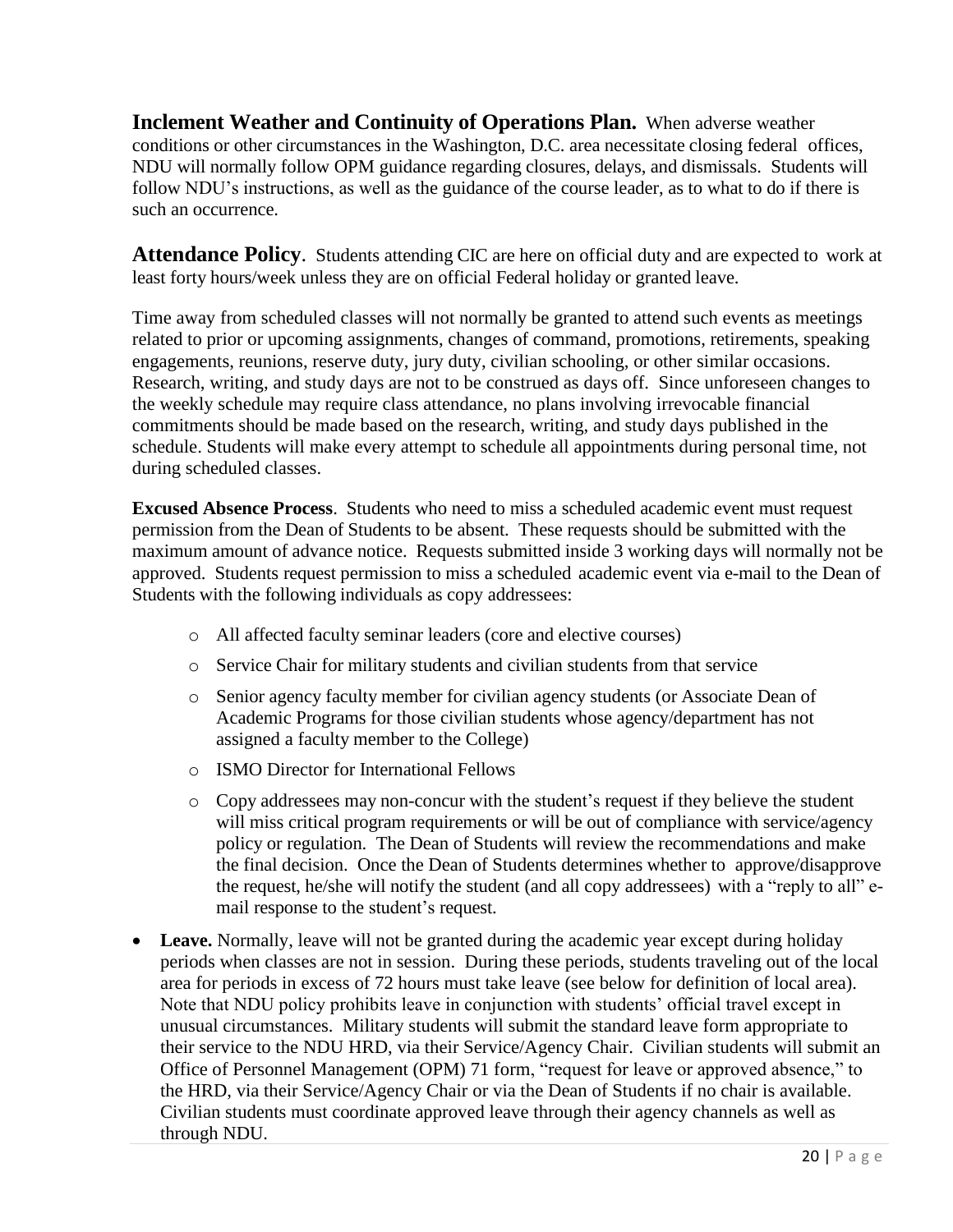<span id="page-23-1"></span>**Inclement Weather and Continuity of Operations Plan.** When adverse weather conditions or other circumstances in the Washington, D.C. area necessitate closing federal offices, NDU will normally follow OPM guidance regarding closures, delays, and dismissals. Students will follow NDU's instructions, as well as the guidance of the course leader, as to what to do if there is such an occurrence.

<span id="page-23-0"></span>**Attendance Policy**. Students attending CIC are here on official duty and are expected to work at least forty hours/week unless they are on official Federal holiday or granted leave.

Time away from scheduled classes will not normally be granted to attend such events as meetings related to prior or upcoming assignments, changes of command, promotions, retirements, speaking engagements, reunions, reserve duty, jury duty, civilian schooling, or other similar occasions. Research, writing, and study days are not to be construed as days off. Since unforeseen changes to the weekly schedule may require class attendance, no plans involving irrevocable financial commitments should be made based on the research, writing, and study days published in the schedule. Students will make every attempt to schedule all appointments during personal time, not during scheduled classes.

**Excused Absence Process**. Students who need to miss a scheduled academic event must request permission from the Dean of Students to be absent. These requests should be submitted with the maximum amount of advance notice. Requests submitted inside 3 working days will normally not be approved. Students request permission to miss a scheduled academic event via e-mail to the Dean of Students with the following individuals as copy addressees:

- o All affected faculty seminar leaders (core and elective courses)
- o Service Chair for military students and civilian students from that service
- o Senior agency faculty member for civilian agency students (or Associate Dean of Academic Programs for those civilian students whose agency/department has not assigned a faculty member to the College)
- o ISMO Director for International Fellows
- o Copy addressees may non-concur with the student's request if they believe the student will miss critical program requirements or will be out of compliance with service/agency policy or regulation. The Dean of Students will review the recommendations and make the final decision. Once the Dean of Students determines whether to approve/disapprove the request, he/she will notify the student (and all copy addressees) with a "reply to all" email response to the student's request.
- **Leave.** Normally, leave will not be granted during the academic year except during holiday periods when classes are not in session. During these periods, students traveling out of the local area for periods in excess of 72 hours must take leave (see below for definition of local area). Note that NDU policy prohibits leave in conjunction with students' official travel except in unusual circumstances. Military students will submit the standard leave form appropriate to their service to the NDU HRD, via their Service/Agency Chair. Civilian students will submit an Office of Personnel Management (OPM) 71 form, "request for leave or approved absence," to the HRD, via their Service/Agency Chair or via the Dean of Students if no chair is available. Civilian students must coordinate approved leave through their agency channels as well as through NDU.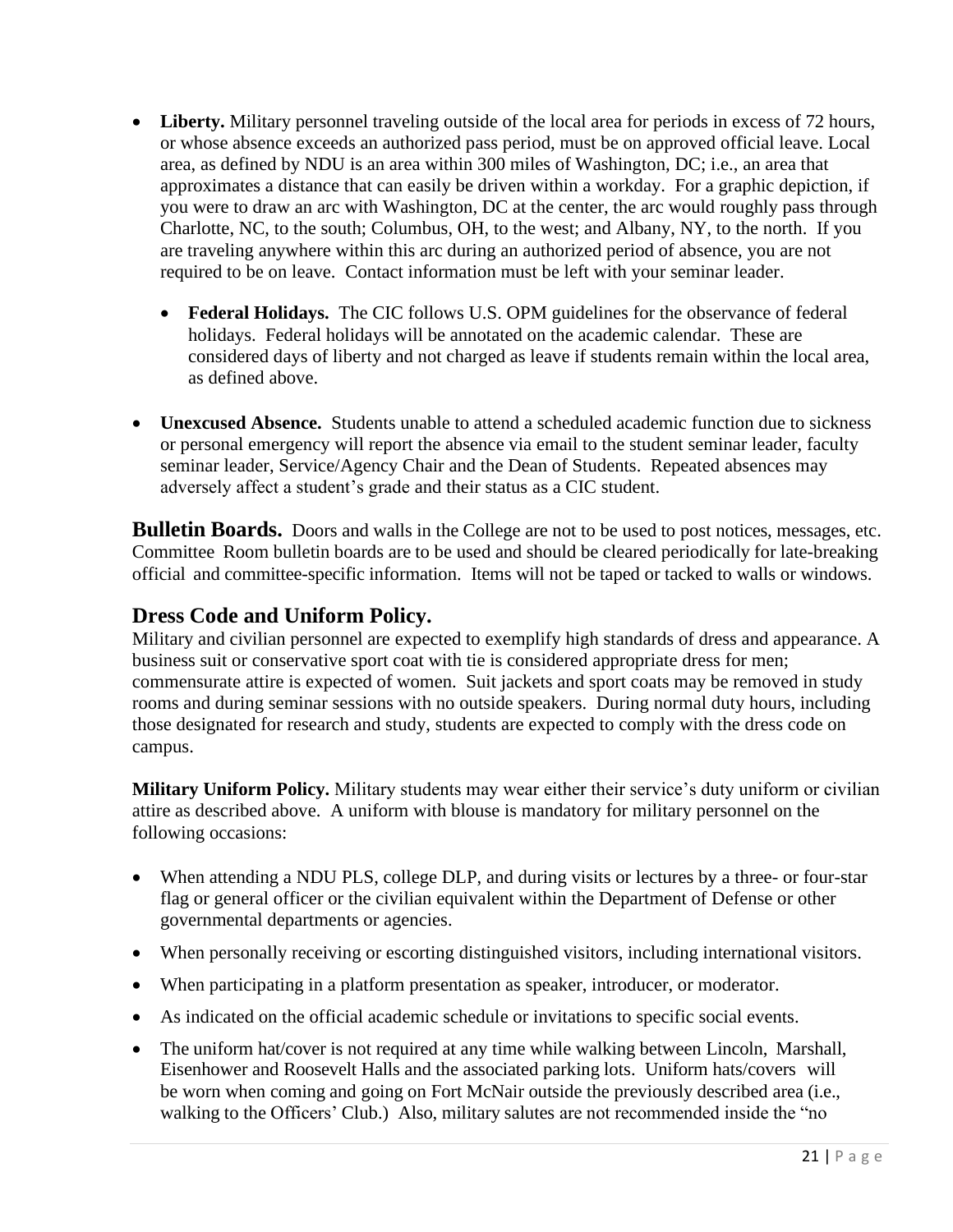- Liberty. Military personnel traveling outside of the local area for periods in excess of 72 hours, or whose absence exceeds an authorized pass period, must be on approved official leave. Local area, as defined by NDU is an area within 300 miles of Washington, DC; i.e., an area that approximates a distance that can easily be driven within a workday. For a graphic depiction, if you were to draw an arc with Washington, DC at the center, the arc would roughly pass through Charlotte, NC, to the south; Columbus, OH, to the west; and Albany, NY, to the north. If you are traveling anywhere within this arc during an authorized period of absence, you are not required to be on leave. Contact information must be left with your seminar leader.
	- **Federal Holidays.** The CIC follows U.S. OPM guidelines for the observance of federal holidays. Federal holidays will be annotated on the academic calendar. These are considered days of liberty and not charged as leave if students remain within the local area, as defined above.
- **Unexcused Absence.** Students unable to attend a scheduled academic function due to sickness or personal emergency will report the absence via email to the student seminar leader, faculty seminar leader, Service/Agency Chair and the Dean of Students. Repeated absences may adversely affect a student's grade and their status as a CIC student.

<span id="page-24-0"></span>**Bulletin Boards.** Doors and walls in the College are not to be used to post notices, messages, etc. Committee Room bulletin boards are to be used and should be cleared periodically for late-breaking official and committee-specific information. Items will not be taped or tacked to walls or windows.

### <span id="page-24-1"></span>**Dress Code and Uniform Policy.**

Military and civilian personnel are expected to exemplify high standards of dress and appearance. A business suit or conservative sport coat with tie is considered appropriate dress for men; commensurate attire is expected of women. Suit jackets and sport coats may be removed in study rooms and during seminar sessions with no outside speakers. During normal duty hours, including those designated for research and study, students are expected to comply with the dress code on campus.

**Military Uniform Policy.** Military students may wear either their service's duty uniform or civilian attire as described above. A uniform with blouse is mandatory for military personnel on the following occasions:

- When attending a NDU PLS, college DLP, and during visits or lectures by a three- or four-star flag or general officer or the civilian equivalent within the Department of Defense or other governmental departments or agencies.
- When personally receiving or escorting distinguished visitors, including international visitors.
- When participating in a platform presentation as speaker, introducer, or moderator.
- As indicated on the official academic schedule or invitations to specific social events.
- The uniform hat/cover is not required at any time while walking between Lincoln, Marshall, Eisenhower and Roosevelt Halls and the associated parking lots. Uniform hats/covers will be worn when coming and going on Fort McNair outside the previously described area (i.e., walking to the Officers' Club.) Also, military salutes are not recommended inside the "no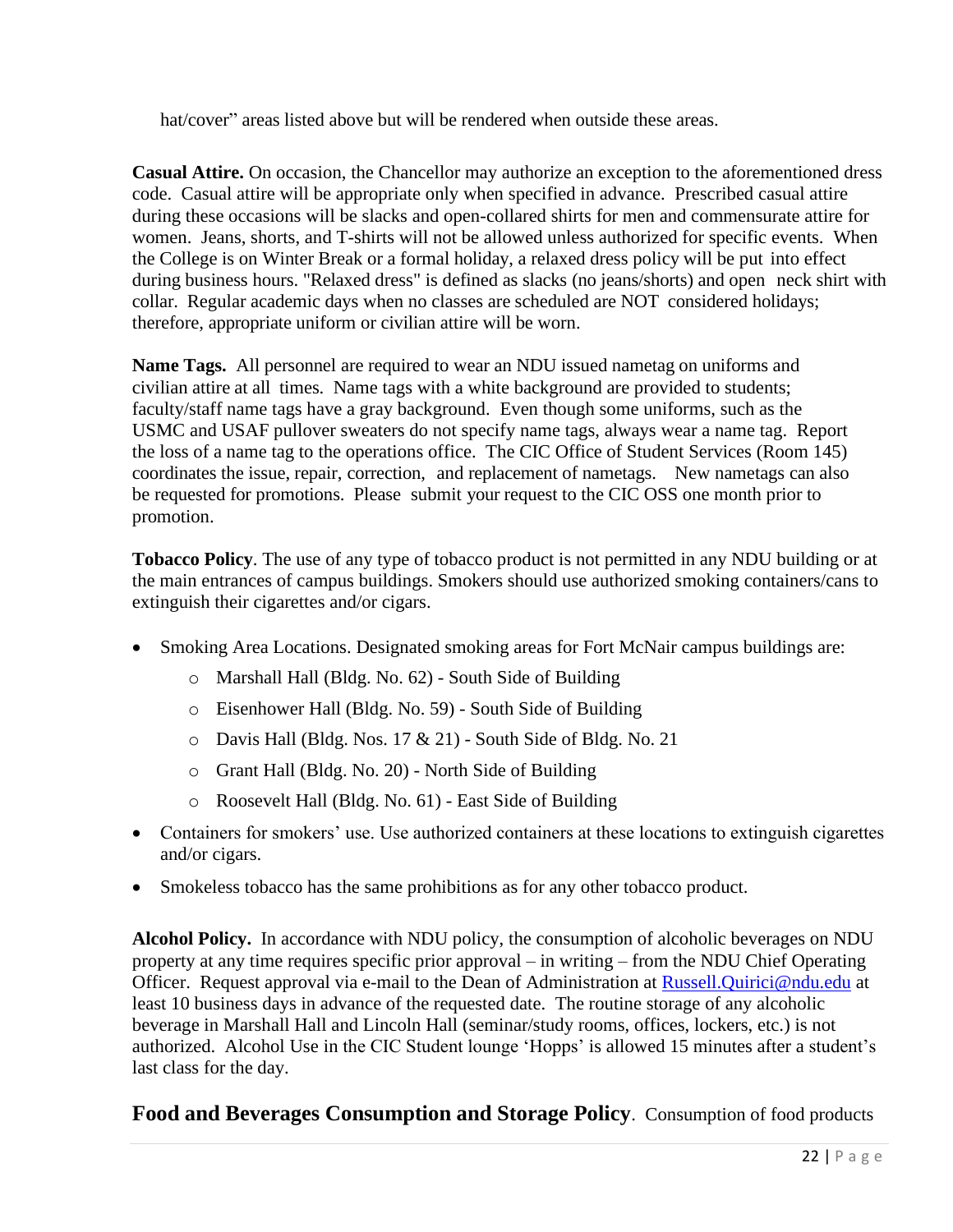hat/cover" areas listed above but will be rendered when outside these areas.

**Casual Attire.** On occasion, the Chancellor may authorize an exception to the aforementioned dress code. Casual attire will be appropriate only when specified in advance. Prescribed casual attire during these occasions will be slacks and open-collared shirts for men and commensurate attire for women. Jeans, shorts, and T-shirts will not be allowed unless authorized for specific events. When the College is on Winter Break or a formal holiday, a relaxed dress policy will be put into effect during business hours. "Relaxed dress" is defined as slacks (no jeans/shorts) and open neck shirt with collar. Regular academic days when no classes are scheduled are NOT considered holidays; therefore, appropriate uniform or civilian attire will be worn.

**Name Tags.** All personnel are required to wear an NDU issued nametag on uniforms and civilian attire at all times. Name tags with a white background are provided to students; faculty/staff name tags have a gray background. Even though some uniforms, such as the USMC and USAF pullover sweaters do not specify name tags, always wear a name tag. Report the loss of a name tag to the operations office. The CIC Office of Student Services (Room 145) coordinates the issue, repair, correction, and replacement of nametags. New nametags can also be requested for promotions. Please submit your request to the CIC OSS one month prior to promotion.

**Tobacco Policy**. The use of any type of tobacco product is not permitted in any NDU building or at the main entrances of campus buildings. Smokers should use authorized smoking containers/cans to extinguish their cigarettes and/or cigars.

- Smoking Area Locations. Designated smoking areas for Fort McNair campus buildings are:
	- o Marshall Hall (Bldg. No. 62) South Side of Building
	- o Eisenhower Hall (Bldg. No. 59) South Side of Building
	- o Davis Hall (Bldg. Nos. 17 & 21) South Side of Bldg. No. 21
	- o Grant Hall (Bldg. No. 20) North Side of Building
	- o Roosevelt Hall (Bldg. No. 61) East Side of Building
- Containers for smokers' use. Use authorized containers at these locations to extinguish cigarettes and/or cigars.
- Smokeless tobacco has the same prohibitions as for any other tobacco product.

**Alcohol Policy.** In accordance with NDU policy, the consumption of alcoholic beverages on NDU property at any time requires specific prior approval – in writing – from the NDU Chief Operating Officer. Request approval via e-mail to the Dean of Administration at **Russell.Quirici@ndu.edu** at least 10 business days in advance of the requested date. The routine storage of any alcoholic beverage in Marshall Hall and Lincoln Hall (seminar/study rooms, offices, lockers, etc.) is not authorized. Alcohol Use in the CIC Student lounge 'Hopps' is allowed 15 minutes after a student's last class for the day.

### **Food and Beverages Consumption and Storage Policy**. Consumption of food products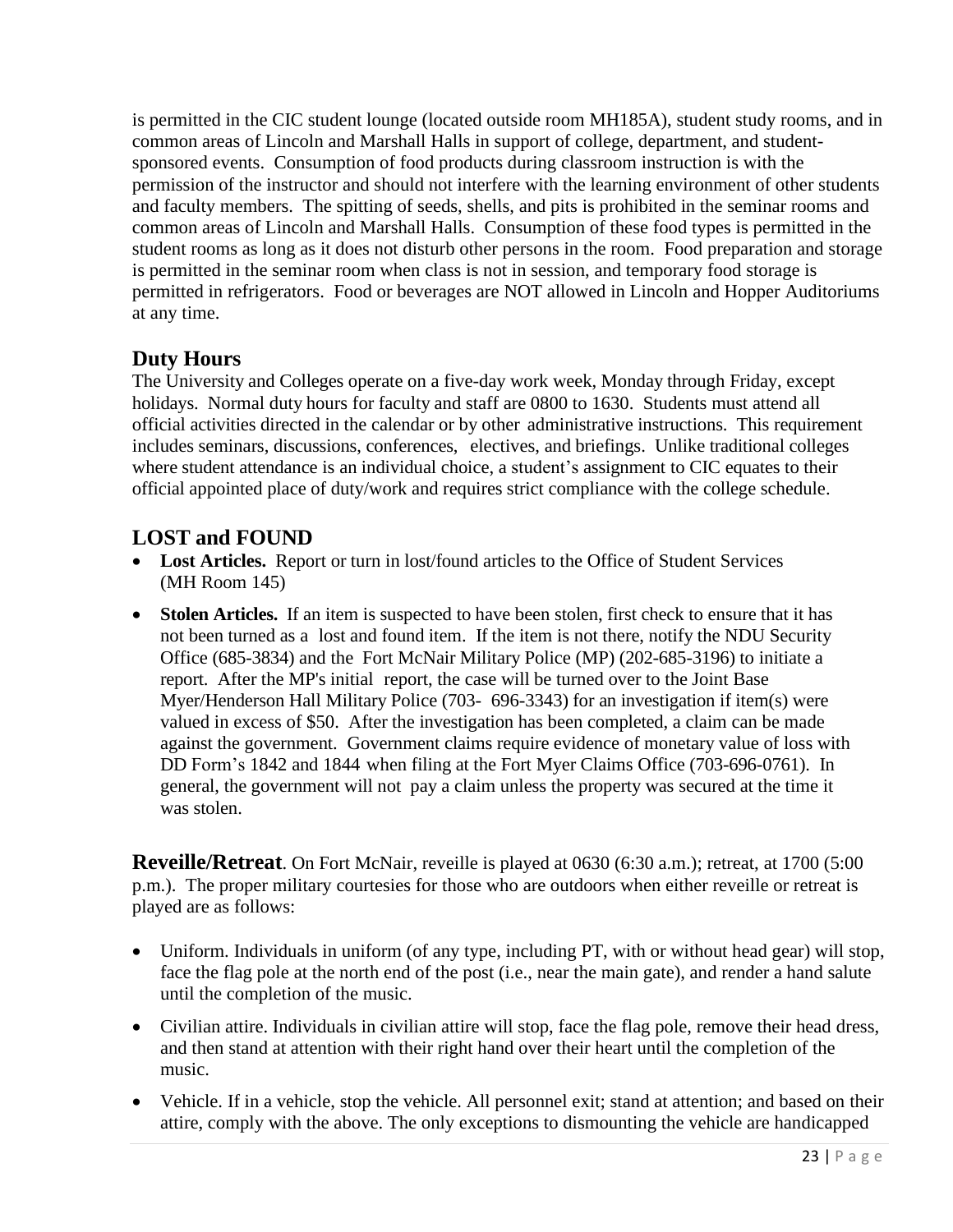is permitted in the CIC student lounge (located outside room MH185A), student study rooms, and in common areas of Lincoln and Marshall Halls in support of college, department, and studentsponsored events. Consumption of food products during classroom instruction is with the permission of the instructor and should not interfere with the learning environment of other students and faculty members. The spitting of seeds, shells, and pits is prohibited in the seminar rooms and common areas of Lincoln and Marshall Halls. Consumption of these food types is permitted in the student rooms as long as it does not disturb other persons in the room. Food preparation and storage is permitted in the seminar room when class is not in session, and temporary food storage is permitted in refrigerators. Food or beverages are NOT allowed in Lincoln and Hopper Auditoriums at any time.

### **Duty Hours**

The University and Colleges operate on a five-day work week, Monday through Friday, except holidays. Normal duty hours for faculty and staff are 0800 to 1630. Students must attend all official activities directed in the calendar or by other administrative instructions. This requirement includes seminars, discussions, conferences, electives, and briefings. Unlike traditional colleges where student attendance is an individual choice, a student's assignment to CIC equates to their official appointed place of duty/work and requires strict compliance with the college schedule.

### <span id="page-26-0"></span>**LOST and FOUND**

- **Lost Articles.** Report or turn in lost/found articles to the Office of Student Services (MH Room 145)
- **Stolen Articles.** If an item is suspected to have been stolen, first check to ensure that it has not been turned as a lost and found item. If the item is not there, notify the NDU Security Office (685-3834) and the Fort McNair Military Police (MP) (202-685-3196) to initiate a report. After the MP's initial report, the case will be turned over to the Joint Base Myer/Henderson Hall Military Police (703- 696-3343) for an investigation if item(s) were valued in excess of \$50. After the investigation has been completed, a claim can be made against the government. Government claims require evidence of monetary value of loss with DD Form's 1842 and 1844 when filing at the Fort Myer Claims Office (703-696-0761). In general, the government will not pay a claim unless the property was secured at the time it was stolen.

**Reveille/Retreat**. On Fort McNair, reveille is played at 0630 (6:30 a.m.); retreat, at 1700 (5:00 p.m.). The proper military courtesies for those who are outdoors when either reveille or retreat is played are as follows:

- Uniform. Individuals in uniform (of any type, including PT, with or without head gear) will stop, face the flag pole at the north end of the post (i.e., near the main gate), and render a hand salute until the completion of the music.
- Civilian attire. Individuals in civilian attire will stop, face the flag pole, remove their head dress, and then stand at attention with their right hand over their heart until the completion of the music.
- Vehicle. If in a vehicle, stop the vehicle. All personnel exit; stand at attention; and based on their attire, comply with the above. The only exceptions to dismounting the vehicle are handicapped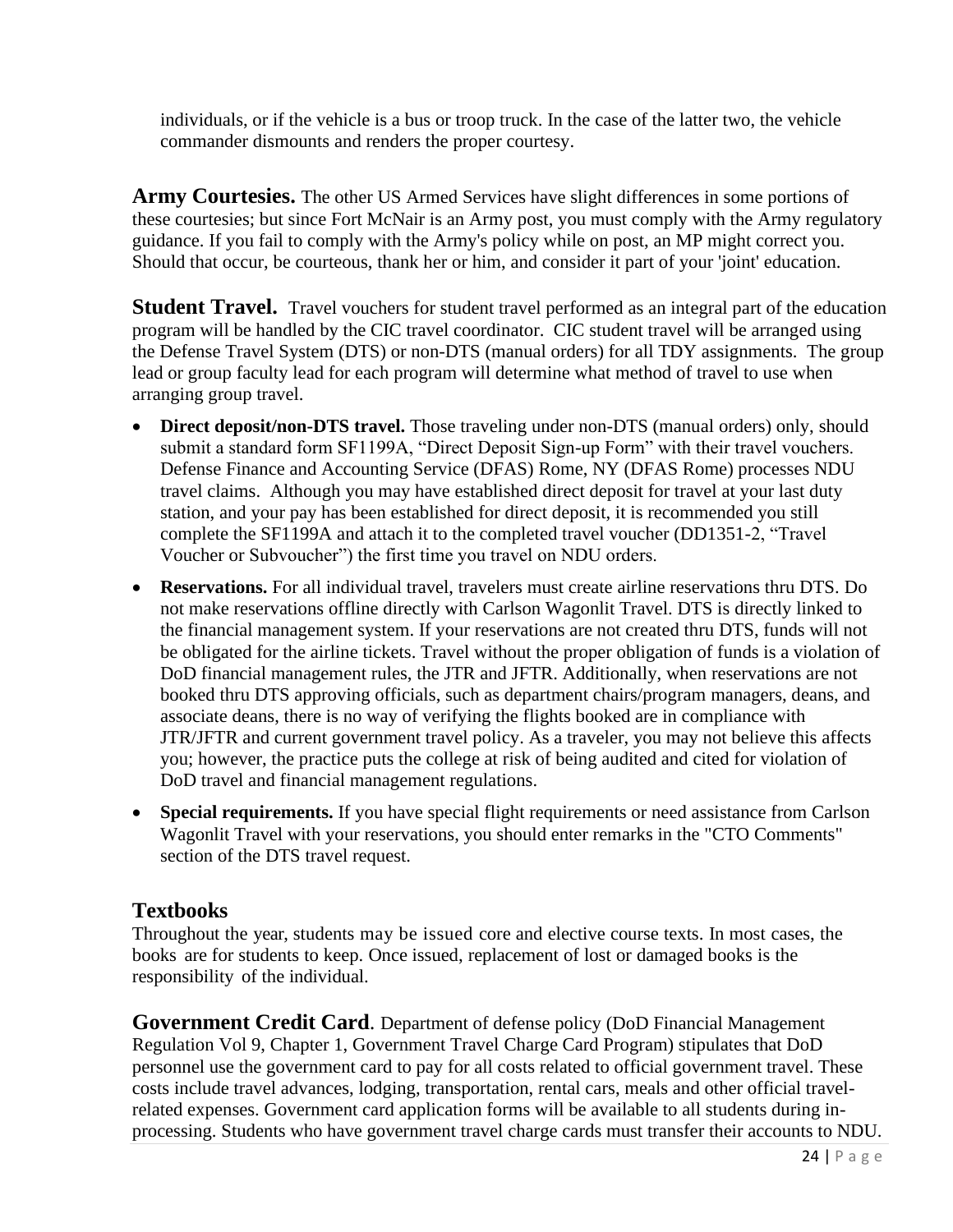individuals, or if the vehicle is a bus or troop truck. In the case of the latter two, the vehicle commander dismounts and renders the proper courtesy.

**Army Courtesies.** The other US Armed Services have slight differences in some portions of these courtesies; but since Fort McNair is an Army post, you must comply with the Army regulatory guidance. If you fail to comply with the Army's policy while on post, an MP might correct you. Should that occur, be courteous, thank her or him, and consider it part of your 'joint' education.

**Student Travel.** Travel vouchers for student travel performed as an integral part of the education program will be handled by the CIC travel coordinator. CIC student travel will be arranged using the Defense Travel System (DTS) or non-DTS (manual orders) for all TDY assignments. The group lead or group faculty lead for each program will determine what method of travel to use when arranging group travel.

- **Direct deposit/non-DTS travel.** Those traveling under non-DTS (manual orders) only, should submit a standard form SF1199A, "Direct Deposit Sign-up Form" with their travel vouchers. Defense Finance and Accounting Service (DFAS) Rome, NY (DFAS Rome) processes NDU travel claims. Although you may have established direct deposit for travel at your last duty station, and your pay has been established for direct deposit, it is recommended you still complete the SF1199A and attach it to the completed travel voucher (DD1351-2, "Travel Voucher or Subvoucher") the first time you travel on NDU orders.
- **Reservations.** For all individual travel, travelers must create airline reservations thru DTS. Do not make reservations offline directly with Carlson Wagonlit Travel. DTS is directly linked to the financial management system. If your reservations are not created thru DTS, funds will not be obligated for the airline tickets. Travel without the proper obligation of funds is a violation of DoD financial management rules, the JTR and JFTR. Additionally, when reservations are not booked thru DTS approving officials, such as department chairs/program managers, deans, and associate deans, there is no way of verifying the flights booked are in compliance with JTR/JFTR and current government travel policy. As a traveler, you may not believe this affects you; however, the practice puts the college at risk of being audited and cited for violation of DoD travel and financial management regulations.
- <span id="page-27-0"></span>• **Special requirements.** If you have special flight requirements or need assistance from Carlson Wagonlit Travel with your reservations, you should enter remarks in the "CTO Comments" section of the DTS travel request.

### <span id="page-27-1"></span>**Textbooks**

Throughout the year, students may be issued core and elective course texts. In most cases, the books are for students to keep. Once issued, replacement of lost or damaged books is the responsibility of the individual.

**Government Credit Card**. Department of defense policy (DoD Financial Management Regulation Vol 9, Chapter 1, Government Travel Charge Card Program) stipulates that DoD personnel use the government card to pay for all costs related to official government travel. These costs include travel advances, lodging, transportation, rental cars, meals and other official travelrelated expenses. Government card application forms will be available to all students during inprocessing. Students who have government travel charge cards must transfer their accounts to NDU.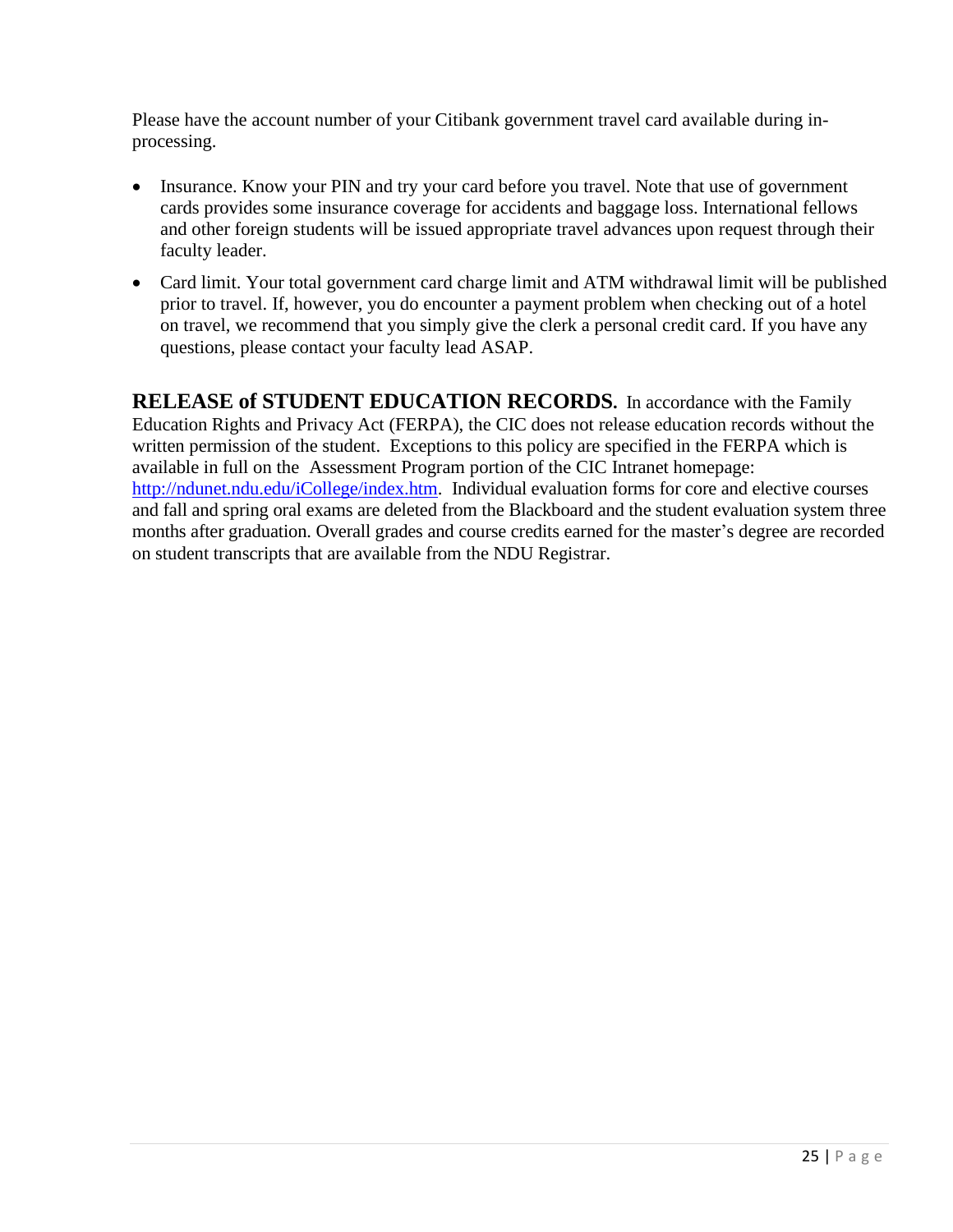Please have the account number of your Citibank government travel card available during inprocessing.

- Insurance. Know your PIN and try your card before you travel. Note that use of government cards provides some insurance coverage for accidents and baggage loss. International fellows and other foreign students will be issued appropriate travel advances upon request through their faculty leader.
- Card limit. Your total government card charge limit and ATM withdrawal limit will be published prior to travel. If, however, you do encounter a payment problem when checking out of a hotel on travel, we recommend that you simply give the clerk a personal credit card. If you have any questions, please contact your faculty lead ASAP.

<span id="page-28-0"></span>**RELEASE of STUDENT EDUCATION RECORDS.** In accordance with the Family Education Rights and Privacy Act (FERPA), the CIC does not release education records without the written permission of the student. Exceptions to this policy are specified in the FERPA which is available in full on the Assessment Program portion of the CIC Intranet homepage: [http://ndunet.ndu.edu/iCollege/index.htm.](http://ndunet.ndu.edu/iCollege/index.htm) Individual evaluation forms for core and elective courses and fall and spring oral exams are deleted from the Blackboard and the student evaluation system three months after graduation. Overall grades and course credits earned for the master's degree are recorded on student transcripts that are available from the NDU Registrar.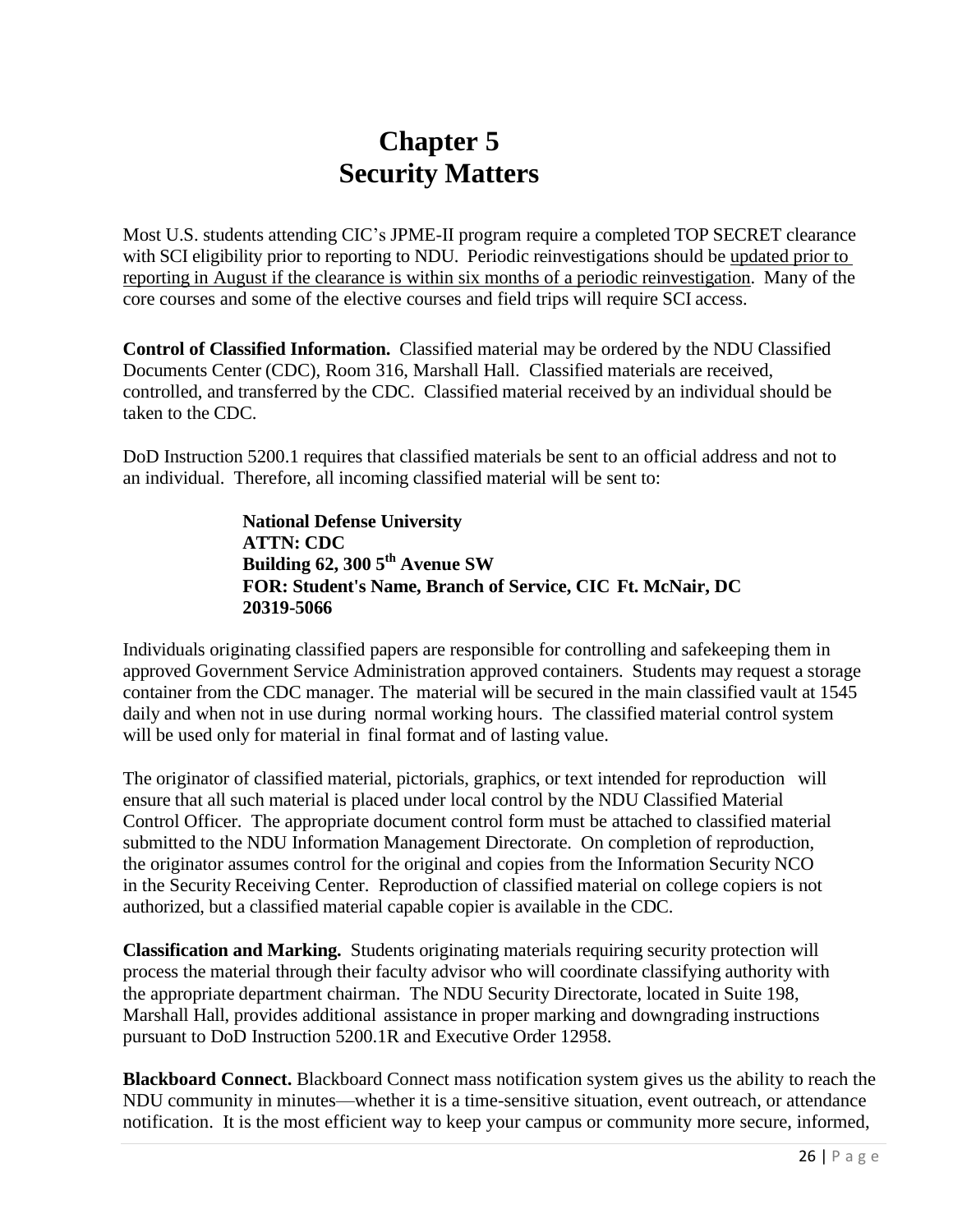## **Chapter 5 Security Matters**

Most U.S. students attending CIC's JPME-II program require a completed TOP SECRET clearance with SCI eligibility prior to reporting to NDU. Periodic reinvestigations should be updated prior to reporting in August if the clearance is within six months of a periodic reinvestigation. Many of the core courses and some of the elective courses and field trips will require SCI access.

**Control of Classified Information.** Classified material may be ordered by the NDU Classified Documents Center (CDC), Room 316, Marshall Hall. Classified materials are received, controlled, and transferred by the CDC. Classified material received by an individual should be taken to the CDC.

DoD Instruction 5200.1 requires that classified materials be sent to an official address and not to an individual. Therefore, all incoming classified material will be sent to:

> **National Defense University ATTN: CDC Building 62, 300 5 th Avenue SW FOR: Student's Name, Branch of Service, CIC Ft. McNair, DC 20319-5066**

Individuals originating classified papers are responsible for controlling and safekeeping them in approved Government Service Administration approved containers. Students may request a storage container from the CDC manager. The material will be secured in the main classified vault at 1545 daily and when not in use during normal working hours. The classified material control system will be used only for material in final format and of lasting value.

The originator of classified material, pictorials, graphics, or text intended for reproduction will ensure that all such material is placed under local control by the NDU Classified Material Control Officer. The appropriate document control form must be attached to classified material submitted to the NDU Information Management Directorate. On completion of reproduction, the originator assumes control for the original and copies from the Information Security NCO in the Security Receiving Center. Reproduction of classified material on college copiers is not authorized, but a classified material capable copier is available in the CDC.

**Classification and Marking.** Students originating materials requiring security protection will process the material through their faculty advisor who will coordinate classifying authority with the appropriate department chairman. The NDU Security Directorate, located in Suite 198, Marshall Hall, provides additional assistance in proper marking and downgrading instructions pursuant to DoD Instruction 5200.1R and Executive Order 12958.

**Blackboard Connect.** Blackboard Connect mass notification system gives us the ability to reach the NDU community in minutes—whether it is a time-sensitive situation, event outreach, or attendance notification. It is the most efficient way to keep your campus or community more secure, informed,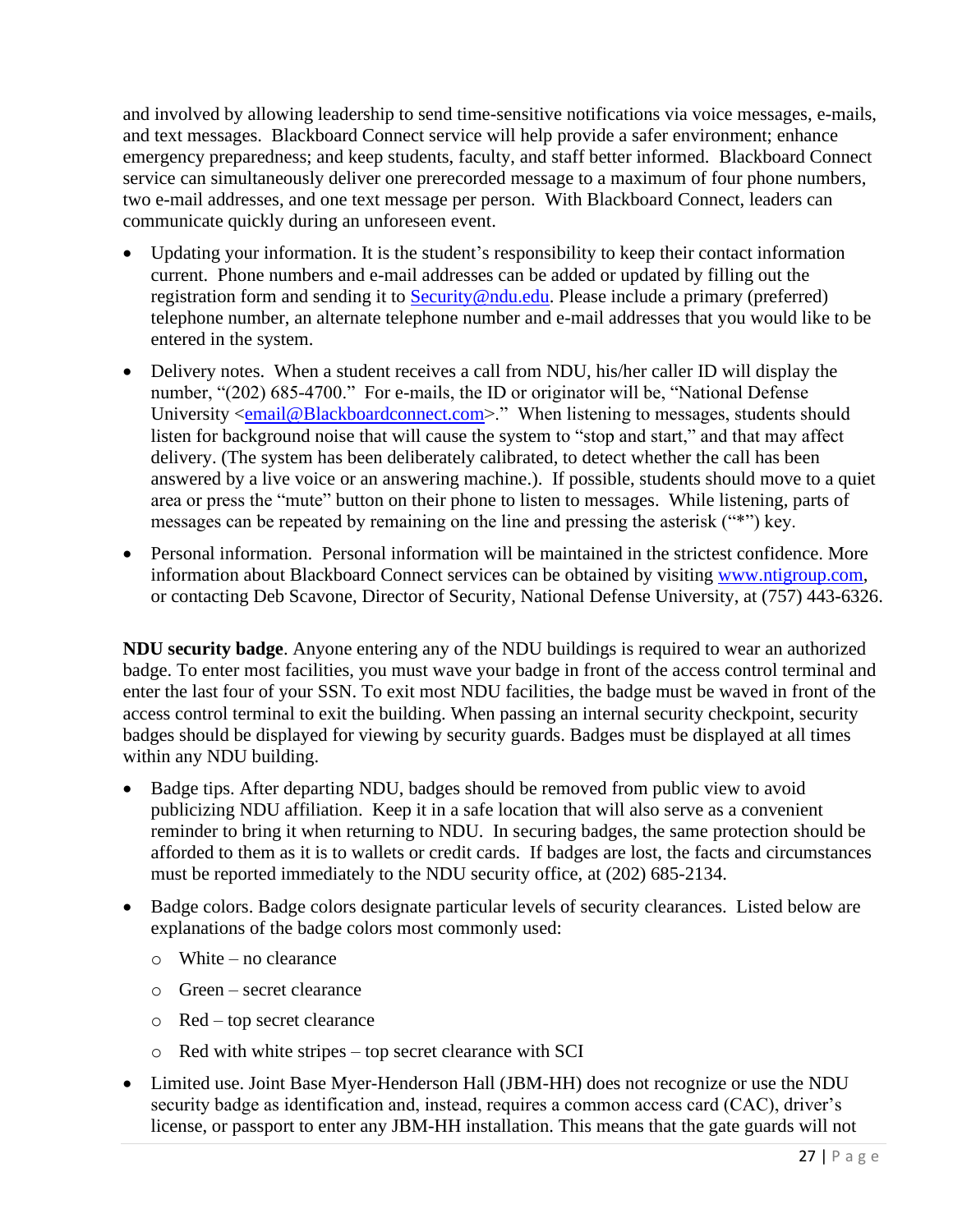and involved by allowing leadership to send time-sensitive notifications via voice messages, e-mails, and text messages. Blackboard Connect service will help provide a safer environment; enhance emergency preparedness; and keep students, faculty, and staff better informed. Blackboard Connect service can simultaneously deliver one prerecorded message to a maximum of four phone numbers, two e-mail addresses, and one text message per person. With Blackboard Connect, leaders can communicate quickly during an unforeseen event.

- Updating your information. It is the student's responsibility to keep their contact information current. Phone numbers and e-mail addresses can be added or updated by filling out the registration form and sending it to [Security@ndu.edu.](mailto:Security@ndu.edu) Please include a primary (preferred) telephone number, an alternate telephone number and e-mail addresses that you would like to be entered in the system.
- Delivery notes. When a student receives a call from NDU, his/her caller ID will display the number, "(202) 685-4700." For e-mails, the ID or originator will be, "National Defense University [<email@Blackboardconnect.com>](mailto:email@Blackboardconnect.com)." When listening to messages, students should listen for background noise that will cause the system to "stop and start," and that may affect delivery. (The system has been deliberately calibrated, to detect whether the call has been answered by a live voice or an answering machine.). If possible, students should move to a quiet area or press the "mute" button on their phone to listen to messages. While listening, parts of messages can be repeated by remaining on the line and pressing the asterisk ("\*") key.
- Personal information. Personal information will be maintained in the strictest confidence. More information about Blackboard Connect services can be obtained by visiting [www.ntigroup.com,](http://www.ntigroup.com/) or contacting Deb Scavone, Director of Security, National Defense University, at (757) 443-6326.

**NDU security badge**. Anyone entering any of the NDU buildings is required to wear an authorized badge. To enter most facilities, you must wave your badge in front of the access control terminal and enter the last four of your SSN. To exit most NDU facilities, the badge must be waved in front of the access control terminal to exit the building. When passing an internal security checkpoint, security badges should be displayed for viewing by security guards. Badges must be displayed at all times within any NDU building.

- Badge tips. After departing NDU, badges should be removed from public view to avoid publicizing NDU affiliation. Keep it in a safe location that will also serve as a convenient reminder to bring it when returning to NDU. In securing badges, the same protection should be afforded to them as it is to wallets or credit cards. If badges are lost, the facts and circumstances must be reported immediately to the NDU security office, at (202) 685-2134.
- Badge colors. Badge colors designate particular levels of security clearances. Listed below are explanations of the badge colors most commonly used:
	- o White no clearance
	- o Green secret clearance
	- o Red top secret clearance
	- o Red with white stripes top secret clearance with SCI
- Limited use. Joint Base Myer-Henderson Hall (JBM-HH) does not recognize or use the NDU security badge as identification and, instead, requires a common access card (CAC), driver's license, or passport to enter any JBM-HH installation. This means that the gate guards will not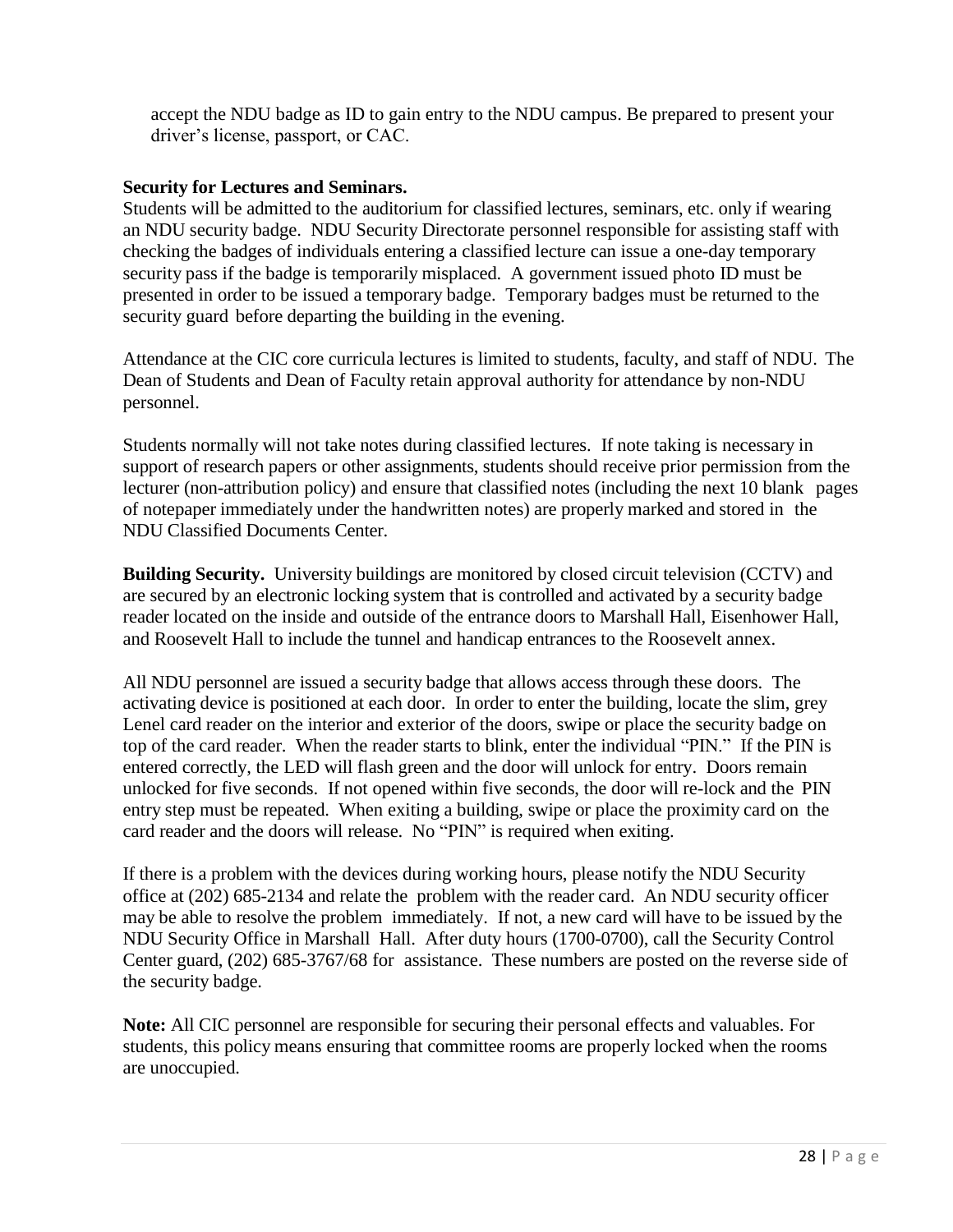accept the NDU badge as ID to gain entry to the NDU campus. Be prepared to present your driver's license, passport, or CAC.

#### **Security for Lectures and Seminars.**

Students will be admitted to the auditorium for classified lectures, seminars, etc. only if wearing an NDU security badge. NDU Security Directorate personnel responsible for assisting staff with checking the badges of individuals entering a classified lecture can issue a one-day temporary security pass if the badge is temporarily misplaced. A government issued photo ID must be presented in order to be issued a temporary badge. Temporary badges must be returned to the security guard before departing the building in the evening.

Attendance at the CIC core curricula lectures is limited to students, faculty, and staff of NDU. The Dean of Students and Dean of Faculty retain approval authority for attendance by non-NDU personnel.

Students normally will not take notes during classified lectures. If note taking is necessary in support of research papers or other assignments, students should receive prior permission from the lecturer (non-attribution policy) and ensure that classified notes (including the next 10 blank pages of notepaper immediately under the handwritten notes) are properly marked and stored in the NDU Classified Documents Center.

**Building Security.** University buildings are monitored by closed circuit television (CCTV) and are secured by an electronic locking system that is controlled and activated by a security badge reader located on the inside and outside of the entrance doors to Marshall Hall, Eisenhower Hall, and Roosevelt Hall to include the tunnel and handicap entrances to the Roosevelt annex.

All NDU personnel are issued a security badge that allows access through these doors. The activating device is positioned at each door. In order to enter the building, locate the slim, grey Lenel card reader on the interior and exterior of the doors, swipe or place the security badge on top of the card reader. When the reader starts to blink, enter the individual "PIN." If the PIN is entered correctly, the LED will flash green and the door will unlock for entry. Doors remain unlocked for five seconds. If not opened within five seconds, the door will re-lock and the PIN entry step must be repeated. When exiting a building, swipe or place the proximity card on the card reader and the doors will release. No "PIN" is required when exiting.

If there is a problem with the devices during working hours, please notify the NDU Security office at (202) 685-2134 and relate the problem with the reader card. An NDU security officer may be able to resolve the problem immediately. If not, a new card will have to be issued by the NDU Security Office in Marshall Hall. After duty hours (1700-0700), call the Security Control Center guard, (202) 685-3767/68 for assistance. These numbers are posted on the reverse side of the security badge.

**Note:** All CIC personnel are responsible for securing their personal effects and valuables. For students, this policy means ensuring that committee rooms are properly locked when the rooms are unoccupied.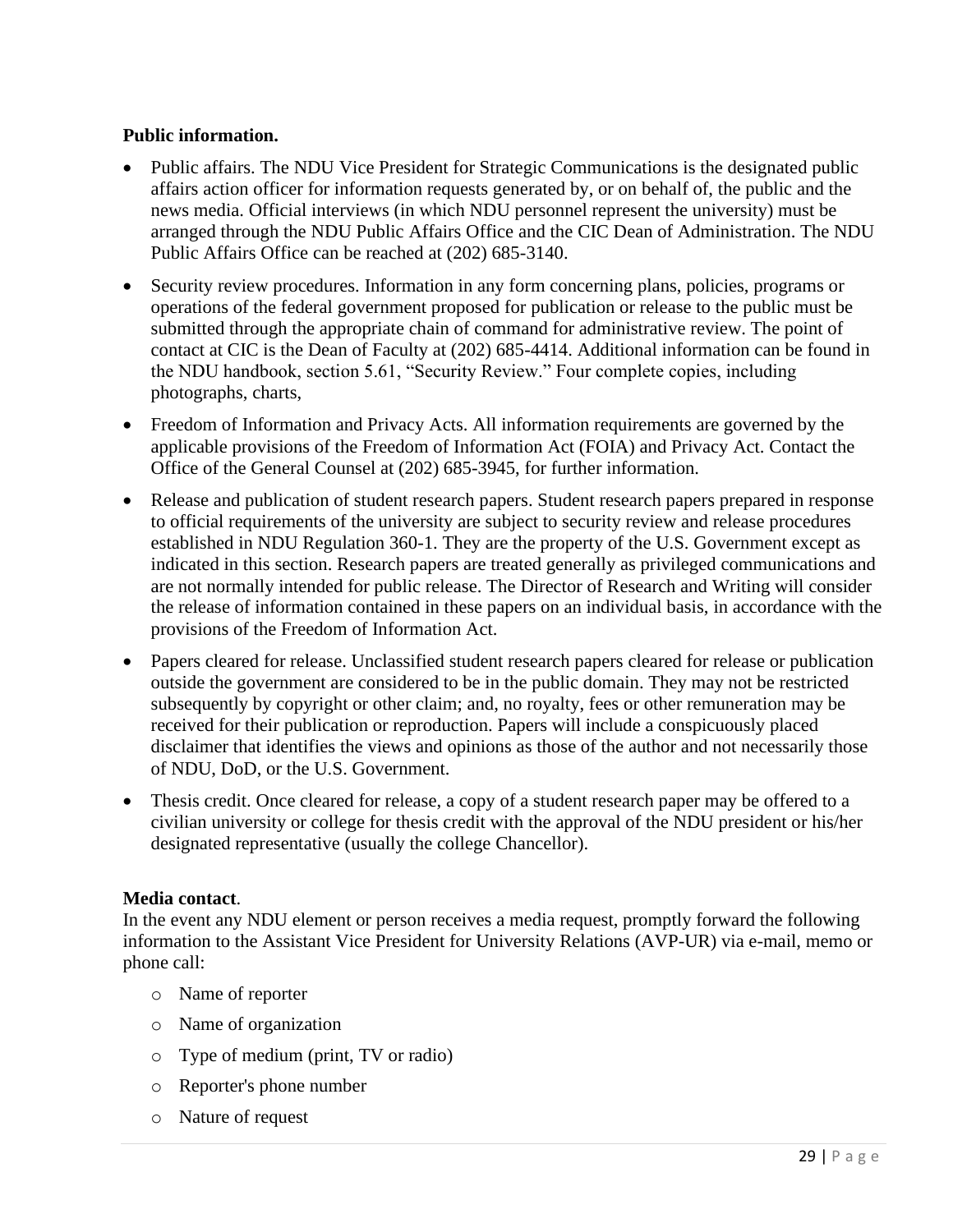### **Public information.**

- Public affairs. The NDU Vice President for Strategic Communications is the designated public affairs action officer for information requests generated by, or on behalf of, the public and the news media. Official interviews (in which NDU personnel represent the university) must be arranged through the NDU Public Affairs Office and the CIC Dean of Administration. The NDU Public Affairs Office can be reached at (202) 685-3140.
- Security review procedures. Information in any form concerning plans, policies, programs or operations of the federal government proposed for publication or release to the public must be submitted through the appropriate chain of command for administrative review. The point of contact at CIC is the Dean of Faculty at (202) 685-4414. Additional information can be found in the NDU handbook, section 5.61, "Security Review." Four complete copies, including photographs, charts,
- Freedom of Information and Privacy Acts. All information requirements are governed by the applicable provisions of the Freedom of Information Act (FOIA) and Privacy Act. Contact the Office of the General Counsel at (202) 685-3945, for further information.
- Release and publication of student research papers. Student research papers prepared in response to official requirements of the university are subject to security review and release procedures established in NDU Regulation 360-1. They are the property of the U.S. Government except as indicated in this section. Research papers are treated generally as privileged communications and are not normally intended for public release. The Director of Research and Writing will consider the release of information contained in these papers on an individual basis, in accordance with the provisions of the Freedom of Information Act.
- Papers cleared for release. Unclassified student research papers cleared for release or publication outside the government are considered to be in the public domain. They may not be restricted subsequently by copyright or other claim; and, no royalty, fees or other remuneration may be received for their publication or reproduction. Papers will include a conspicuously placed disclaimer that identifies the views and opinions as those of the author and not necessarily those of NDU, DoD, or the U.S. Government.
- Thesis credit. Once cleared for release, a copy of a student research paper may be offered to a civilian university or college for thesis credit with the approval of the NDU president or his/her designated representative (usually the college Chancellor).

### **Media contact**.

In the event any NDU element or person receives a media request, promptly forward the following information to the Assistant Vice President for University Relations (AVP-UR) via e-mail, memo or phone call:

- o Name of reporter
- o Name of organization
- o Type of medium (print, TV or radio)
- o Reporter's phone number
- o Nature of request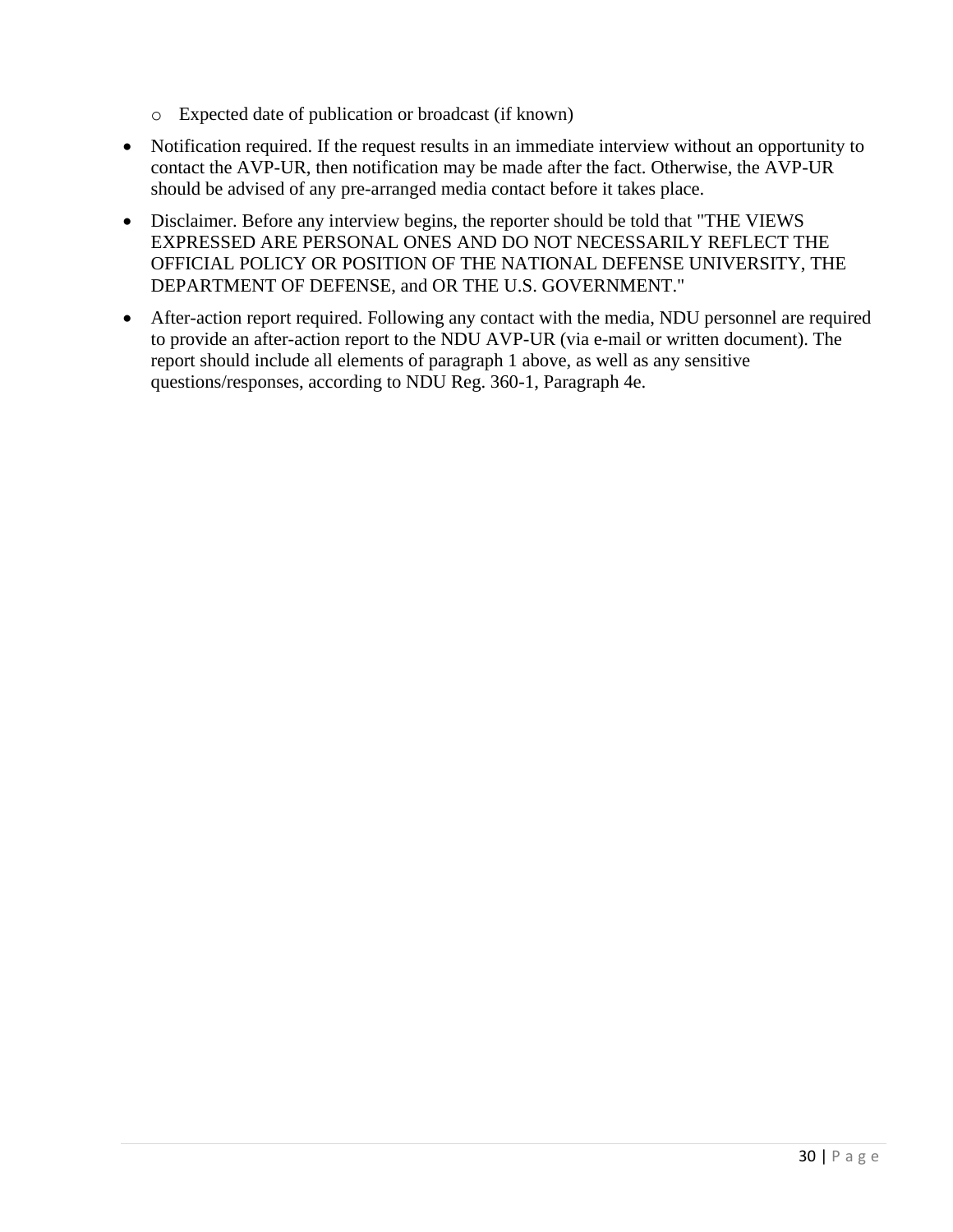- o Expected date of publication or broadcast (if known)
- Notification required. If the request results in an immediate interview without an opportunity to contact the AVP-UR, then notification may be made after the fact. Otherwise, the AVP-UR should be advised of any pre-arranged media contact before it takes place.
- Disclaimer. Before any interview begins, the reporter should be told that "THE VIEWS EXPRESSED ARE PERSONAL ONES AND DO NOT NECESSARILY REFLECT THE OFFICIAL POLICY OR POSITION OF THE NATIONAL DEFENSE UNIVERSITY, THE DEPARTMENT OF DEFENSE, and OR THE U.S. GOVERNMENT."
- After-action report required. Following any contact with the media, NDU personnel are required to provide an after-action report to the NDU AVP-UR (via e-mail or written document). The report should include all elements of paragraph 1 above, as well as any sensitive questions/responses, according to NDU Reg. 360-1, Paragraph 4e.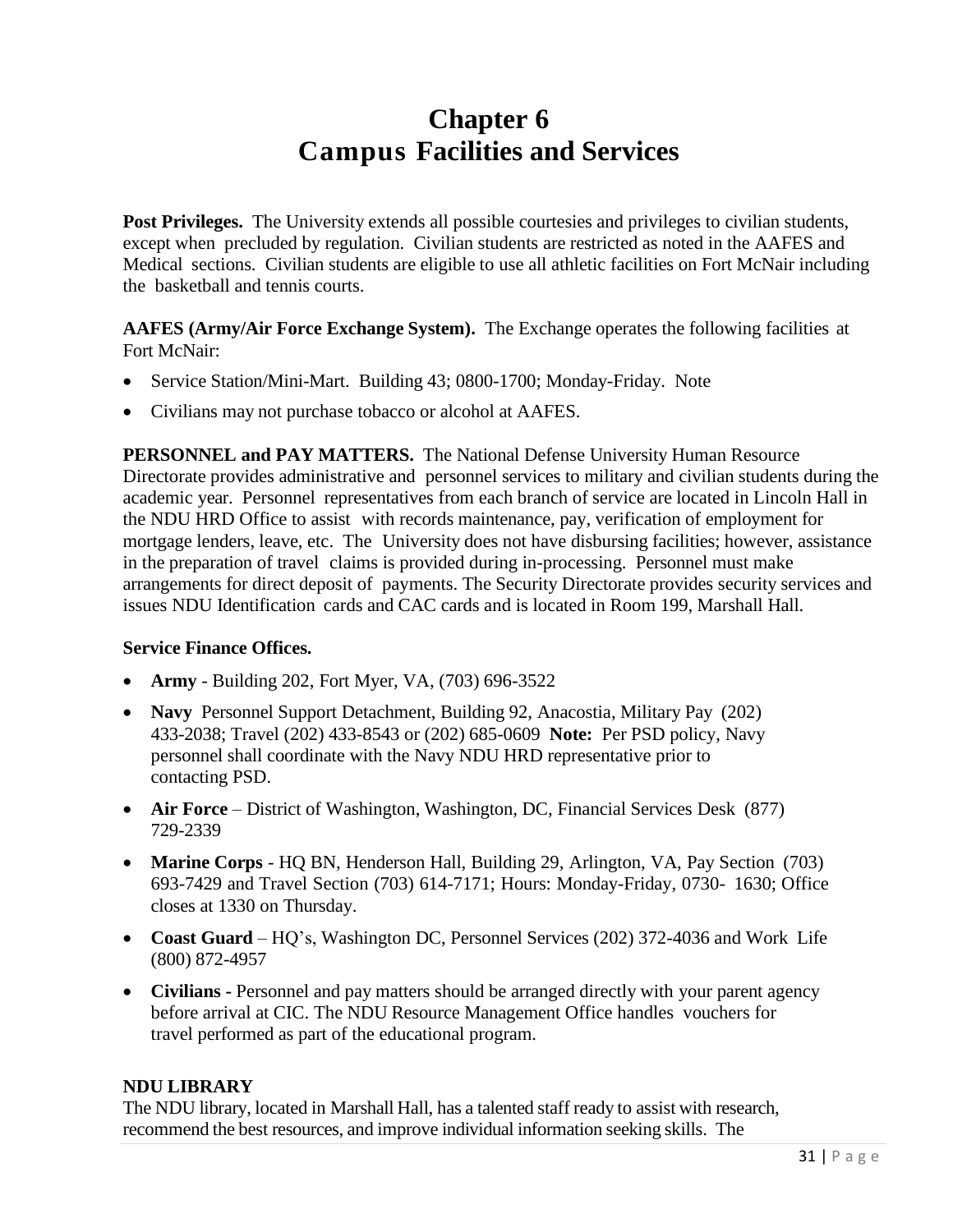## **Chapter 6 Campus Facilities and Services**

<span id="page-34-2"></span><span id="page-34-0"></span>Post Privileges. The University extends all possible courtesies and privileges to civilian students, except when precluded by regulation. Civilian students are restricted as noted in the AAFES and Medical sections. Civilian students are eligible to use all athletic facilities on Fort McNair including the basketball and tennis courts.

**AAFES (Army/Air Force Exchange System).** The Exchange operates the following facilities at Fort McNair:

- Service Station/Mini-Mart. Building 43; 0800-1700; Monday-Friday. Note
- Civilians may not purchase tobacco or alcohol at AAFES.

**PERSONNEL and PAY MATTERS.** The National Defense University Human Resource Directorate provides administrative and personnel services to military and civilian students during the academic year. Personnel representatives from each branch of service are located in Lincoln Hall in the NDU HRD Office to assist with records maintenance, pay, verification of employment for mortgage lenders, leave, etc. The University does not have disbursing facilities; however, assistance in the preparation of travel claims is provided during in-processing. Personnel must make arrangements for direct deposit of payments. The Security Directorate provides security services and issues NDU Identification cards and CAC cards and is located in Room 199, Marshall Hall.

### **Service Finance Offices.**

- **Army** Building 202, Fort Myer, VA, (703) 696-3522
- **Navy** Personnel Support Detachment, Building 92, Anacostia, Military Pay (202) 433-2038; Travel (202) 433-8543 or (202) 685-0609 **Note:** Per PSD policy, Navy personnel shall coordinate with the Navy NDU HRD representative prior to contacting PSD.
- **Air Force** District of Washington, Washington, DC, Financial Services Desk (877) 729-2339
- **Marine Corps** HQ BN, Henderson Hall, Building 29, Arlington, VA, Pay Section (703) 693-7429 and Travel Section (703) 614-7171; Hours: Monday-Friday, 0730- 1630; Office closes at 1330 on Thursday.
- **Coast Guard** HQ's, Washington DC, Personnel Services (202) 372-4036 and Work Life (800) 872-4957
- **Civilians -** Personnel and pay matters should be arranged directly with your parent agency before arrival at CIC. The NDU Resource Management Office handles vouchers for travel performed as part of the educational program.

### <span id="page-34-3"></span><span id="page-34-1"></span>**NDU LIBRARY**

The NDU library, located in Marshall Hall, has a talented staff ready to assist with research, recommend the best resources, and improve individual information seeking skills. The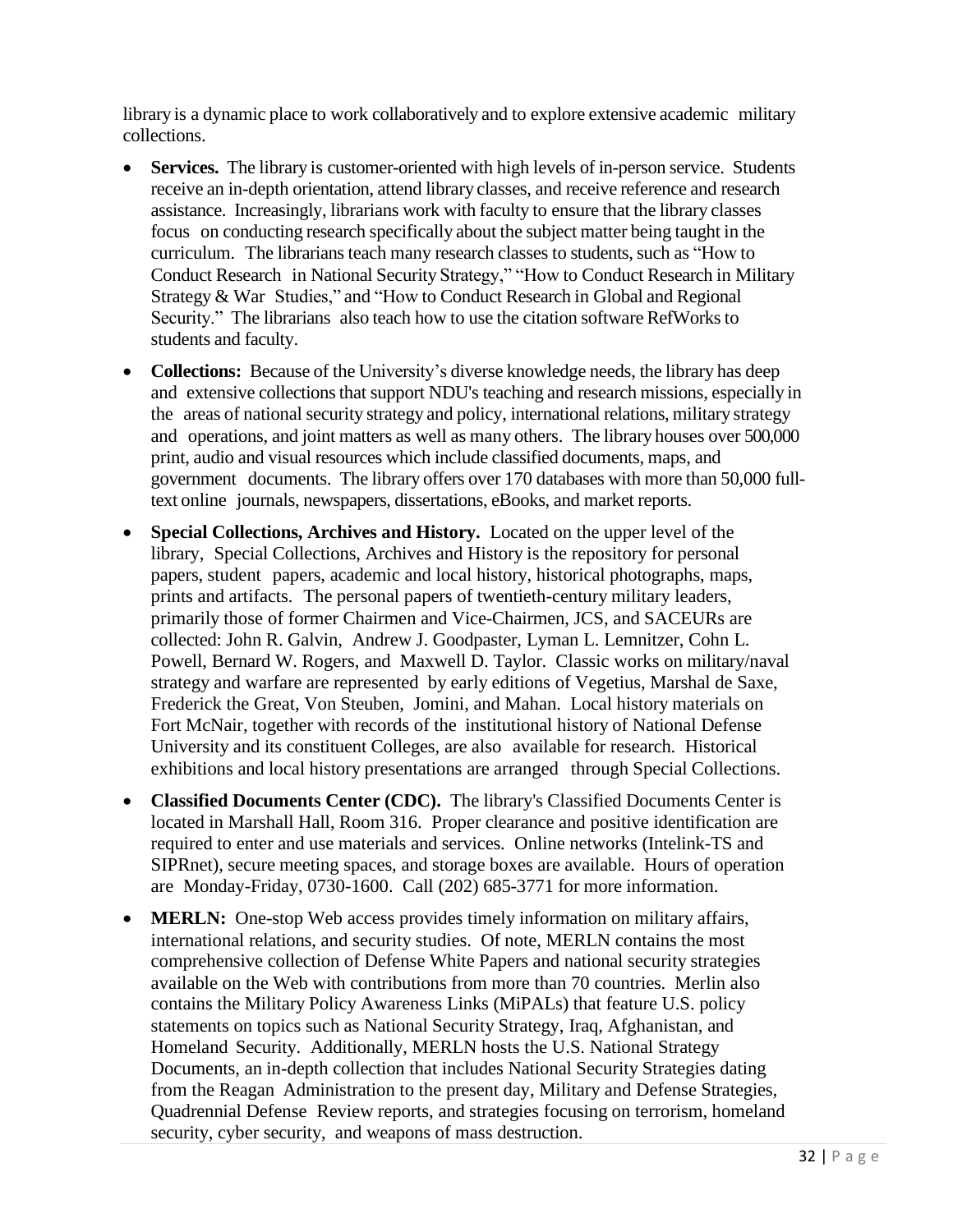library is a dynamic place to work collaboratively and to explore extensive academic military collections.

- **Services.** The library is customer-oriented with high levels of in-person service. Students receive an in-depth orientation, attend library classes, and receive reference and research assistance. Increasingly, librarians work with faculty to ensure that the library classes focus on conducting research specifically about the subject matter being taught in the curriculum. The librarians teach many research classes to students, such as "How to Conduct Research in National Security Strategy," "How to Conduct Research in Military Strategy & War Studies," and "How to Conduct Research in Global and Regional Security." The librarians also teach how to use the citation software RefWorks to students and faculty.
- **Collections:** Because of the University's diverse knowledge needs, the library has deep and extensive collections that support NDU's teaching and research missions, especially in the areas of national security strategy and policy, international relations, military strategy and operations, and joint matters as well as many others. The library houses over 500,000 print, audio and visual resources which include classified documents, maps, and government documents. The library offers over 170 databases with more than 50,000 fulltext online journals, newspapers, dissertations, eBooks, and market reports.
- **Special Collections, Archives and History.** Located on the upper level of the library, Special Collections, Archives and History is the repository for personal papers, student papers, academic and local history, historical photographs, maps, prints and artifacts. The personal papers of twentieth-century military leaders, primarily those of former Chairmen and Vice-Chairmen, JCS, and SACEURs are collected: John R. Galvin, Andrew J. Goodpaster, Lyman L. Lemnitzer, Cohn L. Powell, Bernard W. Rogers, and Maxwell D. Taylor. Classic works on military/naval strategy and warfare are represented by early editions of Vegetius, Marshal de Saxe, Frederick the Great, Von Steuben, Jomini, and Mahan. Local history materials on Fort McNair, together with records of the institutional history of National Defense University and its constituent Colleges, are also available for research. Historical exhibitions and local history presentations are arranged through Special Collections.
- **Classified Documents Center (CDC).** The library's Classified Documents Center is located in Marshall Hall, Room 316. Proper clearance and positive identification are required to enter and use materials and services. Online networks (Intelink-TS and SIPRnet), secure meeting spaces, and storage boxes are available. Hours of operation are Monday-Friday, 0730-1600. Call (202) 685-3771 for more information.
- **MERLN:** One-stop Web access provides timely information on military affairs, international relations, and security studies. Of note, MERLN contains the most comprehensive collection of Defense White Papers and national security strategies available on the Web with contributions from more than 70 countries. Merlin also contains the Military Policy Awareness Links (MiPALs) that feature U.S. policy statements on topics such as National Security Strategy, Iraq, Afghanistan, and Homeland Security. Additionally, MERLN hosts the U.S. National Strategy Documents, an in-depth collection that includes National Security Strategies dating from the Reagan Administration to the present day, Military and Defense Strategies, Quadrennial Defense Review reports, and strategies focusing on terrorism, homeland security, cyber security, and weapons of mass destruction.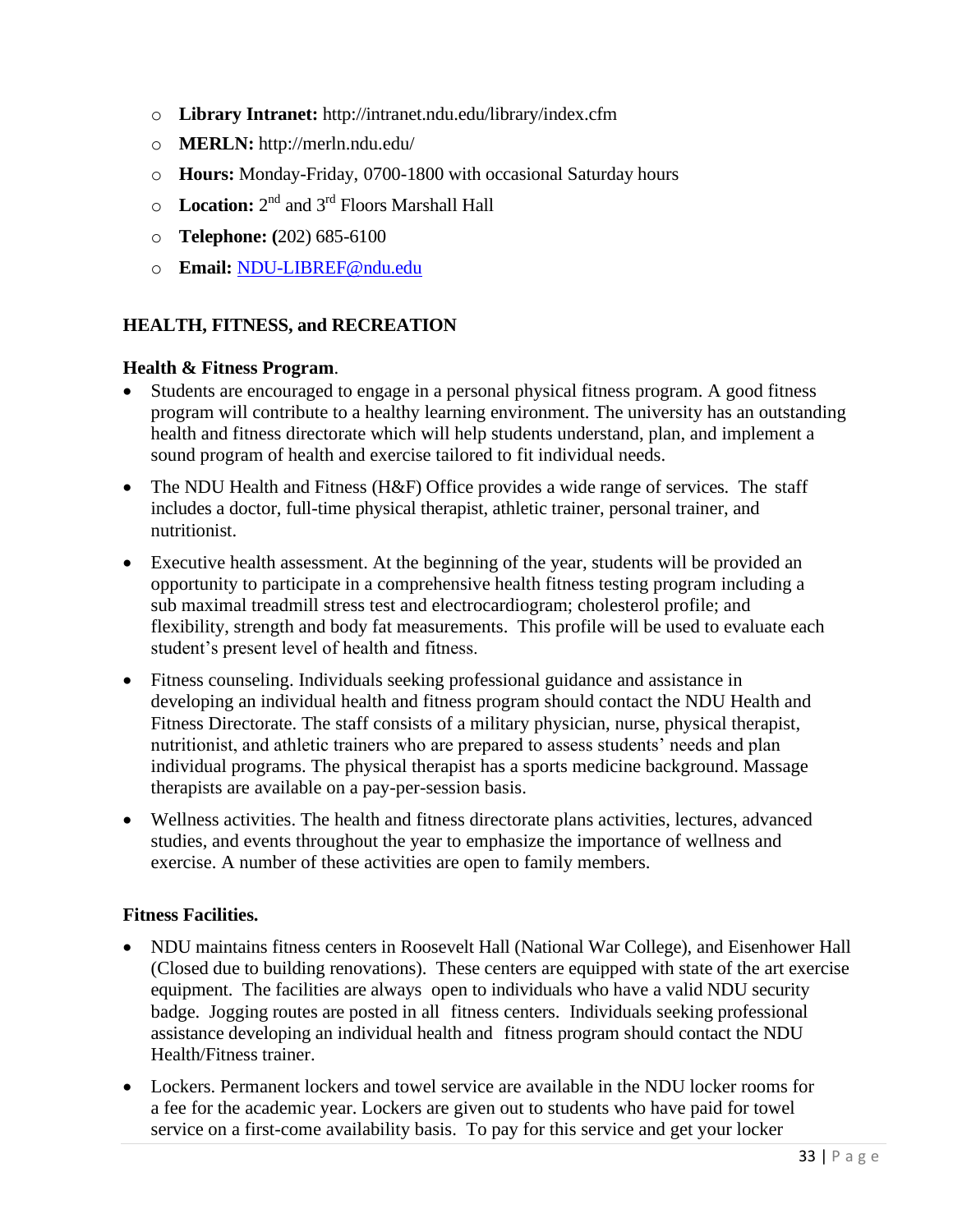- o **Library Intranet:** <http://intranet.ndu.edu/library/index.cfm>
- o **MERLN:** <http://merln.ndu.edu/>
- o **Hours:** Monday-Friday, 0700-1800 with occasional Saturday hours
- o Location: 2<sup>nd</sup> and 3<sup>rd</sup> Floors Marshall Hall
- o **Telephone: (**202) 685-6100
- o **Email:** [NDU-LIBREF@ndu.edu](mailto:NDU-LIBREF@ndu.edu)

### <span id="page-36-0"></span>**HEALTH, FITNESS, and RECREATION**

#### **Health & Fitness Program**.

- Students are encouraged to engage in a personal physical fitness program. A good fitness program will contribute to a healthy learning environment. The university has an outstanding health and fitness directorate which will help students understand, plan, and implement a sound program of health and exercise tailored to fit individual needs.
- The NDU Health and Fitness (H&F) Office provides a wide range of services. The staff includes a doctor, full-time physical therapist, athletic trainer, personal trainer, and nutritionist.
- Executive health assessment. At the beginning of the year, students will be provided an opportunity to participate in a comprehensive health fitness testing program including a sub maximal treadmill stress test and electrocardiogram; cholesterol profile; and flexibility, strength and body fat measurements. This profile will be used to evaluate each student's present level of health and fitness.
- Fitness counseling. Individuals seeking professional guidance and assistance in developing an individual health and fitness program should contact the NDU Health and Fitness Directorate. The staff consists of a military physician, nurse, physical therapist, nutritionist, and athletic trainers who are prepared to assess students' needs and plan individual programs. The physical therapist has a sports medicine background. Massage therapists are available on a pay-per-session basis.
- Wellness activities. The health and fitness directorate plans activities, lectures, advanced studies, and events throughout the year to emphasize the importance of wellness and exercise. A number of these activities are open to family members.

### **Fitness Facilities.**

- NDU maintains fitness centers in Roosevelt Hall (National War College), and Eisenhower Hall (Closed due to building renovations). These centers are equipped with state of the art exercise equipment. The facilities are always open to individuals who have a valid NDU security badge. Jogging routes are posted in all fitness centers. Individuals seeking professional assistance developing an individual health and fitness program should contact the NDU Health/Fitness trainer.
- Lockers. Permanent lockers and towel service are available in the NDU locker rooms for a fee for the academic year. Lockers are given out to students who have paid for towel service on a first-come availability basis. To pay for this service and get your locker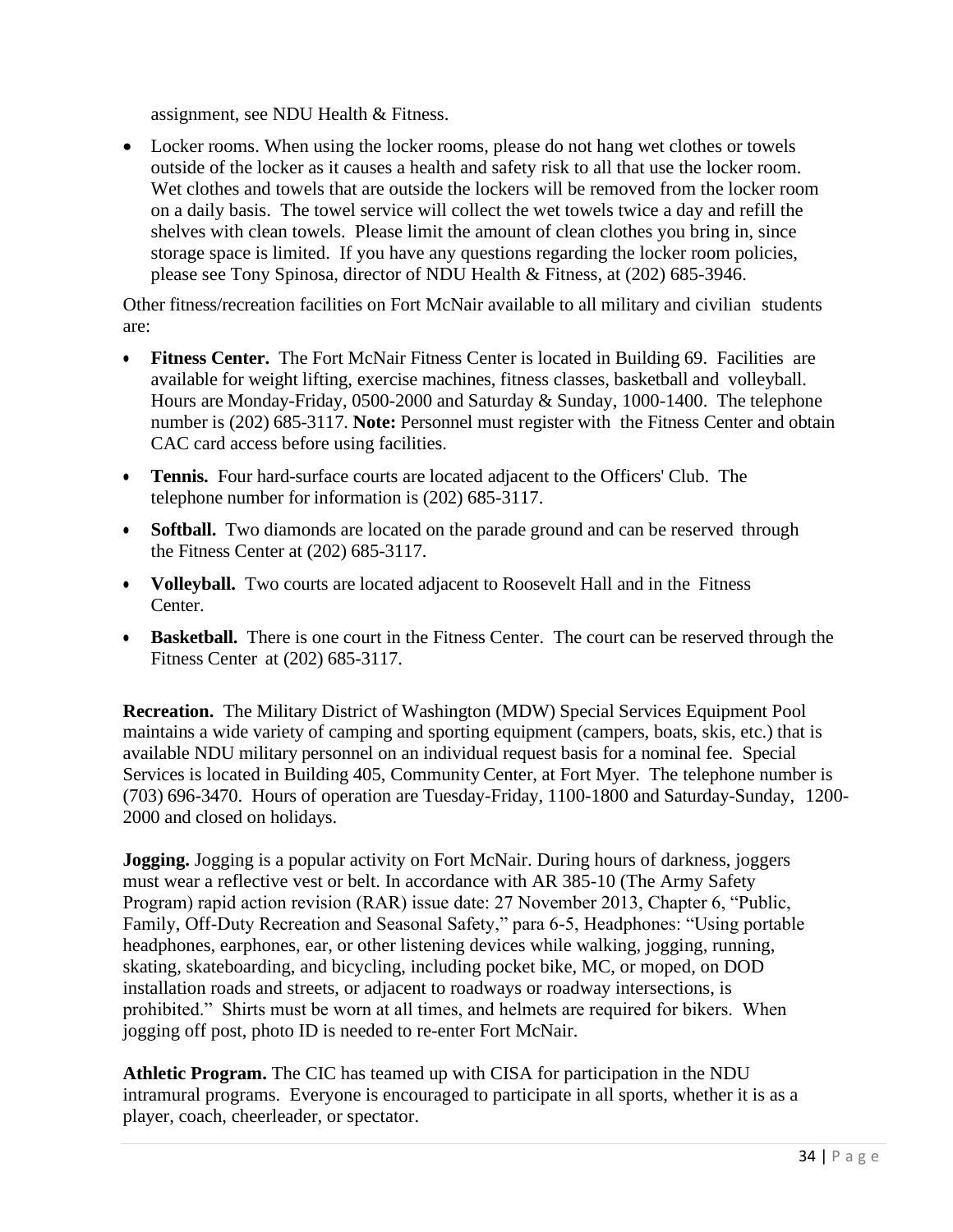assignment, see NDU Health & Fitness.

• Locker rooms. When using the locker rooms, please do not hang wet clothes or towels outside of the locker as it causes a health and safety risk to all that use the locker room. Wet clothes and towels that are outside the lockers will be removed from the locker room on a daily basis. The towel service will collect the wet towels twice a day and refill the shelves with clean towels. Please limit the amount of clean clothes you bring in, since storage space is limited. If you have any questions regarding the locker room policies, please see Tony Spinosa, director of NDU Health & Fitness, at (202) 685-3946.

Other fitness/recreation facilities on Fort McNair available to all military and civilian students are:

- **Fitness Center.** The Fort McNair Fitness Center is located in Building 69. Facilities are available for weight lifting, exercise machines, fitness classes, basketball and volleyball. Hours are Monday-Friday, 0500-2000 and Saturday & Sunday, 1000-1400. The telephone number is (202) 685-3117. **Note:** Personnel must register with the Fitness Center and obtain CAC card access before using facilities.
- **Tennis.** Four hard-surface courts are located adjacent to the Officers' Club. The telephone number for information is (202) 685-3117.
- **Softball.** Two diamonds are located on the parade ground and can be reserved through the Fitness Center at (202) 685-3117.
- **Volleyball.** Two courts are located adjacent to Roosevelt Hall and in the Fitness Center.
- **Basketball.** There is one court in the Fitness Center. The court can be reserved through the Fitness Center at (202) 685-3117.

**Recreation.** The Military District of Washington (MDW) Special Services Equipment Pool maintains a wide variety of camping and sporting equipment (campers, boats, skis, etc.) that is available NDU military personnel on an individual request basis for a nominal fee. Special Services is located in Building 405, Community Center, at Fort Myer. The telephone number is (703) 696-3470. Hours of operation are Tuesday-Friday, 1100-1800 and Saturday-Sunday, 1200- 2000 and closed on holidays.

**Jogging.** Jogging is a popular activity on Fort McNair. During hours of darkness, joggers must wear a reflective vest or belt. In accordance with AR 385-10 (The Army Safety Program) rapid action revision (RAR) issue date: 27 November 2013, Chapter 6, "Public, Family, Off-Duty Recreation and Seasonal Safety," para 6-5, Headphones: "Using portable headphones, earphones, ear, or other listening devices while walking, jogging, running, skating, skateboarding, and bicycling, including pocket bike, MC, or moped, on DOD installation roads and streets, or adjacent to roadways or roadway intersections, is prohibited." Shirts must be worn at all times, and helmets are required for bikers. When jogging off post, photo ID is needed to re-enter Fort McNair.

**Athletic Program.** The CIC has teamed up with CISA for participation in the NDU intramural programs. Everyone is encouraged to participate in all sports, whether it is as a player, coach, cheerleader, or spectator.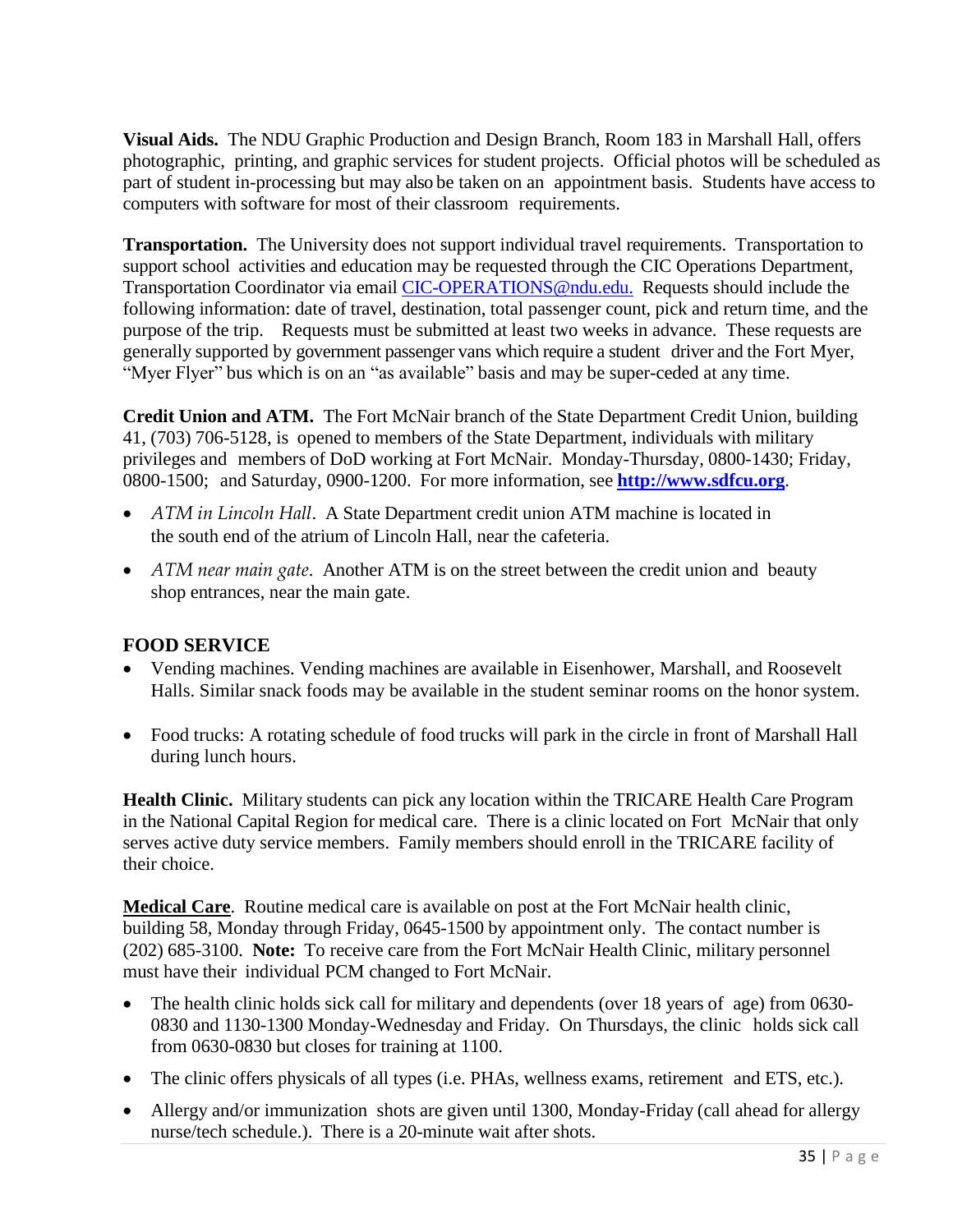<span id="page-38-0"></span>**Visual Aids.** The NDU Graphic Production and Design Branch, Room 183 in Marshall Hall, offers photographic, printing, and graphic services for student projects. Official photos will be scheduled as part of student in-processing but may also be taken on an appointment basis. Students have access to computers with software for most of their classroom requirements.

<span id="page-38-1"></span>**Transportation.** The University does not support individual travel requirements. Transportation to support school activities and education may be requested through the CIC Operations Department, Transportation Coordinator via email [CIC-OPERATIONS@ndu.edu.](mailto:CIC-OPERATIONS@ndu.edu.) Requests should include the following information: date of travel, destination, total passenger count, pick and return time, and the purpose of the trip. Requests must be submitted at least two weeks in advance. These requests are generally supported by government passenger vans which require a student driver and the Fort Myer, "Myer Flyer" bus which is on an "as available" basis and may be super-ceded at any time.

<span id="page-38-2"></span>**Credit Union and ATM.** The Fort McNair branch of the State Department Credit Union, building 41, (703) 706-5128, is opened to members of the State Department, individuals with military privileges and members of DoD working at Fort McNair. Monday-Thursday, 0800-1430; Friday, 0800-1500; and Saturday, 0900-1200. For more information, see **[http://www.sdfcu.org](http://www.sdfcu.org/)**.

- *ATM in Lincoln Hall*. A State Department credit union ATM machine is located in the south end of the atrium of Lincoln Hall, near the cafeteria.
- *ATM near main gate*. Another ATM is on the street between the credit union and beauty shop entrances, near the main gate.

### **FOOD SERVICE**

- Vending machines. Vending machines are available in Eisenhower, Marshall, and Roosevelt Halls. Similar snack foods may be available in the student seminar rooms on the honor system.
- Food trucks: A rotating schedule of food trucks will park in the circle in front of Marshall Hall during lunch hours.

**Health Clinic.** Military students can pick any location within the TRICARE Health Care Program in the National Capital Region for medical care. There is a clinic located on Fort McNair that only serves active duty service members. Family members should enroll in the TRICARE facility of their choice.

**Medical Care**. Routine medical care is available on post at the Fort McNair health clinic, building 58, Monday through Friday, 0645-1500 by appointment only. The contact number is (202) 685-3100. **Note:** To receive care from the Fort McNair Health Clinic, military personnel must have their individual PCM changed to Fort McNair.

- The health clinic holds sick call for military and dependents (over 18 years of age) from 0630-0830 and 1130-1300 Monday-Wednesday and Friday. On Thursdays, the clinic holds sick call from 0630-0830 but closes for training at 1100.
- The clinic offers physicals of all types (i.e. PHAs, wellness exams, retirement and ETS, etc.).
- Allergy and/or immunization shots are given until 1300, Monday-Friday (call ahead for allergy nurse/tech schedule.). There is a 20-minute wait after shots.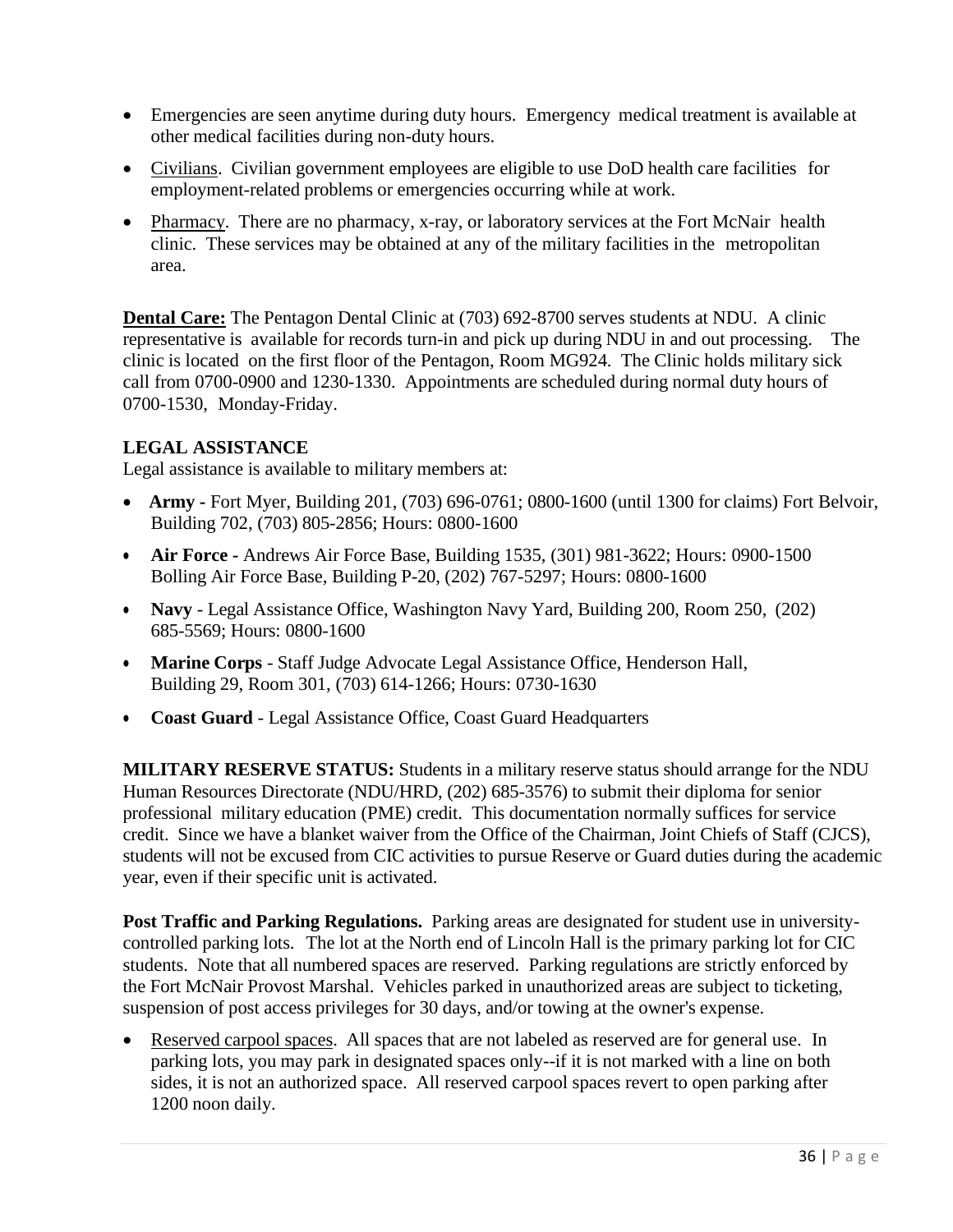- Emergencies are seen anytime during duty hours. Emergency medical treatment is available at other medical facilities during non-duty hours.
- Civilians. Civilian government employees are eligible to use DoD health care facilities for employment-related problems or emergencies occurring while at work.
- Pharmacy. There are no pharmacy, x-ray, or laboratory services at the Fort McNair health clinic. These services may be obtained at any of the military facilities in the metropolitan area.

**Dental Care:** The Pentagon Dental Clinic at (703) 692-8700 serves students at NDU. A clinic representative is available for records turn-in and pick up during NDU in and out processing. The clinic is located on the first floor of the Pentagon, Room MG924. The Clinic holds military sick call from 0700-0900 and 1230-1330. Appointments are scheduled during normal duty hours of 0700-1530, Monday-Friday.

### **LEGAL ASSISTANCE**

Legal assistance is available to military members at:

- • **Army -** Fort Myer, Building 201, (703) 696-0761; 0800-1600 (until 1300 for claims) Fort Belvoir, Building 702, (703) 805-2856; Hours: 0800-1600
- **Air Force -** Andrews Air Force Base, Building 1535, (301) 981-3622; Hours: 0900-1500 Bolling Air Force Base, Building P-20, (202) 767-5297; Hours: 0800-1600
- **Navy** Legal Assistance Office, Washington Navy Yard, Building 200, Room 250, (202) 685-5569; Hours: 0800-1600
- **Marine Corps** Staff Judge Advocate Legal Assistance Office, Henderson Hall, Building 29, Room 301, (703) 614-1266; Hours: 0730-1630
- **Coast Guard** Legal Assistance Office, Coast Guard Headquarters

<span id="page-39-1"></span><span id="page-39-0"></span>**MILITARY RESERVE STATUS:** Students in a military reserve status should arrange for the NDU Human Resources Directorate (NDU/HRD, (202) 685-3576) to submit their diploma for senior professional military education (PME) credit. This documentation normally suffices for service credit. Since we have a blanket waiver from the Office of the Chairman, Joint Chiefs of Staff (CJCS), students will not be excused from CIC activities to pursue Reserve or Guard duties during the academic year, even if their specific unit is activated.

**Post Traffic and Parking Regulations.** Parking areas are designated for student use in universitycontrolled parking lots. The lot at the North end of Lincoln Hall is the primary parking lot for CIC students. Note that all numbered spaces are reserved. Parking regulations are strictly enforced by the Fort McNair Provost Marshal. Vehicles parked in unauthorized areas are subject to ticketing, suspension of post access privileges for 30 days, and/or towing at the owner's expense.

• Reserved carpool spaces. All spaces that are not labeled as reserved are for general use. In parking lots, you may park in designated spaces only--if it is not marked with a line on both sides, it is not an authorized space. All reserved carpool spaces revert to open parking after 1200 noon daily.